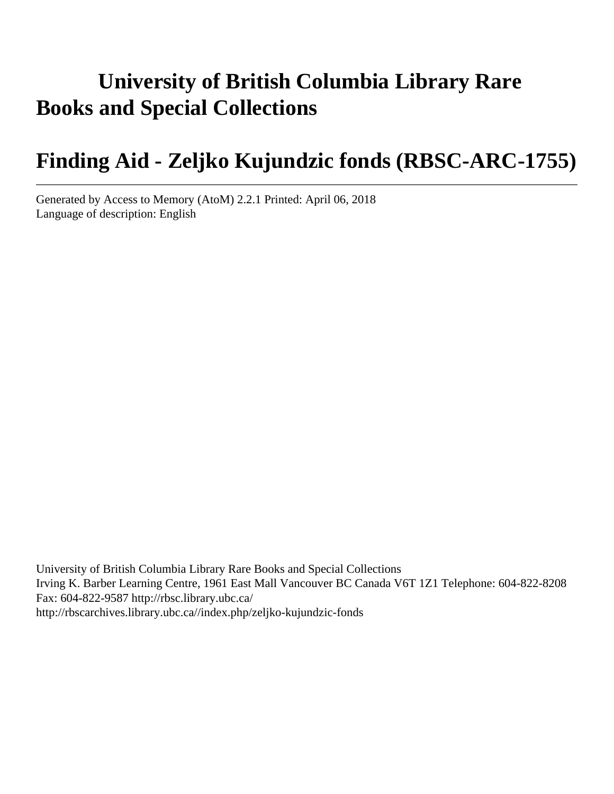# **University of British Columbia Library Rare Books and Special Collections**

# **Finding Aid - Zeljko Kujundzic fonds (RBSC-ARC-1755)**

Generated by Access to Memory (AtoM) 2.2.1 Printed: April 06, 2018 Language of description: English

University of British Columbia Library Rare Books and Special Collections Irving K. Barber Learning Centre, 1961 East Mall Vancouver BC Canada V6T 1Z1 Telephone: 604-822-8208 Fax: 604-822-9587 http://rbsc.library.ubc.ca/ http://rbscarchives.library.ubc.ca//index.php/zeljko-kujundzic-fonds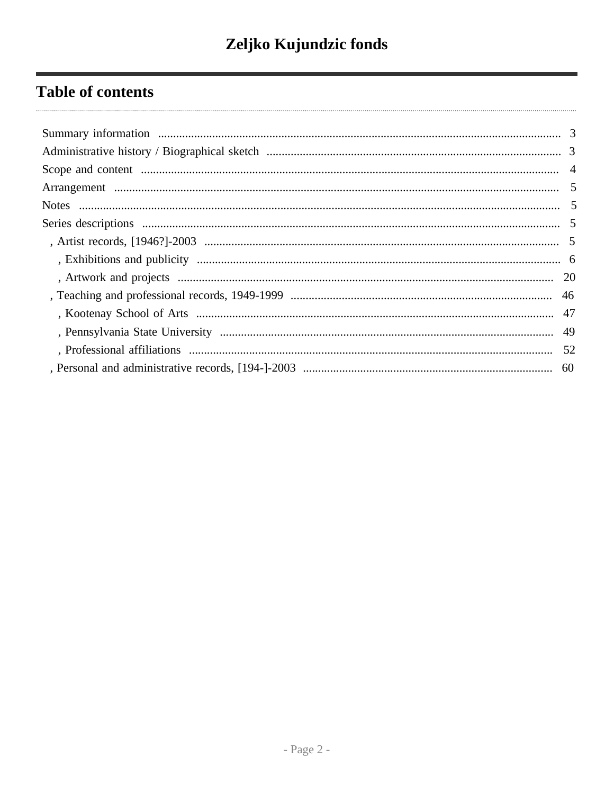## **Table of contents**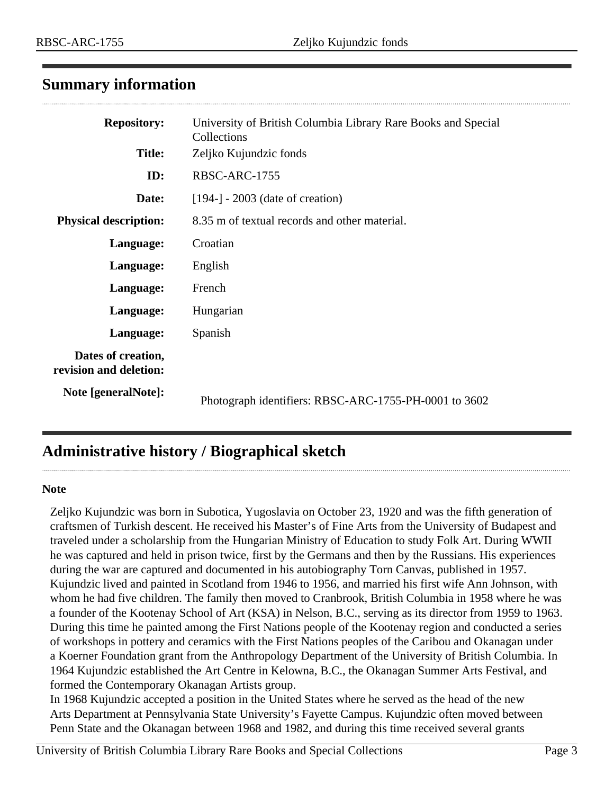## <span id="page-2-0"></span>**Summary information**

| <b>Repository:</b>                           | University of British Columbia Library Rare Books and Special<br>Collections<br>Zeljko Kujundzic fonds |  |
|----------------------------------------------|--------------------------------------------------------------------------------------------------------|--|
| <b>Title:</b>                                |                                                                                                        |  |
| ID:                                          | RBSC-ARC-1755                                                                                          |  |
| Date:                                        | $[194-]$ - 2003 (date of creation)                                                                     |  |
| <b>Physical description:</b>                 | 8.35 m of textual records and other material.                                                          |  |
| Language:                                    | Croatian                                                                                               |  |
| Language:                                    | English                                                                                                |  |
| Language:                                    | French                                                                                                 |  |
| Language:                                    | Hungarian                                                                                              |  |
| Language:                                    | Spanish                                                                                                |  |
| Dates of creation,<br>revision and deletion: |                                                                                                        |  |
| Note [generalNote]:                          | Photograph identifiers: RBSC-ARC-1755-PH-0001 to 3602                                                  |  |

## <span id="page-2-1"></span>**Administrative history / Biographical sketch**

#### **Note**

Zeljko Kujundzic was born in Subotica, Yugoslavia on October 23, 1920 and was the fifth generation of craftsmen of Turkish descent. He received his Master's of Fine Arts from the University of Budapest and traveled under a scholarship from the Hungarian Ministry of Education to study Folk Art. During WWII he was captured and held in prison twice, first by the Germans and then by the Russians. His experiences during the war are captured and documented in his autobiography Torn Canvas, published in 1957. Kujundzic lived and painted in Scotland from 1946 to 1956, and married his first wife Ann Johnson, with whom he had five children. The family then moved to Cranbrook, British Columbia in 1958 where he was a founder of the Kootenay School of Art (KSA) in Nelson, B.C., serving as its director from 1959 to 1963. During this time he painted among the First Nations people of the Kootenay region and conducted a series of workshops in pottery and ceramics with the First Nations peoples of the Caribou and Okanagan under a Koerner Foundation grant from the Anthropology Department of the University of British Columbia. In 1964 Kujundzic established the Art Centre in Kelowna, B.C., the Okanagan Summer Arts Festival, and formed the Contemporary Okanagan Artists group.

In 1968 Kujundzic accepted a position in the United States where he served as the head of the new Arts Department at Pennsylvania State University's Fayette Campus. Kujundzic often moved between Penn State and the Okanagan between 1968 and 1982, and during this time received several grants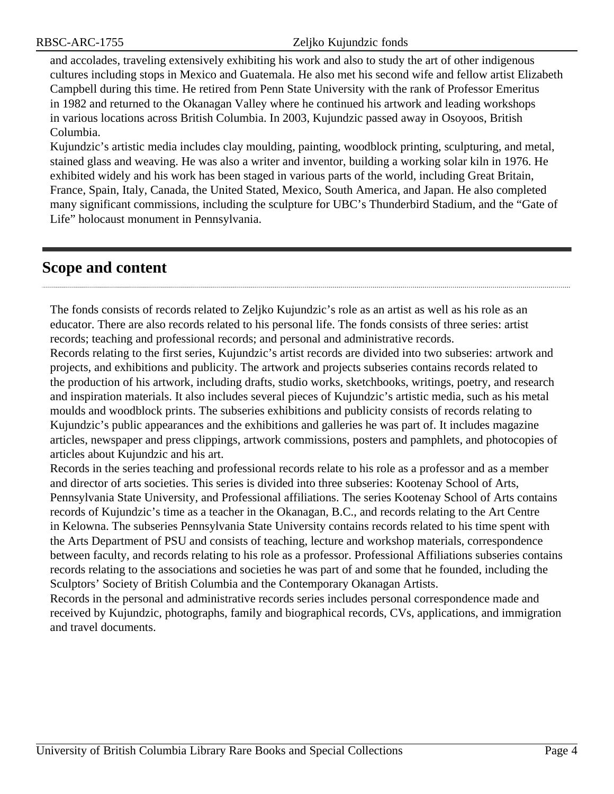and accolades, traveling extensively exhibiting his work and also to study the art of other indigenous cultures including stops in Mexico and Guatemala. He also met his second wife and fellow artist Elizabeth Campbell during this time. He retired from Penn State University with the rank of Professor Emeritus in 1982 and returned to the Okanagan Valley where he continued his artwork and leading workshops in various locations across British Columbia. In 2003, Kujundzic passed away in Osoyoos, British Columbia.

Kujundzic's artistic media includes clay moulding, painting, woodblock printing, sculpturing, and metal, stained glass and weaving. He was also a writer and inventor, building a working solar kiln in 1976. He exhibited widely and his work has been staged in various parts of the world, including Great Britain, France, Spain, Italy, Canada, the United Stated, Mexico, South America, and Japan. He also completed many significant commissions, including the sculpture for UBC's Thunderbird Stadium, and the "Gate of Life" holocaust monument in Pennsylvania.

## <span id="page-3-0"></span>**Scope and content**

The fonds consists of records related to Zeljko Kujundzic's role as an artist as well as his role as an educator. There are also records related to his personal life. The fonds consists of three series: artist records; teaching and professional records; and personal and administrative records.

Records relating to the first series, Kujundzic's artist records are divided into two subseries: artwork and projects, and exhibitions and publicity. The artwork and projects subseries contains records related to the production of his artwork, including drafts, studio works, sketchbooks, writings, poetry, and research and inspiration materials. It also includes several pieces of Kujundzic's artistic media, such as his metal moulds and woodblock prints. The subseries exhibitions and publicity consists of records relating to Kujundzic's public appearances and the exhibitions and galleries he was part of. It includes magazine articles, newspaper and press clippings, artwork commissions, posters and pamphlets, and photocopies of articles about Kujundzic and his art.

Records in the series teaching and professional records relate to his role as a professor and as a member and director of arts societies. This series is divided into three subseries: Kootenay School of Arts, Pennsylvania State University, and Professional affiliations. The series Kootenay School of Arts contains records of Kujundzic's time as a teacher in the Okanagan, B.C., and records relating to the Art Centre in Kelowna. The subseries Pennsylvania State University contains records related to his time spent with the Arts Department of PSU and consists of teaching, lecture and workshop materials, correspondence between faculty, and records relating to his role as a professor. Professional Affiliations subseries contains records relating to the associations and societies he was part of and some that he founded, including the Sculptors' Society of British Columbia and the Contemporary Okanagan Artists.

Records in the personal and administrative records series includes personal correspondence made and received by Kujundzic, photographs, family and biographical records, CVs, applications, and immigration and travel documents.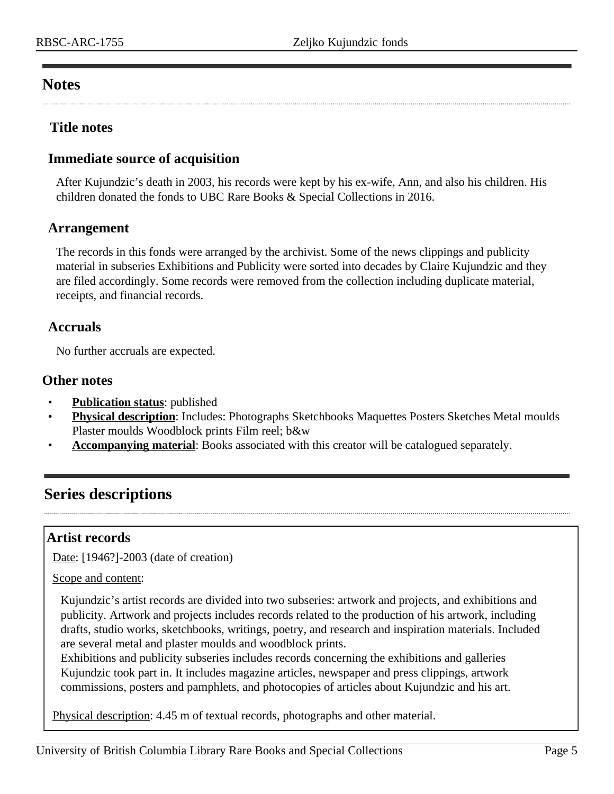## <span id="page-4-1"></span>**Notes**

## **Title notes**

## **Immediate source of acquisition**

After Kujundzic's death in 2003, his records were kept by his ex-wife, Ann, and also his children. His children donated the fonds to UBC Rare Books & Special Collections in 2016.

## <span id="page-4-0"></span>**Arrangement**

The records in this fonds were arranged by the archivist. Some of the news clippings and publicity material in subseries Exhibitions and Publicity were sorted into decades by Claire Kujundzic and they are filed accordingly. Some records were removed from the collection including duplicate material, receipts, and financial records.

## **Accruals**

No further accruals are expected.

## **Other notes**

- **Publication status**: published
- **Physical description**: Includes: Photographs Sketchbooks Maquettes Posters Sketches Metal moulds Plaster moulds Woodblock prints Film reel; b&w
- **Accompanying material**: Books associated with this creator will be catalogued separately.

## <span id="page-4-2"></span>**Series descriptions**

## <span id="page-4-3"></span>**Artist records**

Date: [1946?]-2003 (date of creation)

#### Scope and content:

Kujundzic's artist records are divided into two subseries: artwork and projects, and exhibitions and publicity. Artwork and projects includes records related to the production of his artwork, including drafts, studio works, sketchbooks, writings, poetry, and research and inspiration materials. Included are several metal and plaster moulds and woodblock prints.

Exhibitions and publicity subseries includes records concerning the exhibitions and galleries Kujundzic took part in. It includes magazine articles, newspaper and press clippings, artwork commissions, posters and pamphlets, and photocopies of articles about Kujundzic and his art.

Physical description: 4.45 m of textual records, photographs and other material.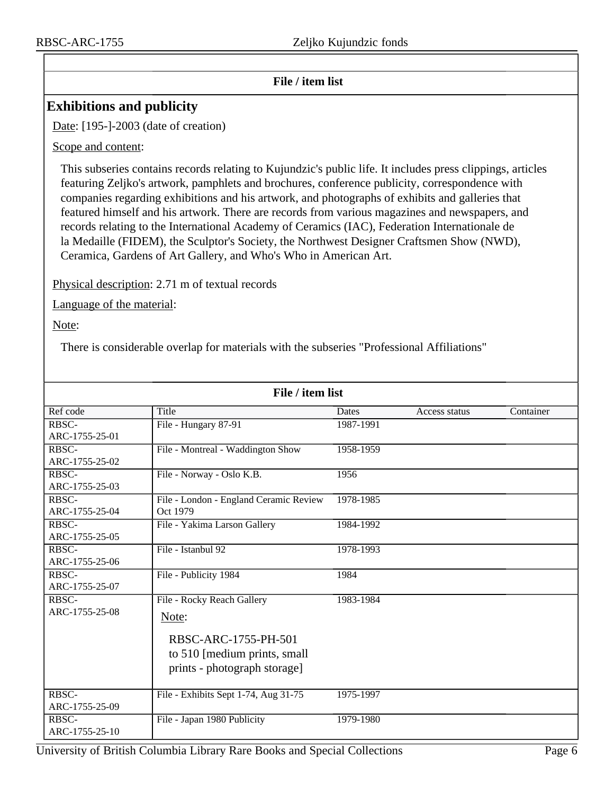### **File / item list**

## <span id="page-5-0"></span>**Exhibitions and publicity**

Date: [195-]-2003 (date of creation)

Scope and content:

This subseries contains records relating to Kujundzic's public life. It includes press clippings, articles featuring Zeljko's artwork, pamphlets and brochures, conference publicity, correspondence with companies regarding exhibitions and his artwork, and photographs of exhibits and galleries that featured himself and his artwork. There are records from various magazines and newspapers, and records relating to the International Academy of Ceramics (IAC), Federation Internationale de la Medaille (FIDEM), the Sculptor's Society, the Northwest Designer Craftsmen Show (NWD), Ceramica, Gardens of Art Gallery, and Who's Who in American Art.

Physical description: 2.71 m of textual records

Language of the material:

Note:

There is considerable overlap for materials with the subseries "Professional Affiliations"

| File / item list |                                        |           |               |           |
|------------------|----------------------------------------|-----------|---------------|-----------|
| Ref code         | Title                                  | Dates     | Access status | Container |
| RBSC-            | File - Hungary 87-91                   | 1987-1991 |               |           |
| ARC-1755-25-01   |                                        |           |               |           |
| RBSC-            | File - Montreal - Waddington Show      | 1958-1959 |               |           |
| ARC-1755-25-02   |                                        |           |               |           |
| RBSC-            | File - Norway - Oslo K.B.              | 1956      |               |           |
| ARC-1755-25-03   |                                        |           |               |           |
| RBSC-            | File - London - England Ceramic Review | 1978-1985 |               |           |
| ARC-1755-25-04   | Oct 1979                               |           |               |           |
| RBSC-            | File - Yakima Larson Gallery           | 1984-1992 |               |           |
| ARC-1755-25-05   |                                        |           |               |           |
| RBSC-            | File - Istanbul 92                     | 1978-1993 |               |           |
| ARC-1755-25-06   |                                        |           |               |           |
| RBSC-            | File - Publicity 1984                  | 1984      |               |           |
| ARC-1755-25-07   |                                        |           |               |           |
| RBSC-            | File - Rocky Reach Gallery             | 1983-1984 |               |           |
| ARC-1755-25-08   | Note:                                  |           |               |           |
|                  | RBSC-ARC-1755-PH-501                   |           |               |           |
|                  | to 510 [medium prints, small           |           |               |           |
|                  | prints - photograph storage]           |           |               |           |
|                  |                                        |           |               |           |
| RBSC-            | File - Exhibits Sept 1-74, Aug 31-75   | 1975-1997 |               |           |
| ARC-1755-25-09   |                                        |           |               |           |
| RBSC-            | File - Japan 1980 Publicity            | 1979-1980 |               |           |
| ARC-1755-25-10   |                                        |           |               |           |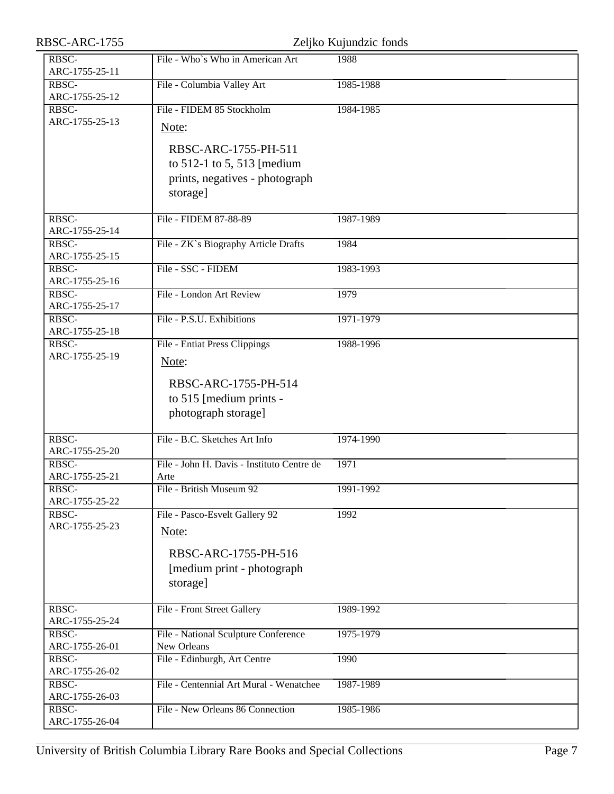| RBSC-ARC-1755           | Zeljko Kujundzic fonds                     |           |  |
|-------------------------|--------------------------------------------|-----------|--|
| RBSC-                   | File - Who's Who in American Art           | 1988      |  |
| ARC-1755-25-11          |                                            |           |  |
| RBSC-                   | File - Columbia Valley Art                 | 1985-1988 |  |
| ARC-1755-25-12          |                                            |           |  |
| RBSC-                   | File - FIDEM 85 Stockholm                  | 1984-1985 |  |
| ARC-1755-25-13          | Note:                                      |           |  |
|                         | RBSC-ARC-1755-PH-511                       |           |  |
|                         | to 512-1 to 5, 513 [medium]                |           |  |
|                         |                                            |           |  |
|                         | prints, negatives - photograph             |           |  |
|                         | storage]                                   |           |  |
| RBSC-                   | File - FIDEM 87-88-89                      | 1987-1989 |  |
| ARC-1755-25-14          |                                            |           |  |
| RBSC-                   | File - ZK`s Biography Article Drafts       | 1984      |  |
| ARC-1755-25-15          |                                            |           |  |
| RBSC-                   | File - SSC - FIDEM                         | 1983-1993 |  |
| ARC-1755-25-16          |                                            |           |  |
| RBSC-                   | File - London Art Review                   | 1979      |  |
| ARC-1755-25-17<br>RBSC- | File - P.S.U. Exhibitions                  | 1971-1979 |  |
| ARC-1755-25-18          |                                            |           |  |
| RBSC-                   | <b>File - Entiat Press Clippings</b>       | 1988-1996 |  |
| ARC-1755-25-19          |                                            |           |  |
|                         | Note:                                      |           |  |
|                         | RBSC-ARC-1755-PH-514                       |           |  |
|                         | to 515 [medium prints -                    |           |  |
|                         | photograph storage]                        |           |  |
|                         |                                            |           |  |
| RBSC-                   | File - B.C. Sketches Art Info              | 1974-1990 |  |
| ARC-1755-25-20          |                                            |           |  |
| RBSC-                   | File - John H. Davis - Instituto Centre de | 1971      |  |
| ARC-1755-25-21          | Arte                                       |           |  |
| RBSC-                   | File - British Museum 92                   | 1991-1992 |  |
| ARC-1755-25-22<br>RBSC- | File - Pasco-Esvelt Gallery 92             | 1992      |  |
| ARC-1755-25-23          |                                            |           |  |
|                         | Note:                                      |           |  |
|                         | RBSC-ARC-1755-PH-516                       |           |  |
|                         | [medium print - photograph]                |           |  |
|                         |                                            |           |  |
|                         | storage]                                   |           |  |
| RBSC-                   | File - Front Street Gallery                | 1989-1992 |  |
| ARC-1755-25-24          |                                            |           |  |
| RBSC-                   | File - National Sculpture Conference       | 1975-1979 |  |
| ARC-1755-26-01          | New Orleans                                |           |  |
| RBSC-                   | File - Edinburgh, Art Centre               | 1990      |  |
| ARC-1755-26-02          |                                            |           |  |
| RBSC-                   | File - Centennial Art Mural - Wenatchee    | 1987-1989 |  |
| ARC-1755-26-03          |                                            |           |  |
| RBSC-<br>ARC-1755-26-04 | File - New Orleans 86 Connection           | 1985-1986 |  |
|                         |                                            |           |  |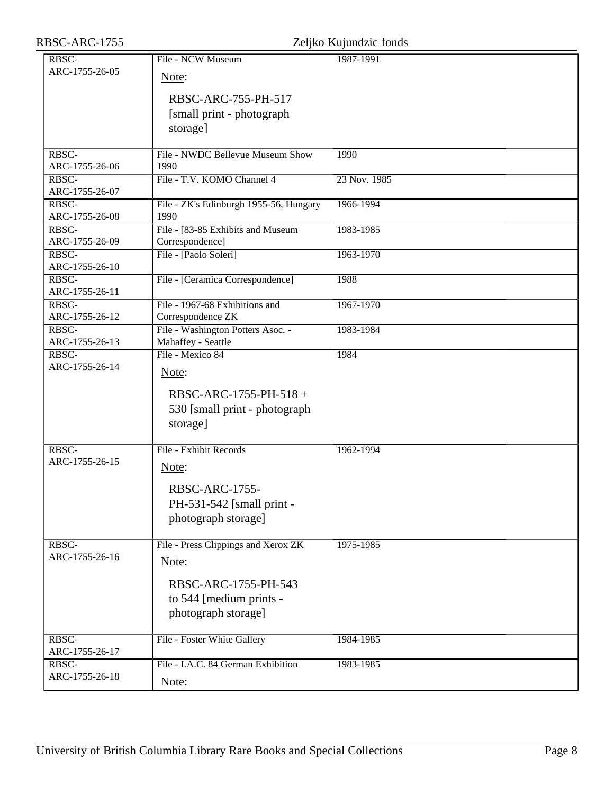| RBSC-ARC-1755           |                                           | Zeljko Kujundzic fonds |
|-------------------------|-------------------------------------------|------------------------|
| RBSC-                   | File - NCW Museum                         | 1987-1991              |
| ARC-1755-26-05          | Note:                                     |                        |
|                         | RBSC-ARC-755-PH-517                       |                        |
|                         | [small print - photograph]                |                        |
|                         | storage]                                  |                        |
|                         |                                           |                        |
| RBSC-                   | File - NWDC Bellevue Museum Show          | 1990                   |
| ARC-1755-26-06          | 1990                                      |                        |
| RBSC-                   | File - T.V. KOMO Channel 4                | 23 Nov. 1985           |
| ARC-1755-26-07          |                                           |                        |
| RBSC-                   | File - ZK's Edinburgh 1955-56, Hungary    | 1966-1994              |
| ARC-1755-26-08<br>RBSC- | 1990<br>File - [83-85 Exhibits and Museum |                        |
| ARC-1755-26-09          | Correspondence]                           | 1983-1985              |
| RBSC-                   | File - [Paolo Soleri]                     | 1963-1970              |
| ARC-1755-26-10          |                                           |                        |
| RBSC-                   | File - [Ceramica Correspondence]          | 1988                   |
| ARC-1755-26-11          |                                           |                        |
| RBSC-                   | File - 1967-68 Exhibitions and            | 1967-1970              |
| ARC-1755-26-12          | Correspondence ZK                         |                        |
| RBSC-                   | File - Washington Potters Asoc. -         | 1983-1984              |
| ARC-1755-26-13          | Mahaffey - Seattle<br>File - Mexico 84    |                        |
| RBSC-<br>ARC-1755-26-14 |                                           | 1984                   |
|                         | Note:                                     |                        |
|                         | RBSC-ARC-1755-PH-518 +                    |                        |
|                         | 530 [small print - photograph             |                        |
|                         | storage]                                  |                        |
|                         |                                           |                        |
| RBSC-                   | File - Exhibit Records                    | 1962-1994              |
| ARC-1755-26-15          | Note:                                     |                        |
|                         |                                           |                        |
|                         | <b>RBSC-ARC-1755-</b>                     |                        |
|                         | PH-531-542 [small print -                 |                        |
|                         | photograph storage]                       |                        |
|                         |                                           |                        |
| RBSC-                   | File - Press Clippings and Xerox ZK       | 1975-1985              |
| ARC-1755-26-16          | Note:                                     |                        |
|                         |                                           |                        |
|                         | RBSC-ARC-1755-PH-543                      |                        |
|                         | to 544 [medium prints -                   |                        |
|                         | photograph storage]                       |                        |
| RBSC-                   | File - Foster White Gallery               | 1984-1985              |
| ARC-1755-26-17          |                                           |                        |
| RBSC-                   | File - I.A.C. 84 German Exhibition        | 1983-1985              |
| ARC-1755-26-18          |                                           |                        |
|                         | Note:                                     |                        |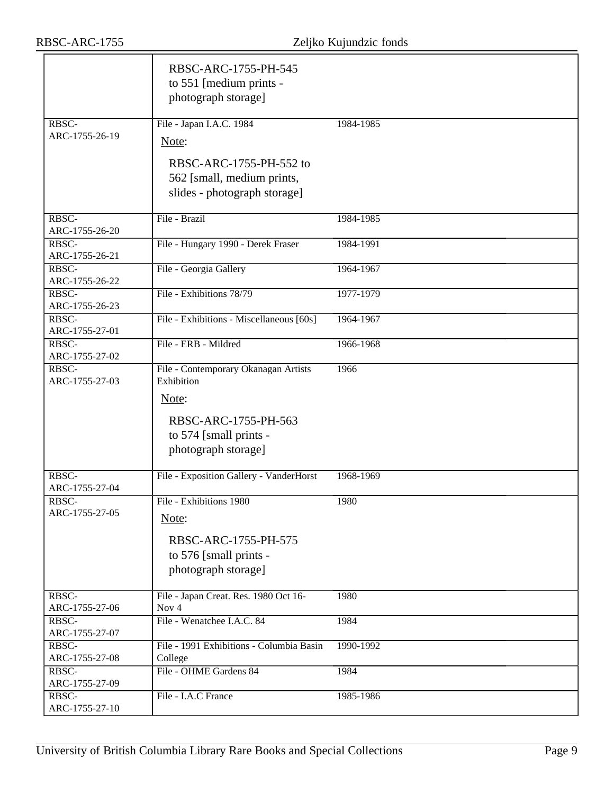|                         | RBSC-ARC-1755-PH-545<br>to 551 [medium prints -<br>photograph storage]                                    |           |
|-------------------------|-----------------------------------------------------------------------------------------------------------|-----------|
| RBSC-<br>ARC-1755-26-19 | File - Japan I.A.C. 1984<br>Note:                                                                         | 1984-1985 |
|                         | RBSC-ARC-1755-PH-552 to<br>562 [small, medium prints,<br>slides - photograph storage]                     |           |
| RBSC-<br>ARC-1755-26-20 | File - Brazil                                                                                             | 1984-1985 |
| RBSC-<br>ARC-1755-26-21 | File - Hungary 1990 - Derek Fraser                                                                        | 1984-1991 |
| RBSC-<br>ARC-1755-26-22 | File - Georgia Gallery                                                                                    | 1964-1967 |
| RBSC-<br>ARC-1755-26-23 | File - Exhibitions 78/79                                                                                  | 1977-1979 |
| RBSC-<br>ARC-1755-27-01 | File - Exhibitions - Miscellaneous [60s]                                                                  | 1964-1967 |
| RBSC-<br>ARC-1755-27-02 | File - ERB - Mildred                                                                                      | 1966-1968 |
| RBSC-<br>ARC-1755-27-03 | File - Contemporary Okanagan Artists<br>Exhibition<br>Note:<br>RBSC-ARC-1755-PH-563                       | 1966      |
|                         | to 574 [small prints -<br>photograph storage]                                                             |           |
| RBSC-<br>ARC-1755-27-04 | File - Exposition Gallery - VanderHorst                                                                   | 1968-1969 |
| RBSC-<br>ARC-1755-27-05 | File - Exhibitions 1980<br>Note:<br>RBSC-ARC-1755-PH-575<br>to 576 [small prints -<br>photograph storage] | 1980      |
| RBSC-<br>ARC-1755-27-06 | File - Japan Creat. Res. 1980 Oct 16-<br>Nov 4                                                            | 1980      |
| RBSC-<br>ARC-1755-27-07 | File - Wenatchee I.A.C. 84                                                                                | 1984      |
| RBSC-<br>ARC-1755-27-08 | File - 1991 Exhibitions - Columbia Basin<br>College                                                       | 1990-1992 |
| RBSC-<br>ARC-1755-27-09 | File - OHME Gardens 84                                                                                    | 1984      |
| RBSC-<br>ARC-1755-27-10 | File - I.A.C France                                                                                       | 1985-1986 |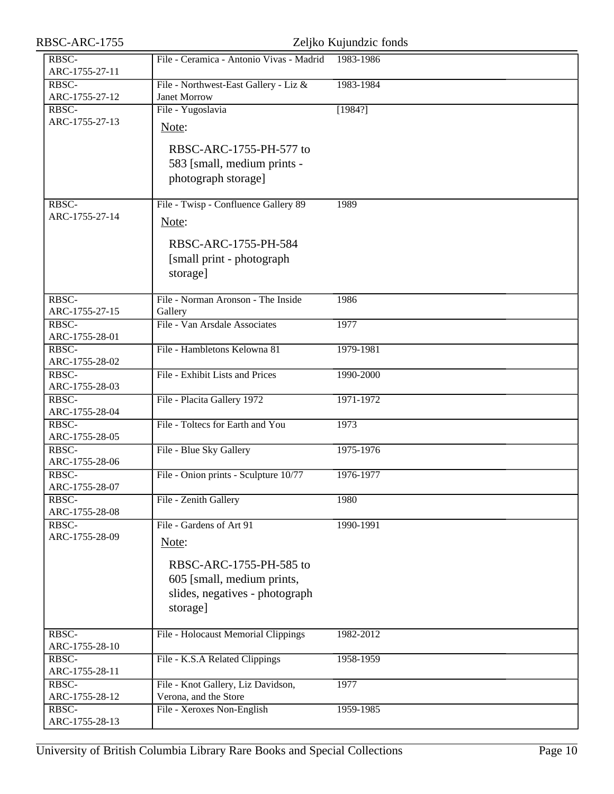| RBSC-ARC-1755           | Zeljko Kujundzic fonds                   |           |  |
|-------------------------|------------------------------------------|-----------|--|
| RBSC-                   | File - Ceramica - Antonio Vivas - Madrid | 1983-1986 |  |
| ARC-1755-27-11          |                                          |           |  |
| RBSC-                   | File - Northwest-East Gallery - Liz &    | 1983-1984 |  |
| ARC-1755-27-12          | <b>Janet Morrow</b>                      |           |  |
| RBSC-                   | File - Yugoslavia                        | [1984?]   |  |
| ARC-1755-27-13          | Note:                                    |           |  |
|                         |                                          |           |  |
|                         | RBSC-ARC-1755-PH-577 to                  |           |  |
|                         | 583 [small, medium prints -              |           |  |
|                         | photograph storage]                      |           |  |
| RBSC-                   | File - Twisp - Confluence Gallery 89     | 1989      |  |
| ARC-1755-27-14          |                                          |           |  |
|                         | Note:                                    |           |  |
|                         | RBSC-ARC-1755-PH-584                     |           |  |
|                         | [small print - photograph                |           |  |
|                         | storage]                                 |           |  |
|                         |                                          |           |  |
| RBSC-                   | File - Norman Aronson - The Inside       | 1986      |  |
| ARC-1755-27-15          | Gallery                                  |           |  |
| RBSC-<br>ARC-1755-28-01 | File - Van Arsdale Associates            | 1977      |  |
| RBSC-                   | File - Hambletons Kelowna 81             | 1979-1981 |  |
| ARC-1755-28-02          |                                          |           |  |
| RBSC-                   | File - Exhibit Lists and Prices          | 1990-2000 |  |
| ARC-1755-28-03          |                                          |           |  |
| RBSC-                   | File - Placita Gallery 1972              | 1971-1972 |  |
| ARC-1755-28-04          | File - Toltecs for Earth and You         |           |  |
| RBSC-<br>ARC-1755-28-05 |                                          | 1973      |  |
| RBSC-                   | File - Blue Sky Gallery                  | 1975-1976 |  |
| ARC-1755-28-06          |                                          |           |  |
| RBSC-                   | File - Onion prints - Sculpture 10/77    | 1976-1977 |  |
| ARC-1755-28-07          |                                          |           |  |
| RBSC-                   | File - Zenith Gallery                    | 1980      |  |
| ARC-1755-28-08<br>RBSC- | File - Gardens of Art 91                 | 1990-1991 |  |
| ARC-1755-28-09          |                                          |           |  |
|                         | Note:                                    |           |  |
|                         | RBSC-ARC-1755-PH-585 to                  |           |  |
|                         | 605 [small, medium prints,               |           |  |
|                         | slides, negatives - photograph           |           |  |
|                         | storage]                                 |           |  |
|                         |                                          |           |  |
| RBSC-                   | File - Holocaust Memorial Clippings      | 1982-2012 |  |
| ARC-1755-28-10          |                                          |           |  |
| RBSC-                   | File - K.S.A Related Clippings           | 1958-1959 |  |
| ARC-1755-28-11<br>RBSC- | File - Knot Gallery, Liz Davidson,       | 1977      |  |
| ARC-1755-28-12          | Verona, and the Store                    |           |  |
| RBSC-                   | File - Xeroxes Non-English               | 1959-1985 |  |
| ARC-1755-28-13          |                                          |           |  |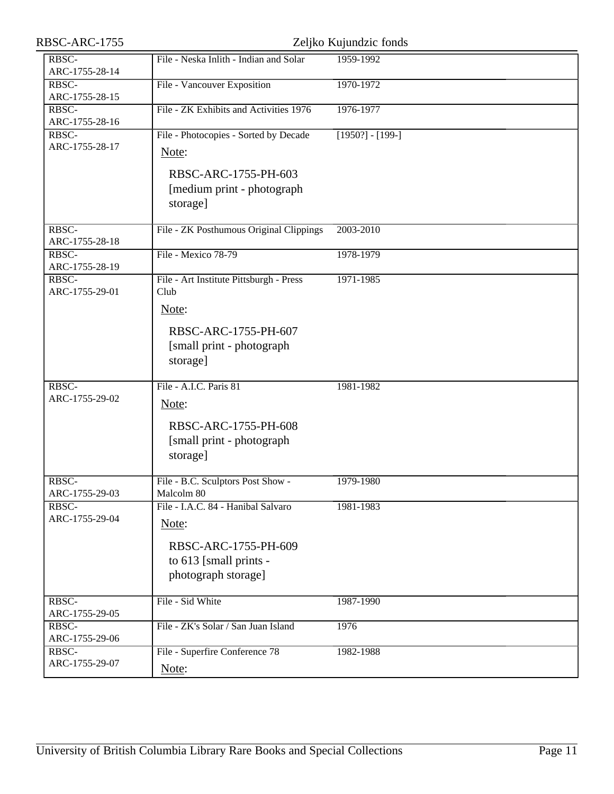| RBSC-ARC-1755           |                                                                                                                            | Zeljko Kujundzic fonds |
|-------------------------|----------------------------------------------------------------------------------------------------------------------------|------------------------|
| RBSC-<br>ARC-1755-28-14 | File - Neska Inlith - Indian and Solar                                                                                     | 1959-1992              |
| RBSC-<br>ARC-1755-28-15 | File - Vancouver Exposition                                                                                                | 1970-1972              |
| RBSC-<br>ARC-1755-28-16 | File - ZK Exhibits and Activities 1976                                                                                     | 1976-1977              |
| RBSC-<br>ARC-1755-28-17 | File - Photocopies - Sorted by Decade<br>Note:<br>RBSC-ARC-1755-PH-603<br>[medium print - photograph]<br>storage]          | $[1950?] - [199-]$     |
| RBSC-<br>ARC-1755-28-18 | File - ZK Posthumous Original Clippings                                                                                    | 2003-2010              |
| RBSC-<br>ARC-1755-28-19 | File - Mexico 78-79                                                                                                        | 1978-1979              |
| RBSC-<br>ARC-1755-29-01 | File - Art Institute Pittsburgh - Press<br>Club<br>Note:<br>RBSC-ARC-1755-PH-607<br>[small print - photograph]<br>storage] | 1971-1985              |
| RBSC-<br>ARC-1755-29-02 | File - A.I.C. Paris 81<br>Note:<br>RBSC-ARC-1755-PH-608<br>[small print - photograph<br>storage]                           | 1981-1982              |
| RBSC-<br>ARC-1755-29-03 | File - B.C. Sculptors Post Show -<br>Malcolm 80                                                                            | 1979-1980              |
| RBSC-<br>ARC-1755-29-04 | File - I.A.C. 84 - Hanibal Salvaro<br>Note:<br>RBSC-ARC-1755-PH-609<br>to 613 [small prints -<br>photograph storage]       | 1981-1983              |
| RBSC-<br>ARC-1755-29-05 | File - Sid White                                                                                                           | 1987-1990              |
| RBSC-<br>ARC-1755-29-06 | File - ZK's Solar / San Juan Island                                                                                        | 1976                   |
| RBSC-<br>ARC-1755-29-07 | File - Superfire Conference 78<br>Note:                                                                                    | 1982-1988              |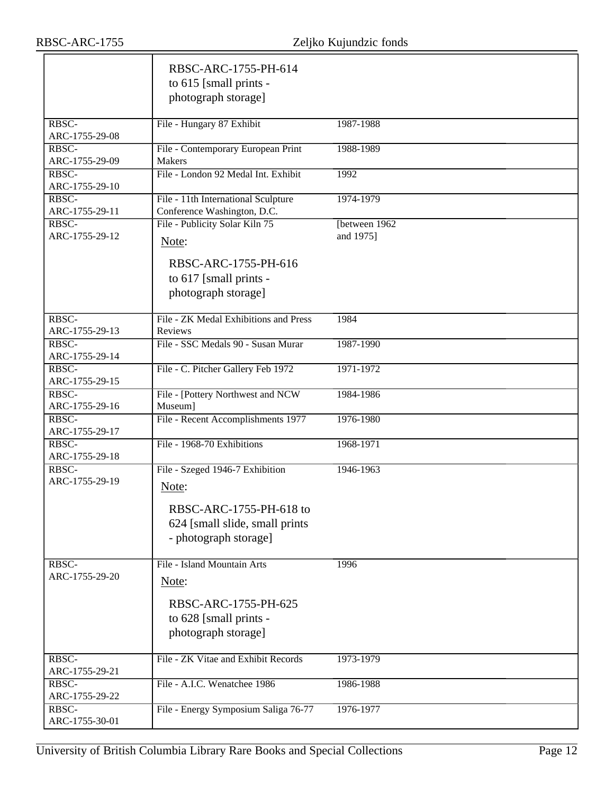|                         | RBSC-ARC-1755-PH-614                  |                |
|-------------------------|---------------------------------------|----------------|
|                         | to 615 [small prints -                |                |
|                         | photograph storage]                   |                |
|                         |                                       |                |
| RBSC-                   | File - Hungary 87 Exhibit             | 1987-1988      |
| ARC-1755-29-08          |                                       |                |
| RBSC-                   | File - Contemporary European Print    | 1988-1989      |
| ARC-1755-29-09          | Makers                                |                |
| RBSC-                   | File - London 92 Medal Int. Exhibit   | 1992           |
| ARC-1755-29-10          |                                       |                |
| RBSC-                   | File - 11th International Sculpture   | 1974-1979      |
| ARC-1755-29-11          | Conference Washington, D.C.           |                |
| RBSC-                   | File - Publicity Solar Kiln 75        | [between 1962] |
| ARC-1755-29-12          | Note:                                 | and 1975]      |
|                         |                                       |                |
|                         | RBSC-ARC-1755-PH-616                  |                |
|                         | to 617 [small prints -                |                |
|                         | photograph storage]                   |                |
|                         |                                       |                |
| RBSC-                   | File - ZK Medal Exhibitions and Press | 1984           |
| ARC-1755-29-13          | Reviews                               |                |
| RBSC-                   | File - SSC Medals 90 - Susan Murar    | 1987-1990      |
| ARC-1755-29-14          |                                       |                |
| RBSC-                   | File - C. Pitcher Gallery Feb 1972    | 1971-1972      |
| ARC-1755-29-15          |                                       |                |
| RBSC-                   | File - [Pottery Northwest and NCW     | 1984-1986      |
| ARC-1755-29-16          | Museum]                               |                |
| RBSC-                   | File - Recent Accomplishments 1977    | 1976-1980      |
| ARC-1755-29-17          |                                       |                |
| RBSC-                   | File - 1968-70 Exhibitions            | 1968-1971      |
| ARC-1755-29-18          |                                       |                |
| RBSC-                   | File - Szeged 1946-7 Exhibition       | 1946-1963      |
| ARC-1755-29-19          | Note:                                 |                |
|                         |                                       |                |
|                         | RBSC-ARC-1755-PH-618 to               |                |
|                         | 624 [small slide, small prints        |                |
|                         | - photograph storage]                 |                |
|                         |                                       |                |
| RBSC-                   | File - Island Mountain Arts           | 1996           |
| ARC-1755-29-20          |                                       |                |
|                         | Note:                                 |                |
|                         | RBSC-ARC-1755-PH-625                  |                |
|                         |                                       |                |
|                         | to 628 [small prints -                |                |
|                         | photograph storage]                   |                |
|                         |                                       |                |
| RBSC-                   | File - ZK Vitae and Exhibit Records   | 1973-1979      |
| ARC-1755-29-21          |                                       |                |
| RBSC-                   | File - A.I.C. Wenatchee 1986          | 1986-1988      |
| ARC-1755-29-22          |                                       |                |
| RBSC-<br>ARC-1755-30-01 | File - Energy Symposium Saliga 76-77  | 1976-1977      |
|                         |                                       |                |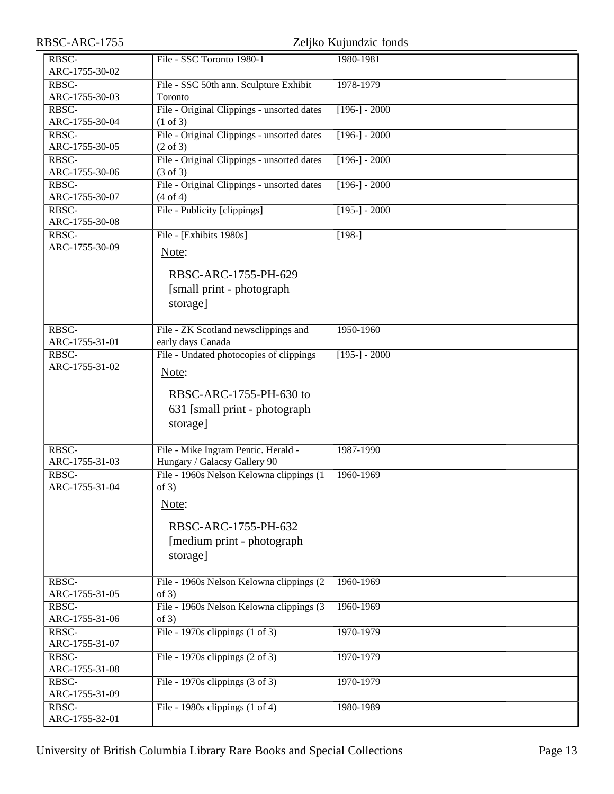| RBSC-ARC-1755                              |                                                                       | Zeljko Kujundzic fonds |
|--------------------------------------------|-----------------------------------------------------------------------|------------------------|
| RBSC-<br>ARC-1755-30-02                    | File - SSC Toronto 1980-1                                             | 1980-1981              |
| RBSC-<br>ARC-1755-30-03                    | File - SSC 50th ann. Sculpture Exhibit<br>Toronto                     | 1978-1979              |
| RBSC-<br>ARC-1755-30-04                    | File - Original Clippings - unsorted dates<br>$(1 \text{ of } 3)$     | $[196-] - 2000$        |
| RBSC-<br>ARC-1755-30-05                    | File - Original Clippings - unsorted dates<br>$(2 \text{ of } 3)$     | $[196-] - 2000$        |
| RBSC-<br>ARC-1755-30-06                    | File - Original Clippings - unsorted dates<br>$(3 \text{ of } 3)$     | $[196-] - 2000$        |
| RBSC-<br>ARC-1755-30-07                    | File - Original Clippings - unsorted dates<br>(4 of 4)                | $[196-] - 2000$        |
| RBSC-<br>ARC-1755-30-08                    | File - Publicity [clippings]                                          | $[195-] - 2000$        |
| RBSC-<br>ARC-1755-30-09                    | File - [Exhibits 1980s]<br>Note:                                      | $[198-]$               |
|                                            | RBSC-ARC-1755-PH-629<br>[small print - photograph]<br>storage]        |                        |
| RBSC-<br>ARC-1755-31-01                    | File - ZK Scotland newsclippings and<br>early days Canada             | 1950-1960              |
| RBSC-<br>ARC-1755-31-02                    | File - Undated photocopies of clippings<br>Note:                      | $[195-] - 2000$        |
|                                            | RBSC-ARC-1755-PH-630 to<br>631 [small print - photograph]<br>storage] |                        |
| RBSC-<br>ARC-1755-31-03                    | File - Mike Ingram Pentic. Herald -<br>Hungary / Galacsy Gallery 90   | 1987-1990              |
| RBSC-<br>ARC-1755-31-04                    | File - 1960s Nelson Kelowna clippings (1<br>of 3)<br>Note:            | 1960-1969              |
|                                            | RBSC-ARC-1755-PH-632<br>[medium print - photograph]<br>storage]       |                        |
| RBSC-<br>ARC-1755-31-05                    | File - 1960s Nelson Kelowna clippings (2<br>of $3)$                   | 1960-1969              |
| RBSC-<br>ARC-1755-31-06                    | File - 1960s Nelson Kelowna clippings (3<br>of $3)$                   | 1960-1969              |
| $R\overline{\text{BSC}}$<br>ARC-1755-31-07 | File - 1970s clippings $(1 \text{ of } 3)$                            | 1970-1979              |
| RBSC-<br>ARC-1755-31-08                    | File - 1970s clippings $(2 \text{ of } 3)$                            | 1970-1979              |
| RBSC-<br>ARC-1755-31-09                    | File - 1970s clippings $(3 \text{ of } 3)$                            | 1970-1979              |
| RBSC-<br>ARC-1755-32-01                    | File - 1980s clippings $(1 \text{ of } 4)$                            | 1980-1989              |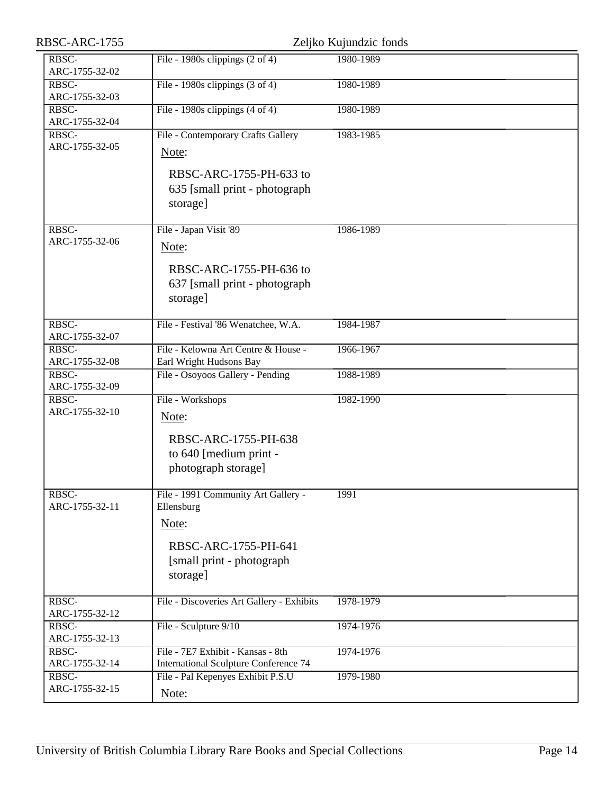| RBSC-ARC-1755           |                                                                            | Zeljko Kujundzic fonds |
|-------------------------|----------------------------------------------------------------------------|------------------------|
| RBSC-<br>ARC-1755-32-02 | File - 1980s clippings $(2 \text{ of } 4)$                                 | 1980-1989              |
| RBSC-<br>ARC-1755-32-03 | File - 1980s clippings $(3 \text{ of } 4)$                                 | 1980-1989              |
| RBSC-<br>ARC-1755-32-04 | File - 1980s clippings $(4 \text{ of } 4)$                                 | 1980-1989              |
| RBSC-<br>ARC-1755-32-05 | File - Contemporary Crafts Gallery<br>Note:                                | 1983-1985              |
|                         | RBSC-ARC-1755-PH-633 to<br>635 [small print - photograph<br>storage]       |                        |
| RBSC-<br>ARC-1755-32-06 | File - Japan Visit '89<br>Note:                                            | 1986-1989              |
|                         | RBSC-ARC-1755-PH-636 to<br>637 [small print - photograph<br>storage]       |                        |
| RBSC-<br>ARC-1755-32-07 | File - Festival '86 Wenatchee, W.A.                                        | 1984-1987              |
| RBSC-<br>ARC-1755-32-08 | File - Kelowna Art Centre & House -<br>Earl Wright Hudsons Bay             | 1966-1967              |
| RBSC-<br>ARC-1755-32-09 | File - Osoyoos Gallery - Pending                                           | 1988-1989              |
| RBSC-<br>ARC-1755-32-10 | File - Workshops<br>Note:                                                  | 1982-1990              |
|                         | RBSC-ARC-1755-PH-638<br>to 640 [medium print -<br>photograph storage]      |                        |
| RBSC-<br>ARC-1755-32-11 | File - 1991 Community Art Gallery -<br>Ellensburg                          | 1991                   |
|                         | Note:<br>RBSC-ARC-1755-PH-641<br>[small print - photograph<br>storage]     |                        |
| RBSC-<br>ARC-1755-32-12 | File - Discoveries Art Gallery - Exhibits                                  | 1978-1979              |
| RBSC-<br>ARC-1755-32-13 | File - Sculpture 9/10                                                      | 1974-1976              |
| RBSC-<br>ARC-1755-32-14 | File - 7E7 Exhibit - Kansas - 8th<br>International Sculpture Conference 74 | 1974-1976              |
| RBSC-<br>ARC-1755-32-15 | File - Pal Kepenyes Exhibit P.S.U<br>Note:                                 | 1979-1980              |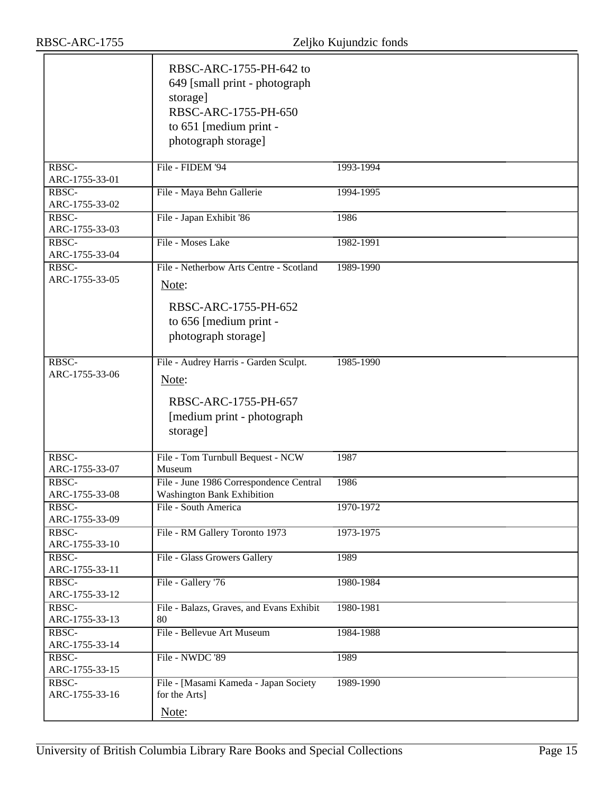|                         | RBSC-ARC-1755-PH-642 to<br>649 [small print - photograph<br>storage]<br>RBSC-ARC-1755-PH-650<br>to 651 [medium print -<br>photograph storage] |           |
|-------------------------|-----------------------------------------------------------------------------------------------------------------------------------------------|-----------|
| RBSC-<br>ARC-1755-33-01 | File - FIDEM '94                                                                                                                              | 1993-1994 |
| RBSC-<br>ARC-1755-33-02 | File - Maya Behn Gallerie                                                                                                                     | 1994-1995 |
| RBSC-<br>ARC-1755-33-03 | File - Japan Exhibit '86                                                                                                                      | 1986      |
| RBSC-<br>ARC-1755-33-04 | File - Moses Lake                                                                                                                             | 1982-1991 |
| RBSC-<br>ARC-1755-33-05 | File - Netherbow Arts Centre - Scotland<br>Note:<br>RBSC-ARC-1755-PH-652<br>to 656 [medium print -<br>photograph storage]                     | 1989-1990 |
| RBSC-<br>ARC-1755-33-06 | File - Audrey Harris - Garden Sculpt.<br>Note:<br>RBSC-ARC-1755-PH-657<br>[medium print - photograph<br>storage]                              | 1985-1990 |
| RBSC-<br>ARC-1755-33-07 | File - Tom Turnbull Bequest - NCW<br>Museum                                                                                                   | 1987      |
| RBSC-<br>ARC-1755-33-08 | File - June 1986 Correspondence Central<br><b>Washington Bank Exhibition</b>                                                                  | 1986      |
| RBSC-<br>ARC-1755-33-09 | File - South America                                                                                                                          | 1970-1972 |
| RBSC-<br>ARC-1755-33-10 | File - RM Gallery Toronto 1973                                                                                                                | 1973-1975 |
| RBSC-<br>ARC-1755-33-11 | File - Glass Growers Gallery                                                                                                                  | 1989      |
| RBSC-<br>ARC-1755-33-12 | File - Gallery '76                                                                                                                            | 1980-1984 |
| RBSC-<br>ARC-1755-33-13 | File - Balazs, Graves, and Evans Exhibit<br>80                                                                                                | 1980-1981 |
| RBSC-<br>ARC-1755-33-14 | File - Bellevue Art Museum                                                                                                                    | 1984-1988 |
| RBSC-<br>ARC-1755-33-15 | File - NWDC '89                                                                                                                               | 1989      |
| RBSC-<br>ARC-1755-33-16 | File - [Masami Kameda - Japan Society<br>for the Arts]                                                                                        | 1989-1990 |
|                         | Note:                                                                                                                                         |           |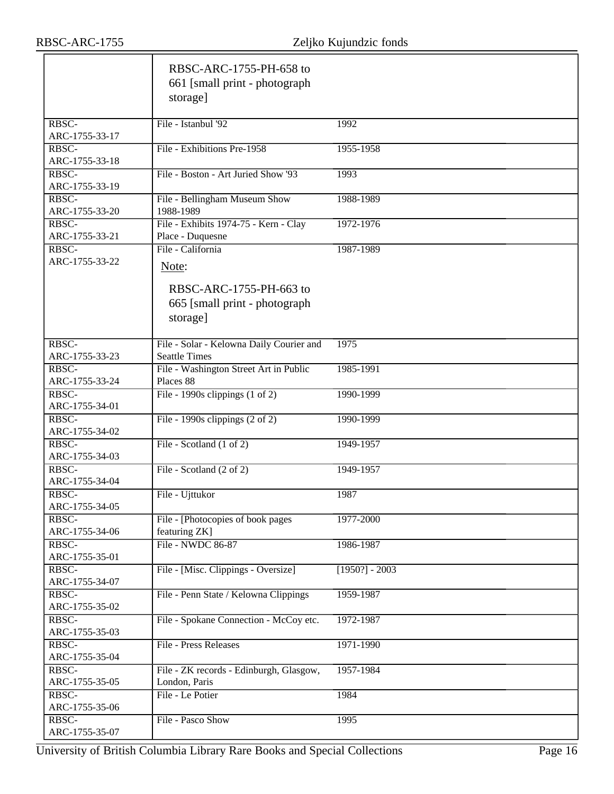|                         | RBSC-ARC-1755-PH-658 to                                          |                  |
|-------------------------|------------------------------------------------------------------|------------------|
|                         | 661 [small print - photograph                                    |                  |
|                         |                                                                  |                  |
|                         | storage]                                                         |                  |
| RBSC-                   | File - Istanbul '92                                              | 1992             |
| ARC-1755-33-17          |                                                                  |                  |
| RBSC-                   | File - Exhibitions Pre-1958                                      | 1955-1958        |
| ARC-1755-33-18          |                                                                  |                  |
| RBSC-                   | File - Boston - Art Juried Show '93                              | 1993             |
| ARC-1755-33-19          |                                                                  |                  |
| RBSC-                   | File - Bellingham Museum Show                                    | 1988-1989        |
| ARC-1755-33-20          | 1988-1989                                                        |                  |
| RBSC-                   | File - Exhibits 1974-75 - Kern - Clay                            | 1972-1976        |
| ARC-1755-33-21          | Place - Duquesne                                                 |                  |
| RBSC-<br>ARC-1755-33-22 | File - California                                                | 1987-1989        |
|                         | Note:                                                            |                  |
|                         | RBSC-ARC-1755-PH-663 to                                          |                  |
|                         |                                                                  |                  |
|                         | 665 [small print - photograph                                    |                  |
|                         | storage]                                                         |                  |
|                         |                                                                  | 1975             |
| RBSC-<br>ARC-1755-33-23 | File - Solar - Kelowna Daily Courier and<br><b>Seattle Times</b> |                  |
| RBSC-                   | File - Washington Street Art in Public                           | 1985-1991        |
| ARC-1755-33-24          | Places 88                                                        |                  |
| RBSC-                   | File - 1990s clippings $(1 \text{ of } 2)$                       | 1990-1999        |
| ARC-1755-34-01          |                                                                  |                  |
| RBSC-                   | File - 1990s clippings $(2 \text{ of } 2)$                       | 1990-1999        |
| ARC-1755-34-02          |                                                                  |                  |
| RBSC-                   | File - Scotland (1 of 2)                                         | 1949-1957        |
| ARC-1755-34-03          |                                                                  |                  |
| RBSC-                   | File - Scotland (2 of 2)                                         | 1949-1957        |
| ARC-1755-34-04          |                                                                  |                  |
| RBSC-<br>ARC-1755-34-05 | File - Ujttukor                                                  | 1987             |
| RBSC-                   | File - [Photocopies of book pages]                               | 1977-2000        |
| ARC-1755-34-06          | featuring ZK]                                                    |                  |
| RBSC-                   | File - NWDC 86-87                                                | 1986-1987        |
| ARC-1755-35-01          |                                                                  |                  |
| RBSC-                   | File - [Misc. Clippings - Oversize]                              | $[1950?] - 2003$ |
| ARC-1755-34-07          |                                                                  |                  |
| RBSC-                   | File - Penn State / Kelowna Clippings                            | 1959-1987        |
| ARC-1755-35-02          |                                                                  |                  |
| RBSC-                   | File - Spokane Connection - McCoy etc.                           | 1972-1987        |
| ARC-1755-35-03          |                                                                  |                  |
| RBSC-<br>ARC-1755-35-04 | File - Press Releases                                            | 1971-1990        |
| RBSC-                   | File - ZK records - Edinburgh, Glasgow,                          | 1957-1984        |
| ARC-1755-35-05          | London, Paris                                                    |                  |
| RBSC-                   | File - Le Potier                                                 | 1984             |
| ARC-1755-35-06          |                                                                  |                  |
| RBSC-                   | File - Pasco Show                                                | 1995             |
| ARC-1755-35-07          |                                                                  |                  |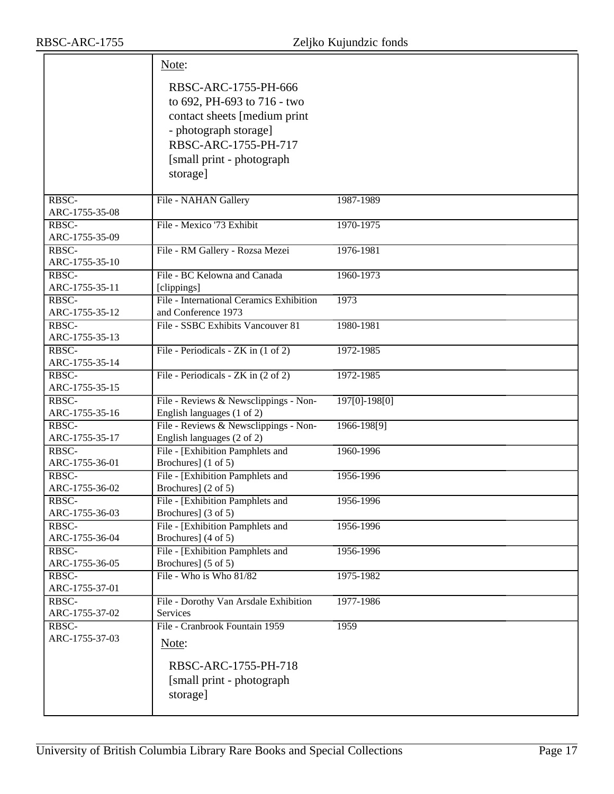|                         | Note:                                                   |               |
|-------------------------|---------------------------------------------------------|---------------|
|                         | RBSC-ARC-1755-PH-666<br>to 692, PH-693 to 716 - two     |               |
|                         | contact sheets [medium print                            |               |
|                         | - photograph storage]                                   |               |
|                         | RBSC-ARC-1755-PH-717                                    |               |
|                         | [small print - photograph]                              |               |
|                         | storage]                                                |               |
| RBSC-                   | File - NAHAN Gallery                                    | 1987-1989     |
| ARC-1755-35-08          |                                                         |               |
| RBSC-                   | File - Mexico '73 Exhibit                               | 1970-1975     |
| ARC-1755-35-09          |                                                         |               |
| RBSC-                   | File - RM Gallery - Rozsa Mezei                         | 1976-1981     |
| ARC-1755-35-10<br>RBSC- | File - BC Kelowna and Canada                            | 1960-1973     |
| ARC-1755-35-11          | [clippings]                                             |               |
| RBSC-                   | File - International Ceramics Exhibition                | 1973          |
| ARC-1755-35-12          | and Conference 1973                                     |               |
| RBSC-                   | File - SSBC Exhibits Vancouver 81                       | 1980-1981     |
| ARC-1755-35-13          |                                                         |               |
| RBSC-                   | File - Periodicals - ZK in (1 of 2)                     | 1972-1985     |
| ARC-1755-35-14          |                                                         |               |
| RBSC-                   | File - Periodicals - ZK in (2 of 2)                     | 1972-1985     |
| ARC-1755-35-15          |                                                         |               |
| RBSC-                   | File - Reviews & Newsclippings - Non-                   | 197[0]-198[0] |
| ARC-1755-35-16          | English languages (1 of 2)                              |               |
| RBSC-                   | File - Reviews & Newsclippings - Non-                   | 1966-198[9]   |
| ARC-1755-35-17          | English languages (2 of 2)                              |               |
| RBSC-                   | File - [Exhibition Pamphlets and                        | 1960-1996     |
| ARC-1755-36-01<br>RBSC- | Brochures] (1 of 5)                                     |               |
| ARC-1755-36-02          | File - [Exhibition Pamphlets and<br>Brochures] (2 of 5) | 1956-1996     |
| RBSC-                   | File - [Exhibition Pamphlets and                        | 1956-1996     |
| ARC-1755-36-03          | Brochures] (3 of 5)                                     |               |
| RBSC-                   | File - [Exhibition Pamphlets and                        | 1956-1996     |
| ARC-1755-36-04          | Brochures] (4 of 5)                                     |               |
| RBSC-                   | File - [Exhibition Pamphlets and                        | 1956-1996     |
| ARC-1755-36-05          | Brochures] (5 of 5)                                     |               |
| RBSC-                   | File - Who is Who 81/82                                 | 1975-1982     |
| ARC-1755-37-01          |                                                         |               |
| RBSC-                   | File - Dorothy Van Arsdale Exhibition                   | 1977-1986     |
| ARC-1755-37-02          | Services                                                |               |
| RBSC-                   | File - Cranbrook Fountain 1959                          | 1959          |
| ARC-1755-37-03          | Note:                                                   |               |
|                         | RBSC-ARC-1755-PH-718                                    |               |
|                         | [small print - photograph]                              |               |
|                         | storage]                                                |               |
|                         |                                                         |               |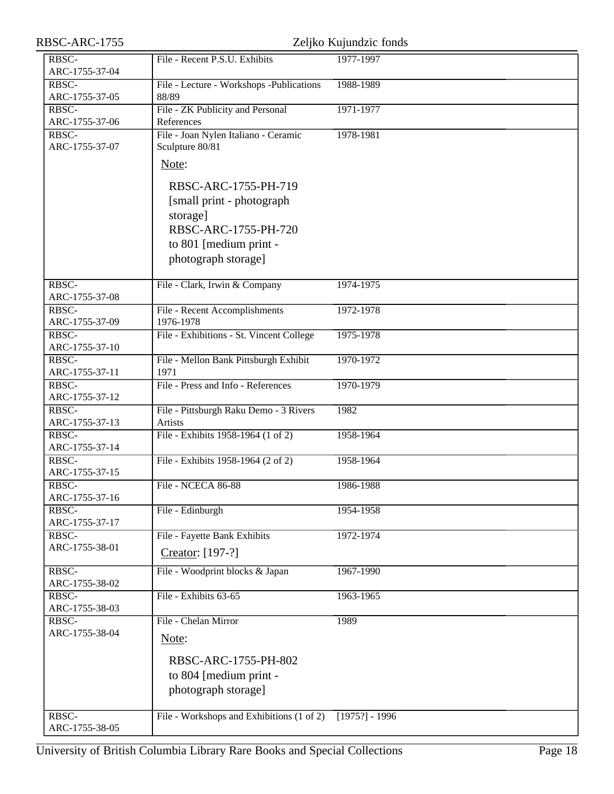| RBSC-ARC-1755  | Zeljko Kujundzic fonds                    |                  |  |
|----------------|-------------------------------------------|------------------|--|
| RBSC-          | File - Recent P.S.U. Exhibits             | 1977-1997        |  |
| ARC-1755-37-04 |                                           |                  |  |
| RBSC-          | File - Lecture - Workshops - Publications | 1988-1989        |  |
| ARC-1755-37-05 | 88/89                                     |                  |  |
| RBSC-          | File - ZK Publicity and Personal          | 1971-1977        |  |
| ARC-1755-37-06 | References                                |                  |  |
|                |                                           |                  |  |
| RBSC-          | File - Joan Nylen Italiano - Ceramic      | 1978-1981        |  |
| ARC-1755-37-07 | Sculpture 80/81                           |                  |  |
|                | Note:                                     |                  |  |
|                |                                           |                  |  |
|                | RBSC-ARC-1755-PH-719                      |                  |  |
|                | [small print - photograph]                |                  |  |
|                | storage]                                  |                  |  |
|                | RBSC-ARC-1755-PH-720                      |                  |  |
|                | to 801 [medium print -                    |                  |  |
|                |                                           |                  |  |
|                | photograph storage]                       |                  |  |
|                |                                           |                  |  |
| RBSC-          | File - Clark, Irwin & Company             | 1974-1975        |  |
| ARC-1755-37-08 |                                           |                  |  |
| RBSC-          | File - Recent Accomplishments             | 1972-1978        |  |
| ARC-1755-37-09 | 1976-1978                                 |                  |  |
| RBSC-          | File - Exhibitions - St. Vincent College  | 1975-1978        |  |
| ARC-1755-37-10 |                                           |                  |  |
| RBSC-          | File - Mellon Bank Pittsburgh Exhibit     | 1970-1972        |  |
| ARC-1755-37-11 | 1971                                      |                  |  |
| RBSC-          | File - Press and Info - References        | 1970-1979        |  |
| ARC-1755-37-12 |                                           |                  |  |
| RBSC-          | File - Pittsburgh Raku Demo - 3 Rivers    | 1982             |  |
| ARC-1755-37-13 | Artists                                   |                  |  |
| RBSC-          | File - Exhibits 1958-1964 (1 of 2)        | 1958-1964        |  |
| ARC-1755-37-14 |                                           |                  |  |
| RBSC-          | File - Exhibits 1958-1964 (2 of 2)        | 1958-1964        |  |
| ARC-1755-37-15 |                                           |                  |  |
| RBSC-          | File - NCECA 86-88                        | 1986-1988        |  |
| ARC-1755-37-16 |                                           |                  |  |
| RBSC-          | File - Edinburgh                          | 1954-1958        |  |
| ARC-1755-37-17 |                                           |                  |  |
| RBSC-          | File - Fayette Bank Exhibits              | 1972-1974        |  |
| ARC-1755-38-01 | Creator: [197-?]                          |                  |  |
|                |                                           |                  |  |
| RBSC-          | File - Woodprint blocks & Japan           | 1967-1990        |  |
| ARC-1755-38-02 |                                           |                  |  |
| RBSC-          | File - Exhibits 63-65                     | 1963-1965        |  |
| ARC-1755-38-03 |                                           |                  |  |
| RBSC-          | File - Chelan Mirror                      | 1989             |  |
| ARC-1755-38-04 | Note:                                     |                  |  |
|                |                                           |                  |  |
|                | RBSC-ARC-1755-PH-802                      |                  |  |
|                | to 804 [medium print -                    |                  |  |
|                |                                           |                  |  |
|                | photograph storage]                       |                  |  |
|                |                                           |                  |  |
| RBSC-          | File - Workshops and Exhibitions (1 of 2) | $[1975?] - 1996$ |  |
| ARC-1755-38-05 |                                           |                  |  |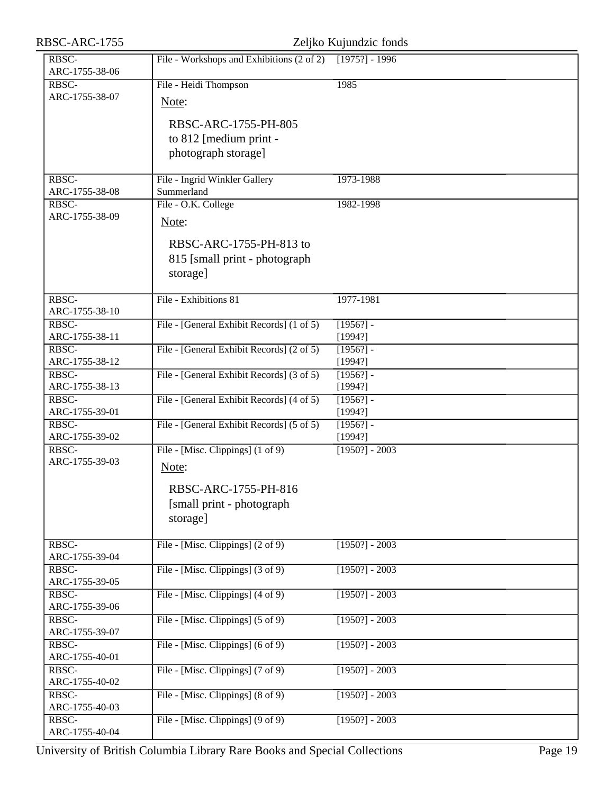| RBSC-ARC-1755           | Zeljko Kujundzic fonds                                                                                  |                        |  |
|-------------------------|---------------------------------------------------------------------------------------------------------|------------------------|--|
| RBSC-<br>ARC-1755-38-06 | File - Workshops and Exhibitions (2 of 2)                                                               | $[1975?] - 1996$       |  |
| RBSC-<br>ARC-1755-38-07 | File - Heidi Thompson<br>Note:<br>RBSC-ARC-1755-PH-805<br>to 812 [medium print -<br>photograph storage] | 1985                   |  |
| RBSC-<br>ARC-1755-38-08 | File - Ingrid Winkler Gallery<br>Summerland                                                             | 1973-1988              |  |
| RBSC-<br>ARC-1755-38-09 | File - O.K. College<br>Note:<br>RBSC-ARC-1755-PH-813 to<br>815 [small print - photograph<br>storage]    | 1982-1998              |  |
| RBSC-<br>ARC-1755-38-10 | File - Exhibitions 81                                                                                   | 1977-1981              |  |
| RBSC-<br>ARC-1755-38-11 | File - [General Exhibit Records] (1 of 5)                                                               | $[1956?] -$<br>[1994?] |  |
| RBSC-<br>ARC-1755-38-12 | File - [General Exhibit Records] (2 of 5)                                                               | $[1956?] -$<br>[1994?] |  |
| RBSC-<br>ARC-1755-38-13 | File - [General Exhibit Records] (3 of 5)                                                               | $[1956?] -$<br>[1994?] |  |
| RBSC-<br>ARC-1755-39-01 | File - [General Exhibit Records] (4 of 5)                                                               | $[1956?] -$<br>[1994?] |  |
| RBSC-<br>ARC-1755-39-02 | File - [General Exhibit Records] (5 of 5)                                                               | $[1956?] -$<br>[1994?] |  |
| RBSC-<br>ARC-1755-39-03 | File - [Misc. Clippings] $(1 \text{ of } 9)$<br>Note:                                                   | $[1950?] - 2003$       |  |
|                         | RBSC-ARC-1755-PH-816<br>[small print - photograph]<br>storage]                                          |                        |  |
| RBSC-<br>ARC-1755-39-04 | File - [Misc. Clippings] $(2 \text{ of } 9)$                                                            | $[1950?] - 2003$       |  |
| RBSC-<br>ARC-1755-39-05 | File - [Misc. Clippings] (3 of 9)                                                                       | $[1950?] - 2003$       |  |
| RBSC-<br>ARC-1755-39-06 | File - [Misc. Clippings] (4 of 9)                                                                       | $[1950?] - 2003$       |  |
| RBSC-<br>ARC-1755-39-07 | File - [Misc. Clippings] (5 of 9)                                                                       | $[1950?] - 2003$       |  |
| RBSC-<br>ARC-1755-40-01 | File - [Misc. Clippings] (6 of 9)                                                                       | $[1950?] - 2003$       |  |
| RBSC-<br>ARC-1755-40-02 | File - [Misc. Clippings] (7 of 9)                                                                       | $[1950?] - 2003$       |  |
| RBSC-<br>ARC-1755-40-03 | File - [Misc. Clippings] (8 of 9)                                                                       | $[1950?] - 2003$       |  |
| RBSC-<br>ARC-1755-40-04 | File - [Misc. Clippings] (9 of 9)                                                                       | $[1950?] - 2003$       |  |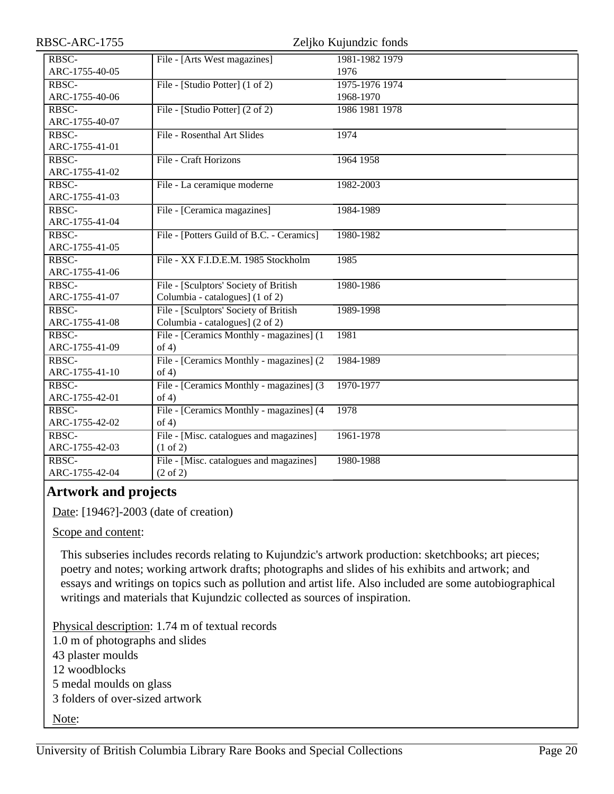| RBSC-ARC-1755                                 |                                           | Zeljko Kujundzic fonds |
|-----------------------------------------------|-------------------------------------------|------------------------|
| $R\overline{B}$ <sub>SC</sub> $-$             | File - [Arts West magazines]              | 1981-1982 1979         |
| ARC-1755-40-05                                |                                           | 1976                   |
| RBSC-                                         | File - [Studio Potter] (1 of 2)           | 1975-1976 1974         |
| ARC-1755-40-06                                |                                           | 1968-1970              |
| RBSC-                                         | File - [Studio Potter] (2 of 2)           | 1986 1981 1978         |
| ARC-1755-40-07                                |                                           |                        |
| RBSC-                                         | File - Rosenthal Art Slides               | 1974                   |
| ARC-1755-41-01                                |                                           |                        |
| RBSC-                                         | File - Craft Horizons                     | 1964 1958              |
| ARC-1755-41-02                                |                                           |                        |
| RBSC-                                         | File - La ceramique moderne               | 1982-2003              |
| ARC-1755-41-03                                |                                           |                        |
| RBSC-                                         | File - [Ceramica magazines]               | 1984-1989              |
| ARC-1755-41-04                                |                                           |                        |
| RBSC-                                         | File - [Potters Guild of B.C. - Ceramics] | 1980-1982              |
| ARC-1755-41-05                                |                                           |                        |
| RBSC-                                         | File - XX F.I.D.E.M. 1985 Stockholm       | 1985                   |
| ARC-1755-41-06                                |                                           |                        |
| RBSC-                                         | File - [Sculptors' Society of British     | 1980-1986              |
| ARC-1755-41-07                                | Columbia - catalogues] (1 of 2)           |                        |
| $R\overline{B}$ <sub>S</sub> $\overline{C}$ - | File - [Sculptors' Society of British     | 1989-1998              |
| ARC-1755-41-08                                | Columbia - catalogues] (2 of 2)           |                        |
| RBSC-                                         | File - [Ceramics Monthly - magazines] (1  | 1981                   |
| ARC-1755-41-09                                | of 4)                                     |                        |
| RBSC-                                         | File - [Ceramics Monthly - magazines] (2) | 1984-1989              |
| ARC-1755-41-10                                | of 4)                                     |                        |
| RBSC-                                         | File - [Ceramics Monthly - magazines] (3) | 1970-1977              |
| ARC-1755-42-01                                | of $4$ )                                  |                        |
| RBSC-                                         | File - [Ceramics Monthly - magazines] (4  | 1978                   |
| ARC-1755-42-02                                | of 4)                                     |                        |
| RBSC-                                         | File - [Misc. catalogues and magazines]   | 1961-1978              |
| ARC-1755-42-03                                | $(1 \text{ of } 2)$                       |                        |
| RBSC-                                         | File - [Misc. catalogues and magazines]   | 1980-1988              |
| ARC-1755-42-04                                | $(2 \text{ of } 2)$                       |                        |

## <span id="page-19-0"></span>**Artwork and projects**

Date: [1946?]-2003 (date of creation)

Scope and content:

This subseries includes records relating to Kujundzic's artwork production: sketchbooks; art pieces; poetry and notes; working artwork drafts; photographs and slides of his exhibits and artwork; and essays and writings on topics such as pollution and artist life. Also included are some autobiographical writings and materials that Kujundzic collected as sources of inspiration.

Physical description: 1.74 m of textual records 1.0 m of photographs and slides 43 plaster moulds 12 woodblocks 5 medal moulds on glass 3 folders of over-sized artwork Note: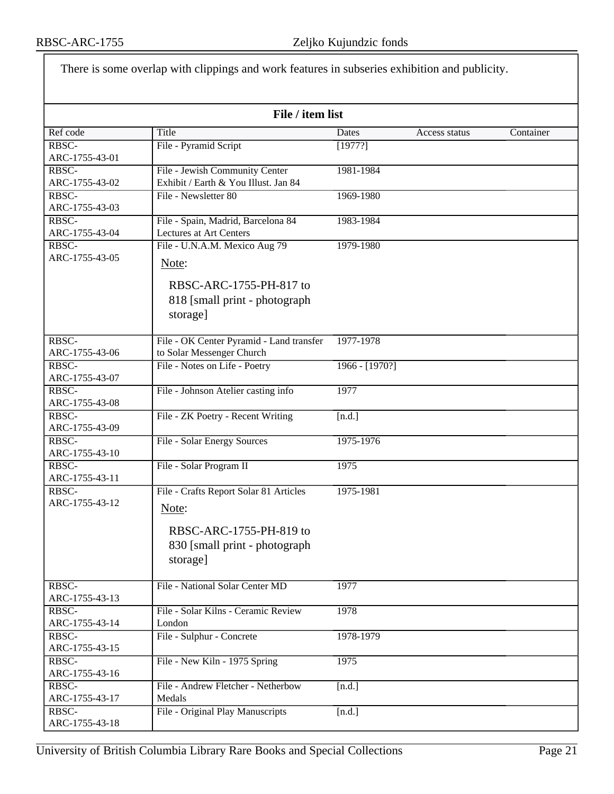| There is some overlap with clippings and work features in subseries exhibition and publicity. |                                                                                                                         |                  |               |           |
|-----------------------------------------------------------------------------------------------|-------------------------------------------------------------------------------------------------------------------------|------------------|---------------|-----------|
|                                                                                               |                                                                                                                         |                  |               |           |
| File / item list                                                                              |                                                                                                                         |                  |               |           |
| Ref code                                                                                      | Title                                                                                                                   | Dates            | Access status | Container |
| RBSC-<br>ARC-1755-43-01                                                                       | File - Pyramid Script                                                                                                   | [1977?]          |               |           |
| RBSC-<br>ARC-1755-43-02                                                                       | File - Jewish Community Center<br>Exhibit / Earth & You Illust. Jan 84                                                  | 1981-1984        |               |           |
| RBSC-<br>ARC-1755-43-03                                                                       | File - Newsletter 80                                                                                                    | 1969-1980        |               |           |
| RBSC-<br>ARC-1755-43-04                                                                       | File - Spain, Madrid, Barcelona 84<br>Lectures at Art Centers                                                           | 1983-1984        |               |           |
| RBSC-<br>ARC-1755-43-05                                                                       | File - U.N.A.M. Mexico Aug 79                                                                                           | 1979-1980        |               |           |
|                                                                                               | Note:<br>RBSC-ARC-1755-PH-817 to<br>818 [small print - photograph<br>storage]                                           |                  |               |           |
| RBSC-<br>ARC-1755-43-06                                                                       | File - OK Center Pyramid - Land transfer<br>to Solar Messenger Church                                                   | 1977-1978        |               |           |
| RBSC-<br>ARC-1755-43-07                                                                       | File - Notes on Life - Poetry                                                                                           | $1966 - [1970?]$ |               |           |
| RBSC-<br>ARC-1755-43-08                                                                       | File - Johnson Atelier casting info                                                                                     | 1977             |               |           |
| RBSC-<br>ARC-1755-43-09                                                                       | File - ZK Poetry - Recent Writing                                                                                       | [n.d.]           |               |           |
| RBSC-<br>ARC-1755-43-10                                                                       | File - Solar Energy Sources                                                                                             | 1975-1976        |               |           |
| RBSC-<br>ARC-1755-43-11                                                                       | File - Solar Program II                                                                                                 | 1975             |               |           |
| RBSC-<br>ARC-1755-43-12                                                                       | File - Crafts Report Solar 81 Articles<br>Note:<br>RBSC-ARC-1755-PH-819 to<br>830 [small print - photograph<br>storage] | 1975-1981        |               |           |
| RBSC-<br>ARC-1755-43-13                                                                       | File - National Solar Center MD                                                                                         | 1977             |               |           |
| RBSC-<br>ARC-1755-43-14                                                                       | File - Solar Kilns - Ceramic Review<br>London                                                                           | 1978             |               |           |
| RBSC-<br>ARC-1755-43-15                                                                       | File - Sulphur - Concrete                                                                                               | 1978-1979        |               |           |
| RBSC-<br>ARC-1755-43-16                                                                       | File - New Kiln - 1975 Spring                                                                                           | 1975             |               |           |
| RBSC-<br>ARC-1755-43-17                                                                       | File - Andrew Fletcher - Netherbow<br>Medals                                                                            | [n.d.]           |               |           |
| RBSC-<br>ARC-1755-43-18                                                                       | File - Original Play Manuscripts                                                                                        | [n.d.]           |               |           |

٦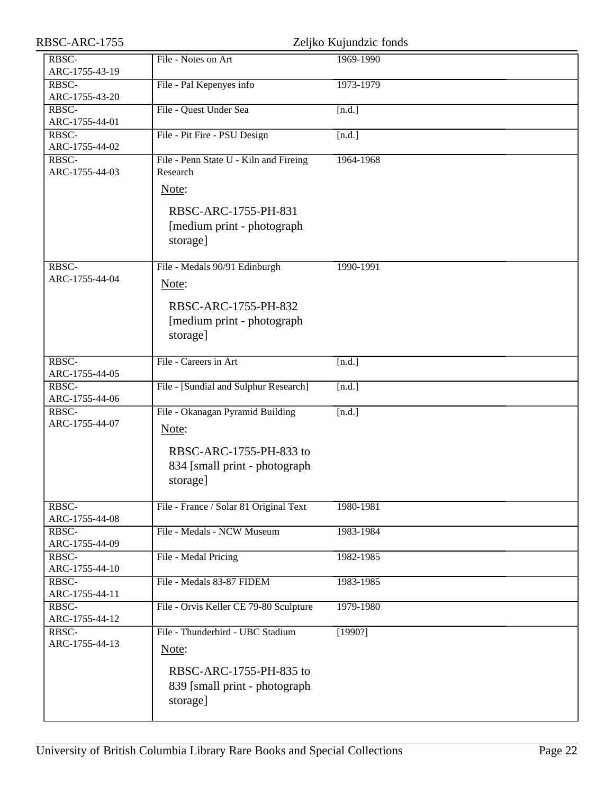| RBSC-ARC-1755           | Zeljko Kujundzic fonds                                               |           |  |
|-------------------------|----------------------------------------------------------------------|-----------|--|
| RBSC-<br>ARC-1755-43-19 | File - Notes on Art                                                  | 1969-1990 |  |
| RBSC-<br>ARC-1755-43-20 | File - Pal Kepenyes info                                             | 1973-1979 |  |
| RBSC-<br>ARC-1755-44-01 | File - Quest Under Sea                                               | [n.d.]    |  |
| RBSC-<br>ARC-1755-44-02 | File - Pit Fire - PSU Design                                         | [n.d.]    |  |
| RBSC-<br>ARC-1755-44-03 | File - Penn State U - Kiln and Fireing<br>Research                   | 1964-1968 |  |
|                         | Note:                                                                |           |  |
|                         | RBSC-ARC-1755-PH-831<br>[medium print - photograph]<br>storage]      |           |  |
| RBSC-<br>ARC-1755-44-04 | File - Medals 90/91 Edinburgh<br>Note:                               | 1990-1991 |  |
|                         | RBSC-ARC-1755-PH-832<br>[medium print - photograph]<br>storage]      |           |  |
| RBSC-<br>ARC-1755-44-05 | File - Careers in Art                                                | [n.d.]    |  |
| RBSC-<br>ARC-1755-44-06 | File - [Sundial and Sulphur Research]                                | [n.d.]    |  |
| RBSC-<br>ARC-1755-44-07 | File - Okanagan Pyramid Building<br>Note:                            | [n.d.]    |  |
|                         | RBSC-ARC-1755-PH-833 to<br>834 [small print - photograph<br>storage] |           |  |
| RBSC-<br>ARC-1755-44-08 | File - France / Solar 81 Original Text                               | 1980-1981 |  |
| RBSC-<br>ARC-1755-44-09 | File - Medals - NCW Museum                                           | 1983-1984 |  |
| RBSC-<br>ARC-1755-44-10 | File - Medal Pricing                                                 | 1982-1985 |  |
| RBSC-<br>ARC-1755-44-11 | File - Medals 83-87 FIDEM                                            | 1983-1985 |  |
| RBSC-<br>ARC-1755-44-12 | File - Orvis Keller CE 79-80 Sculpture                               | 1979-1980 |  |
| RBSC-<br>ARC-1755-44-13 | File - Thunderbird - UBC Stadium<br>Note:                            | [1990?]   |  |
|                         | RBSC-ARC-1755-PH-835 to<br>839 [small print - photograph<br>storage] |           |  |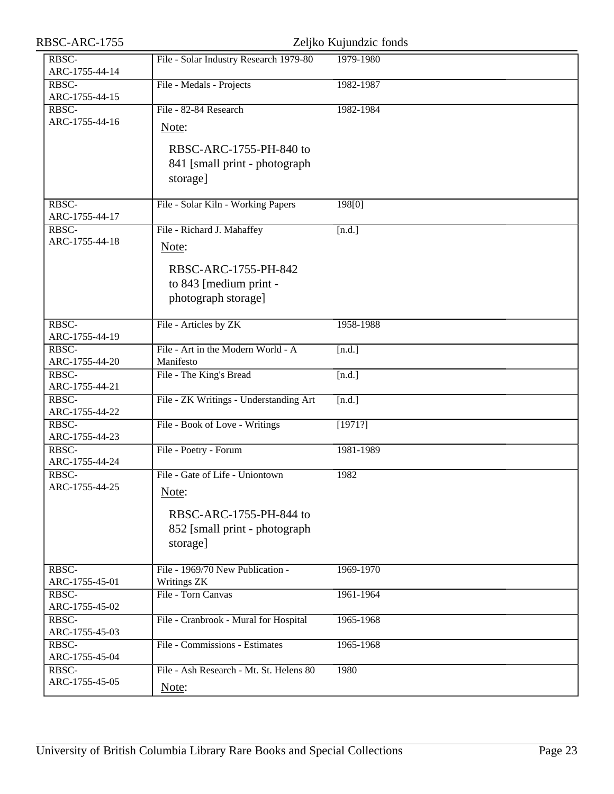| RBSC-ARC-1755           | Zeljko Kujundzic fonds                                                                                           |           |  |
|-------------------------|------------------------------------------------------------------------------------------------------------------|-----------|--|
| RBSC-<br>ARC-1755-44-14 | File - Solar Industry Research 1979-80                                                                           | 1979-1980 |  |
| RBSC-<br>ARC-1755-44-15 | File - Medals - Projects                                                                                         | 1982-1987 |  |
| RBSC-<br>ARC-1755-44-16 | File - 82-84 Research<br>Note:<br>RBSC-ARC-1755-PH-840 to<br>841 [small print - photograph<br>storage]           | 1982-1984 |  |
| RBSC-<br>ARC-1755-44-17 | File - Solar Kiln - Working Papers                                                                               | 198[0]    |  |
| RBSC-<br>ARC-1755-44-18 | File - Richard J. Mahaffey<br>Note:<br>RBSC-ARC-1755-PH-842<br>to 843 [medium print -<br>photograph storage]     | [n.d.]    |  |
| RBSC-<br>ARC-1755-44-19 | File - Articles by ZK                                                                                            | 1958-1988 |  |
| RBSC-<br>ARC-1755-44-20 | File - Art in the Modern World - A<br>Manifesto                                                                  | [n.d.]    |  |
| RBSC-<br>ARC-1755-44-21 | File - The King's Bread                                                                                          | [n.d.]    |  |
| RBSC-<br>ARC-1755-44-22 | File - ZK Writings - Understanding Art                                                                           | [n.d.]    |  |
| RBSC-<br>ARC-1755-44-23 | File - Book of Love - Writings                                                                                   | [1971?]   |  |
| RBSC-<br>ARC-1755-44-24 | File - Poetry - Forum                                                                                            | 1981-1989 |  |
| RBSC-<br>ARC-1755-44-25 | File - Gate of Life - Uniontown<br>Note:<br>RBSC-ARC-1755-PH-844 to<br>852 [small print - photograph<br>storage] | 1982      |  |
| RBSC-<br>ARC-1755-45-01 | File - 1969/70 New Publication -<br>Writings ZK                                                                  | 1969-1970 |  |
| RBSC-<br>ARC-1755-45-02 | File - Torn Canvas                                                                                               | 1961-1964 |  |
| RBSC-<br>ARC-1755-45-03 | File - Cranbrook - Mural for Hospital                                                                            | 1965-1968 |  |
| RBSC-<br>ARC-1755-45-04 | File - Commissions - Estimates                                                                                   | 1965-1968 |  |
| RBSC-<br>ARC-1755-45-05 | File - Ash Research - Mt. St. Helens 80<br>Note:                                                                 | 1980      |  |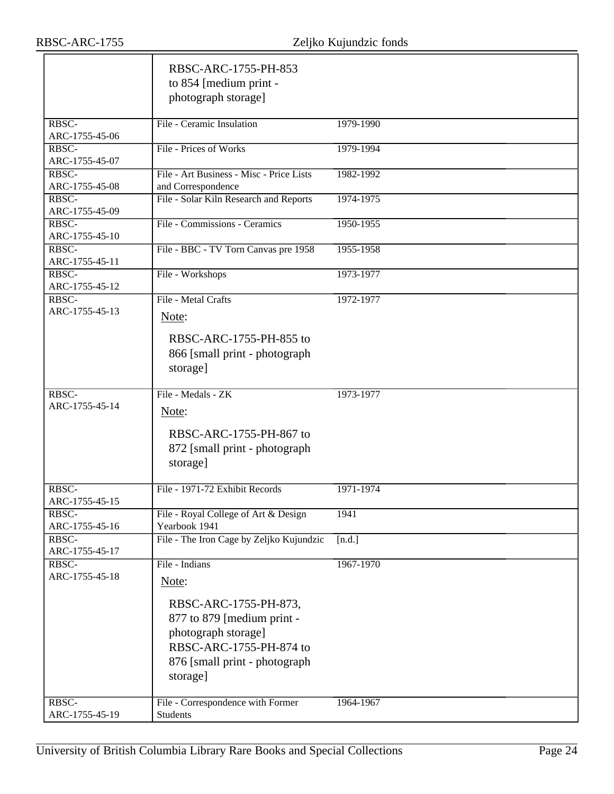|                         | RBSC-ARC-1755-PH-853<br>to 854 [medium print -<br>photograph storage]                                                                                                         |           |
|-------------------------|-------------------------------------------------------------------------------------------------------------------------------------------------------------------------------|-----------|
| RBSC-<br>ARC-1755-45-06 | File - Ceramic Insulation                                                                                                                                                     | 1979-1990 |
| RBSC-<br>ARC-1755-45-07 | File - Prices of Works                                                                                                                                                        | 1979-1994 |
| RBSC-<br>ARC-1755-45-08 | File - Art Business - Misc - Price Lists<br>and Correspondence                                                                                                                | 1982-1992 |
| RBSC-<br>ARC-1755-45-09 | File - Solar Kiln Research and Reports                                                                                                                                        | 1974-1975 |
| RBSC-<br>ARC-1755-45-10 | File - Commissions - Ceramics                                                                                                                                                 | 1950-1955 |
| RBSC-<br>ARC-1755-45-11 | File - BBC - TV Torn Canvas pre 1958                                                                                                                                          | 1955-1958 |
| RBSC-<br>ARC-1755-45-12 | File - Workshops                                                                                                                                                              | 1973-1977 |
| RBSC-<br>ARC-1755-45-13 | File - Metal Crafts<br>Note:                                                                                                                                                  | 1972-1977 |
|                         | RBSC-ARC-1755-PH-855 to<br>866 [small print - photograph<br>storage]                                                                                                          |           |
| RBSC-<br>ARC-1755-45-14 | File - Medals - ZK<br>Note:<br>RBSC-ARC-1755-PH-867 to<br>872 [small print - photograph<br>storage]                                                                           | 1973-1977 |
| RBSC-<br>ARC-1755-45-15 | File - 1971-72 Exhibit Records                                                                                                                                                | 1971-1974 |
| RBSC-<br>ARC-1755-45-16 | File - Royal College of Art & Design<br>Yearbook 1941                                                                                                                         | 1941      |
| RBSC-<br>ARC-1755-45-17 | File - The Iron Cage by Zeljko Kujundzic                                                                                                                                      | [n.d.]    |
| RBSC-<br>ARC-1755-45-18 | File - Indians<br>Note:<br>RBSC-ARC-1755-PH-873,<br>877 to 879 [medium print -<br>photograph storage]<br>RBSC-ARC-1755-PH-874 to<br>876 [small print - photograph<br>storage] | 1967-1970 |
| RBSC-<br>ARC-1755-45-19 | File - Correspondence with Former<br>Students                                                                                                                                 | 1964-1967 |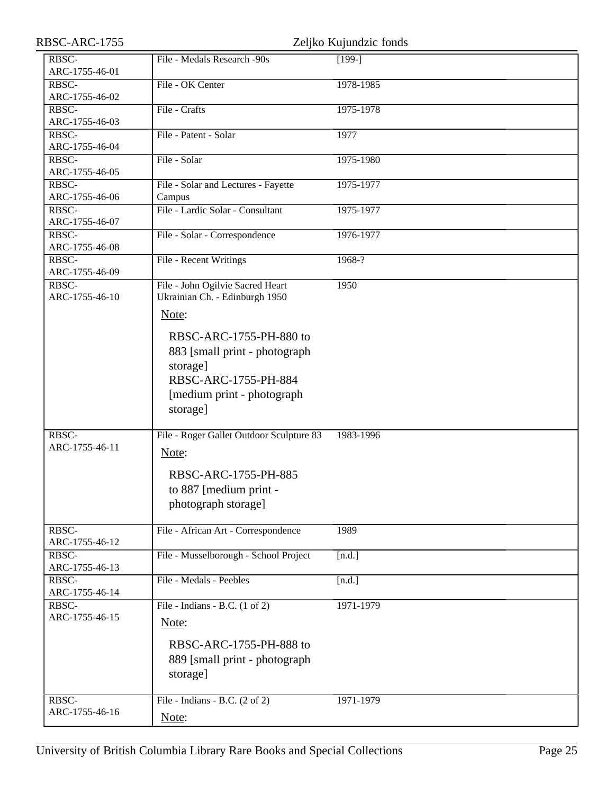| RBSC-ARC-1755  |                                           | Zeljko Kujundzic fonds |
|----------------|-------------------------------------------|------------------------|
| RBSC-          | File - Medals Research -90s               | $[199-]$               |
| ARC-1755-46-01 |                                           |                        |
| RBSC-          | File - OK Center                          | 1978-1985              |
| ARC-1755-46-02 |                                           |                        |
| RBSC-          | File - Crafts                             | 1975-1978              |
| ARC-1755-46-03 |                                           |                        |
| RBSC-          | File - Patent - Solar                     | 1977                   |
| ARC-1755-46-04 |                                           |                        |
| RBSC-          | File - Solar                              | 1975-1980              |
| ARC-1755-46-05 |                                           |                        |
| RBSC-          | File - Solar and Lectures - Fayette       | 1975-1977              |
| ARC-1755-46-06 | Campus                                    |                        |
| RBSC-          | File - Lardic Solar - Consultant          | 1975-1977              |
| ARC-1755-46-07 |                                           |                        |
| RBSC-          | File - Solar - Correspondence             | 1976-1977              |
| ARC-1755-46-08 |                                           |                        |
| RBSC-          | File - Recent Writings                    | $1968-?$               |
| ARC-1755-46-09 |                                           |                        |
| RBSC-          | File - John Ogilvie Sacred Heart          | 1950                   |
| ARC-1755-46-10 | Ukrainian Ch. - Edinburgh 1950            |                        |
|                | Note:                                     |                        |
|                |                                           |                        |
|                | RBSC-ARC-1755-PH-880 to                   |                        |
|                | 883 [small print - photograph             |                        |
|                | storage]                                  |                        |
|                | RBSC-ARC-1755-PH-884                      |                        |
|                |                                           |                        |
|                | [medium print - photograph]               |                        |
|                | storage]                                  |                        |
|                |                                           |                        |
| RBSC-          | File - Roger Gallet Outdoor Sculpture 83  | 1983-1996              |
| ARC-1755-46-11 | Note:                                     |                        |
|                |                                           |                        |
|                | RBSC-ARC-1755-PH-885                      |                        |
|                | to 887 [medium print -                    |                        |
|                | photograph storage]                       |                        |
|                |                                           |                        |
| RBSC-          | File - African Art - Correspondence       | 1989                   |
| ARC-1755-46-12 |                                           |                        |
| RBSC-          | File - Musselborough - School Project     | [n.d.]                 |
| ARC-1755-46-13 |                                           |                        |
| RBSC-          | File - Medals - Peebles                   | [n.d.]                 |
| ARC-1755-46-14 |                                           |                        |
| RBSC-          | File - Indians - B.C. $(1 \text{ of } 2)$ | 1971-1979              |
| ARC-1755-46-15 | Note:                                     |                        |
|                |                                           |                        |
|                | RBSC-ARC-1755-PH-888 to                   |                        |
|                | 889 [small print - photograph             |                        |
|                | storage]                                  |                        |
|                |                                           |                        |
| RBSC-          | File - Indians - B.C. $(2 \text{ of } 2)$ | 1971-1979              |
| ARC-1755-46-16 |                                           |                        |
|                | Note:                                     |                        |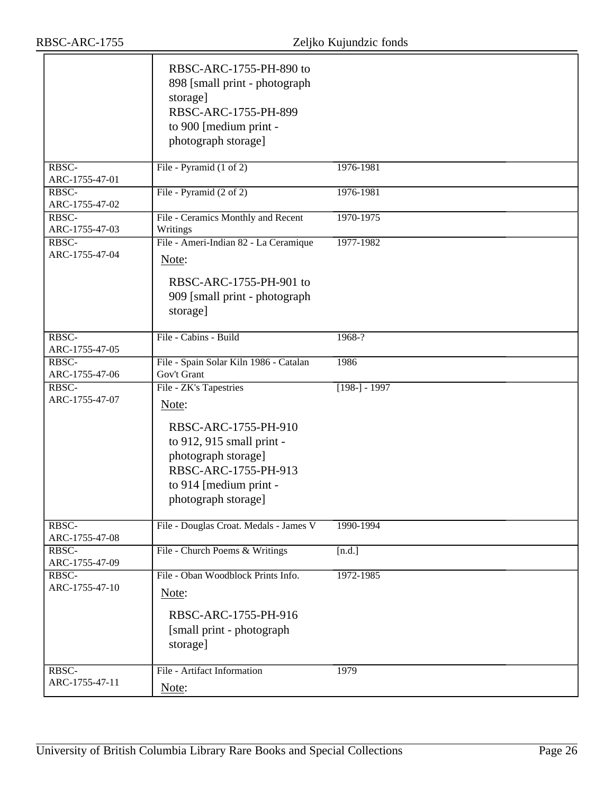|                         | RBSC-ARC-1755-PH-890 to<br>898 [small print - photograph<br>storage]<br>RBSC-ARC-1755-PH-899<br>to 900 [medium print -<br>photograph storage]                                        |                 |
|-------------------------|--------------------------------------------------------------------------------------------------------------------------------------------------------------------------------------|-----------------|
| RBSC-<br>ARC-1755-47-01 | File - Pyramid $(1 \text{ of } 2)$                                                                                                                                                   | 1976-1981       |
| RBSC-<br>ARC-1755-47-02 | File - Pyramid (2 of 2)                                                                                                                                                              | 1976-1981       |
| RBSC-<br>ARC-1755-47-03 | File - Ceramics Monthly and Recent<br>Writings                                                                                                                                       | 1970-1975       |
| RBSC-<br>ARC-1755-47-04 | File - Ameri-Indian 82 - La Ceramique<br>Note:                                                                                                                                       | 1977-1982       |
|                         | RBSC-ARC-1755-PH-901 to<br>909 [small print - photograph<br>storage]                                                                                                                 |                 |
| RBSC-<br>ARC-1755-47-05 | File - Cabins - Build                                                                                                                                                                | 1968-?          |
| RBSC-<br>ARC-1755-47-06 | File - Spain Solar Kiln 1986 - Catalan<br>Gov't Grant                                                                                                                                | 1986            |
| RBSC-<br>ARC-1755-47-07 | File - ZK's Tapestries<br>Note:<br>RBSC-ARC-1755-PH-910<br>to 912, 915 small print -<br>photograph storage]<br>RBSC-ARC-1755-PH-913<br>to 914 [medium print -<br>photograph storage] | $[198-] - 1997$ |
| RBSC-<br>ARC-1755-47-08 | File - Douglas Croat. Medals - James V                                                                                                                                               | 1990-1994       |
| RBSC-<br>ARC-1755-47-09 | File - Church Poems & Writings                                                                                                                                                       | [n.d.]          |
| RBSC-<br>ARC-1755-47-10 | File - Oban Woodblock Prints Info.<br>Note:<br>RBSC-ARC-1755-PH-916<br>[small print - photograph]<br>storage]                                                                        | 1972-1985       |
| RBSC-<br>ARC-1755-47-11 | File - Artifact Information<br>Note:                                                                                                                                                 | 1979            |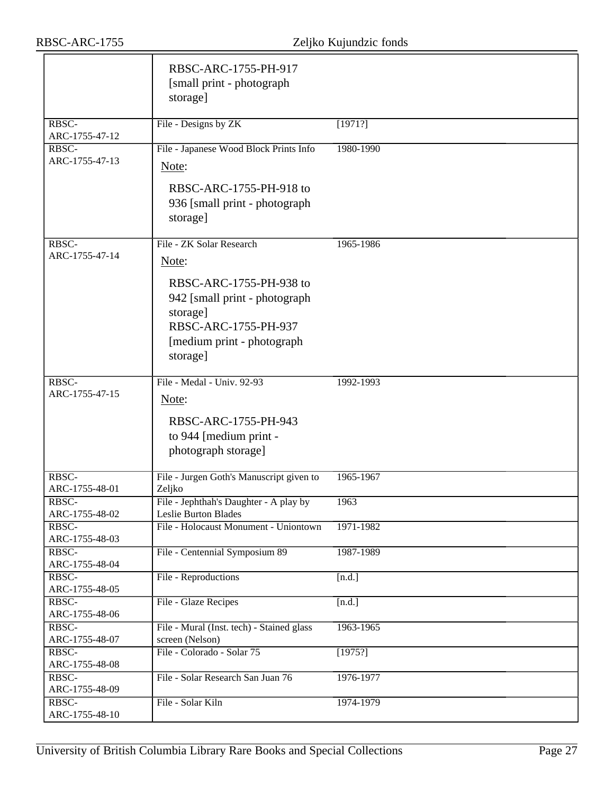|                         | RBSC-ARC-1755-PH-917<br>[small print - photograph]<br>storage]                                                                                                               |           |
|-------------------------|------------------------------------------------------------------------------------------------------------------------------------------------------------------------------|-----------|
| RBSC-<br>ARC-1755-47-12 | File - Designs by ZK                                                                                                                                                         | [1971?]   |
| RBSC-<br>ARC-1755-47-13 | File - Japanese Wood Block Prints Info<br>Note:<br>RBSC-ARC-1755-PH-918 to<br>936 [small print - photograph<br>storage]                                                      | 1980-1990 |
| RBSC-<br>ARC-1755-47-14 | File - ZK Solar Research<br>Note:<br>RBSC-ARC-1755-PH-938 to<br>942 [small print - photograph<br>storage]<br>RBSC-ARC-1755-PH-937<br>[medium print - photograph]<br>storage] | 1965-1986 |
| RBSC-<br>ARC-1755-47-15 | File - Medal - Univ. 92-93<br>Note:<br>RBSC-ARC-1755-PH-943<br>to 944 [medium print -<br>photograph storage]                                                                 | 1992-1993 |
| RBSC-<br>ARC-1755-48-01 | File - Jurgen Goth's Manuscript given to<br>Zeljko                                                                                                                           | 1965-1967 |
| RBSC-<br>ARC-1755-48-02 | File - Jephthah's Daughter - A play by<br>Leslie Burton Blades                                                                                                               | 1963      |
| RBSC-<br>ARC-1755-48-03 | File - Holocaust Monument - Uniontown                                                                                                                                        | 1971-1982 |
| RBSC-<br>ARC-1755-48-04 | File - Centennial Symposium 89                                                                                                                                               | 1987-1989 |
| RBSC-<br>ARC-1755-48-05 | File - Reproductions                                                                                                                                                         | [n.d.]    |
| RBSC-<br>ARC-1755-48-06 | File - Glaze Recipes                                                                                                                                                         | [n.d.]    |
| RBSC-<br>ARC-1755-48-07 | File - Mural (Inst. tech) - Stained glass<br>screen (Nelson)                                                                                                                 | 1963-1965 |
| RBSC-<br>ARC-1755-48-08 | File - Colorado - Solar 75                                                                                                                                                   | [1975!]   |
| RBSC-<br>ARC-1755-48-09 | File - Solar Research San Juan 76                                                                                                                                            | 1976-1977 |
| RBSC-<br>ARC-1755-48-10 | File - Solar Kiln                                                                                                                                                            | 1974-1979 |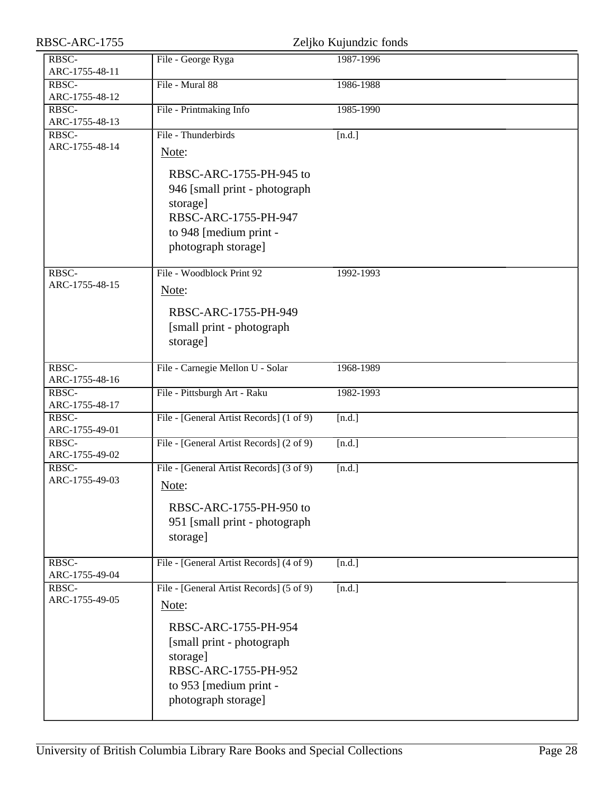| Zeljko Kujundzic fonds                                                                                                                                                                       |                      |  |
|----------------------------------------------------------------------------------------------------------------------------------------------------------------------------------------------|----------------------|--|
| File - George Ryga                                                                                                                                                                           | 1987-1996            |  |
| File - Mural 88                                                                                                                                                                              | 1986-1988            |  |
| File - Printmaking Info                                                                                                                                                                      | 1985-1990            |  |
| File - Thunderbirds<br>Note:<br>RBSC-ARC-1755-PH-945 to<br>946 [small print - photograph]<br>storage]                                                                                        | [n.d.]               |  |
| to 948 [medium print -<br>photograph storage]                                                                                                                                                |                      |  |
| File - Woodblock Print 92<br>Note:<br>RBSC-ARC-1755-PH-949<br>[small print - photograph]<br>storage]                                                                                         | 1992-1993            |  |
| File - Carnegie Mellon U - Solar                                                                                                                                                             | 1968-1989            |  |
| File - Pittsburgh Art - Raku                                                                                                                                                                 | 1982-1993            |  |
| File - [General Artist Records] (1 of 9)                                                                                                                                                     | [n.d.]               |  |
| File - [General Artist Records] (2 of 9)                                                                                                                                                     | [n.d.]               |  |
| File - [General Artist Records] (3 of 9)<br>Note:<br>RBSC-ARC-1755-PH-950 to<br>951 [small print - photograph]<br>storage]                                                                   | [n.d.]               |  |
| File - [General Artist Records] (4 of 9)                                                                                                                                                     | [n.d.]               |  |
| File - [General Artist Records] (5 of 9)<br>Note:<br>RBSC-ARC-1755-PH-954<br>[small print - photograph]<br>storage]<br>RBSC-ARC-1755-PH-952<br>to 953 [medium print -<br>photograph storage] | [n.d.]               |  |
|                                                                                                                                                                                              | RBSC-ARC-1755-PH-947 |  |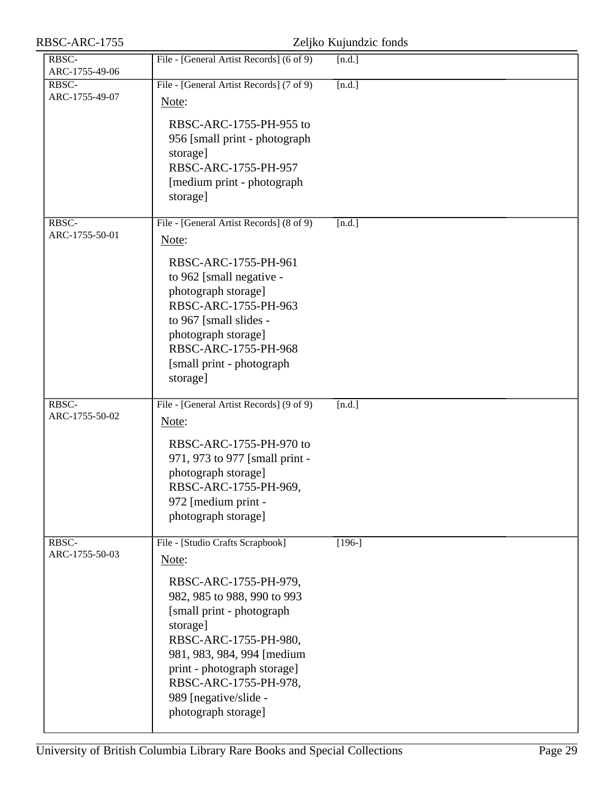| RBSC-ARC-1755           |                                                                                                                                                                                                                                                                                                            | Zeljko Kujundzic fonds |
|-------------------------|------------------------------------------------------------------------------------------------------------------------------------------------------------------------------------------------------------------------------------------------------------------------------------------------------------|------------------------|
| RBSC-<br>ARC-1755-49-06 | File - [General Artist Records] (6 of 9)                                                                                                                                                                                                                                                                   | [n.d.]                 |
| RBSC-<br>ARC-1755-49-07 | File - [General Artist Records] (7 of 9)<br>Note:<br>RBSC-ARC-1755-PH-955 to<br>956 [small print - photograph]<br>storage]<br>RBSC-ARC-1755-PH-957<br>[medium print - photograph]<br>storage]                                                                                                              | [n.d.]                 |
| RBSC-<br>ARC-1755-50-01 | File - [General Artist Records] (8 of 9)<br>Note:<br>RBSC-ARC-1755-PH-961<br>to 962 [small negative -<br>photograph storage]<br>RBSC-ARC-1755-PH-963<br>to 967 [small slides -<br>photograph storage]<br>RBSC-ARC-1755-PH-968<br>[small print - photograph<br>storage]                                     | [n.d.]                 |
| RBSC-<br>ARC-1755-50-02 | File - [General Artist Records] (9 of 9)<br>Note:<br>RBSC-ARC-1755-PH-970 to<br>971, 973 to 977 [small print -<br>photograph storage]<br>RBSC-ARC-1755-PH-969,<br>972 [medium print -<br>photograph storage]                                                                                               | [n.d.]                 |
| RBSC-<br>ARC-1755-50-03 | File - [Studio Crafts Scrapbook]<br>Note:<br>RBSC-ARC-1755-PH-979,<br>982, 985 to 988, 990 to 993<br>[small print - photograph]<br>storage]<br>RBSC-ARC-1755-PH-980,<br>981, 983, 984, 994 [medium<br>print - photograph storage]<br>RBSC-ARC-1755-PH-978,<br>989 [negative/slide -<br>photograph storage] | $[196-]$               |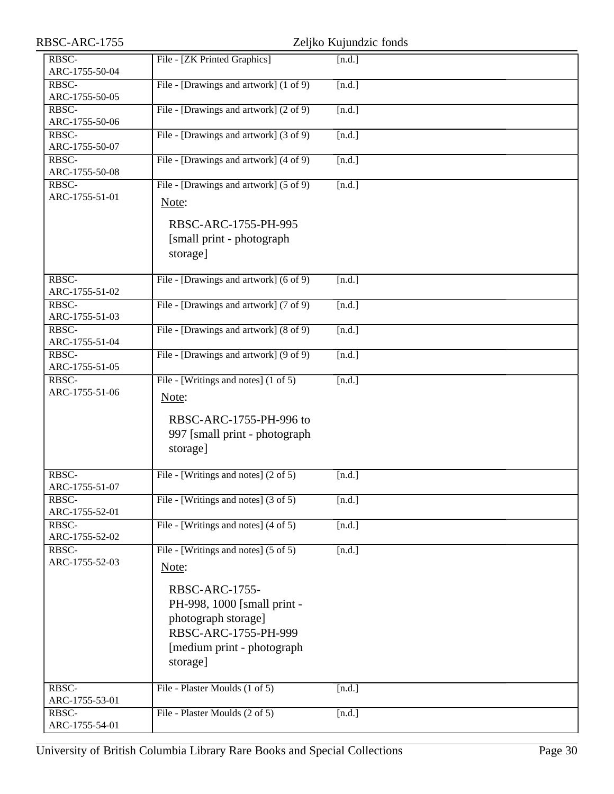| RBSC-ARC-1755           |                                                                                                                                                                                                            | Zeljko Kujundzic fonds |
|-------------------------|------------------------------------------------------------------------------------------------------------------------------------------------------------------------------------------------------------|------------------------|
| RBSC-<br>ARC-1755-50-04 | File - [ZK Printed Graphics]                                                                                                                                                                               | [n.d.]                 |
| RBSC-<br>ARC-1755-50-05 | File - [Drawings and artwork] (1 of 9)                                                                                                                                                                     | [n.d.]                 |
| RBSC-<br>ARC-1755-50-06 | File - [Drawings and artwork] (2 of 9)                                                                                                                                                                     | [n.d.]                 |
| RBSC-<br>ARC-1755-50-07 | File - [Drawings and artwork] (3 of 9)                                                                                                                                                                     | [n.d.]                 |
| RBSC-<br>ARC-1755-50-08 | File - [Drawings and artwork] (4 of 9)                                                                                                                                                                     | [n.d.]                 |
| RBSC-<br>ARC-1755-51-01 | File - [Drawings and artwork] (5 of 9)<br>Note:                                                                                                                                                            | [n.d.]                 |
|                         | RBSC-ARC-1755-PH-995<br>[small print - photograph]<br>storage]                                                                                                                                             |                        |
| RBSC-<br>ARC-1755-51-02 | File - [Drawings and artwork] (6 of 9)                                                                                                                                                                     | [n.d.]                 |
| RBSC-<br>ARC-1755-51-03 | File - [Drawings and artwork] (7 of 9)                                                                                                                                                                     | [n.d.]                 |
| RBSC-<br>ARC-1755-51-04 | File - [Drawings and artwork] (8 of 9)                                                                                                                                                                     | [n.d.]                 |
| RBSC-<br>ARC-1755-51-05 | File - [Drawings and artwork] (9 of 9)                                                                                                                                                                     | [n.d.]                 |
| RBSC-<br>ARC-1755-51-06 | File - [Writings and notes] (1 of 5)<br>Note:<br>RBSC-ARC-1755-PH-996 to<br>997 [small print - photograph]<br>storage]                                                                                     | [n.d.]                 |
| RBSC-<br>ARC-1755-51-07 | File - [Writings and notes] $(2 \text{ of } 5)$                                                                                                                                                            | $\overline{[n.d.]}$    |
| RBSC-<br>ARC-1755-52-01 | File - [Writings and notes] (3 of 5)                                                                                                                                                                       | [n.d.]                 |
| RBSC-<br>ARC-1755-52-02 | File - [Writings and notes] $(4 \text{ of } 5)$                                                                                                                                                            | [n.d.]                 |
| RBSC-<br>ARC-1755-52-03 | File - [Writings and notes] $(5 \text{ of } 5)$<br>Note:<br><b>RBSC-ARC-1755-</b><br>PH-998, 1000 [small print -<br>photograph storage]<br>RBSC-ARC-1755-PH-999<br>[medium print - photograph]<br>storage] | [n.d.]                 |
| RBSC-<br>ARC-1755-53-01 | File - Plaster Moulds (1 of 5)                                                                                                                                                                             | [n.d.]                 |
| RBSC-<br>ARC-1755-54-01 | File - Plaster Moulds (2 of 5)                                                                                                                                                                             | [n.d.]                 |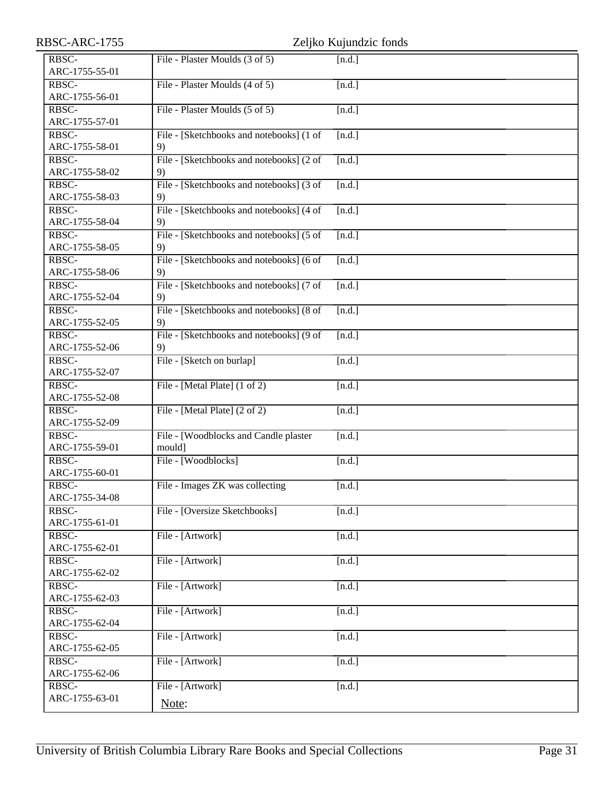| RBSC-ARC-1755           |                                          | Zeljko Kujundzic fonds |
|-------------------------|------------------------------------------|------------------------|
| RBSC-                   | File - Plaster Moulds (3 of 5)           | [n.d.]                 |
| ARC-1755-55-01          |                                          |                        |
| RBSC-                   | File - Plaster Moulds (4 of 5)           | [n.d.]                 |
| ARC-1755-56-01          |                                          |                        |
| RBSC-                   | File - Plaster Moulds (5 of 5)           | [n.d.]                 |
| ARC-1755-57-01          |                                          |                        |
| RBSC-                   | File - [Sketchbooks and notebooks] (1 of | [n.d.]                 |
| ARC-1755-58-01          | 9)                                       |                        |
| RBSC-                   | File - [Sketchbooks and notebooks] (2 of | [n.d.]                 |
| ARC-1755-58-02          | 9)                                       |                        |
| RBSC-                   | File - [Sketchbooks and notebooks] (3 of | [n.d.]                 |
| ARC-1755-58-03          | 9)                                       |                        |
| RBSC-                   | File - [Sketchbooks and notebooks] (4 of | [n.d.]                 |
| ARC-1755-58-04          | 9)                                       |                        |
| RBSC-                   | File - [Sketchbooks and notebooks] (5 of | [n.d.]                 |
| ARC-1755-58-05          | 9)                                       |                        |
| RBSC-                   | File - [Sketchbooks and notebooks] (6 of | [n.d.]                 |
| ARC-1755-58-06          | 9)                                       |                        |
| RBSC-                   | File - [Sketchbooks and notebooks] (7 of | [n.d.]                 |
| ARC-1755-52-04          | 9)                                       |                        |
| RBSC-                   | File - [Sketchbooks and notebooks] (8 of | [n.d.]                 |
| ARC-1755-52-05          | 9)                                       |                        |
| RBSC-                   | File - [Sketchbooks and notebooks] (9 of | [n.d.]                 |
| ARC-1755-52-06          | 9)                                       |                        |
| RBSC-                   | File - [Sketch on burlap]                | [n.d.]                 |
| ARC-1755-52-07          |                                          |                        |
| RBSC-                   | File - [Metal Plate] (1 of 2)            | [n.d.]                 |
| ARC-1755-52-08          |                                          |                        |
| RBSC-                   | File - [Metal Plate] (2 of 2)            | [n.d.]                 |
| ARC-1755-52-09          |                                          |                        |
| RBSC-                   | File - [Woodblocks and Candle plaster    | [n.d.]                 |
| ARC-1755-59-01          | mould]                                   |                        |
| RBSC-                   | File - [Woodblocks]                      | [n.d.]                 |
| ARC-1755-60-01          |                                          |                        |
| RBSC-                   | File - Images ZK was collecting          | [n.d.]                 |
| ARC-1755-34-08          |                                          |                        |
| RBSC-                   | File - [Oversize Sketchbooks]            | [n.d.]                 |
| ARC-1755-61-01          |                                          |                        |
| RBSC-                   | File - [Artwork]                         | [n.d.]                 |
| ARC-1755-62-01          |                                          |                        |
| $R\overline{BSC}$       | File - [Artwork]                         | [n.d.]                 |
| ARC-1755-62-02          |                                          |                        |
| RBSC-                   | File - [Artwork]                         | [n.d.]                 |
| ARC-1755-62-03          |                                          |                        |
| RBSC-<br>ARC-1755-62-04 | File - [Artwork]                         | [n.d.]                 |
|                         |                                          |                        |
| RBSC-<br>ARC-1755-62-05 | File - [Artwork]                         | [n.d.]                 |
| RBSC-                   |                                          |                        |
| ARC-1755-62-06          | File - [Artwork]                         | [n.d.]                 |
| RBSC-                   | File - [Artwork]                         | [n.d.]                 |
| ARC-1755-63-01          |                                          |                        |
|                         | Note:                                    |                        |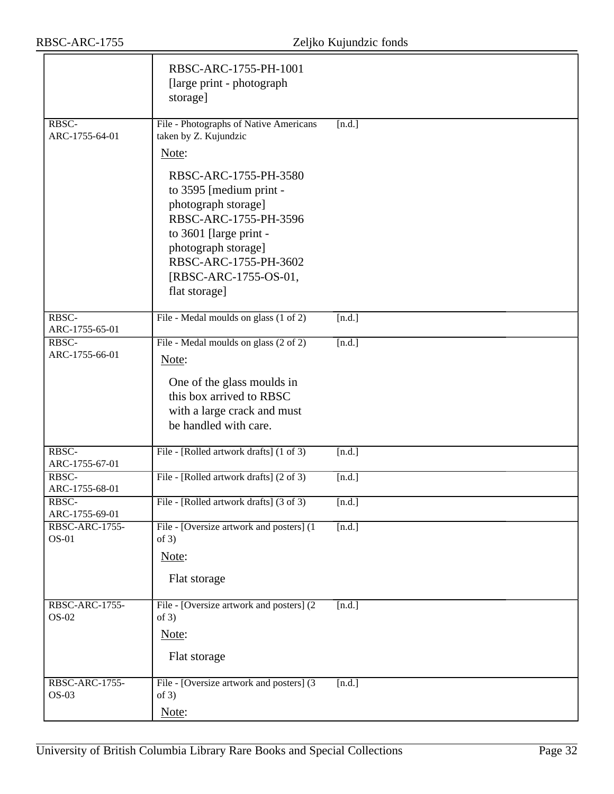|                                | RBSC-ARC-1755-PH-1001<br>[large print - photograph]<br>storage]                                                                                                                                                                                                                                  |        |
|--------------------------------|--------------------------------------------------------------------------------------------------------------------------------------------------------------------------------------------------------------------------------------------------------------------------------------------------|--------|
| RBSC-<br>ARC-1755-64-01        | File - Photographs of Native Americans<br>taken by Z. Kujundzic<br>Note:<br>RBSC-ARC-1755-PH-3580<br>to 3595 [medium print -<br>photograph storage]<br>RBSC-ARC-1755-PH-3596<br>to 3601 [large print -<br>photograph storage]<br>RBSC-ARC-1755-PH-3602<br>[RBSC-ARC-1755-OS-01,<br>flat storage] | [n.d.] |
| RBSC-<br>ARC-1755-65-01        | File - Medal moulds on glass (1 of 2)                                                                                                                                                                                                                                                            | [n.d.] |
| RBSC-<br>ARC-1755-66-01        | File - Medal moulds on glass (2 of 2)<br>Note:<br>One of the glass moulds in<br>this box arrived to RBSC<br>with a large crack and must<br>be handled with care.                                                                                                                                 | [n.d.] |
| RBSC-<br>ARC-1755-67-01        | File - [Rolled artwork drafts] (1 of 3)                                                                                                                                                                                                                                                          | [n.d.] |
| RBSC-<br>ARC-1755-68-01        | File - [Rolled artwork drafts] (2 of 3)                                                                                                                                                                                                                                                          | [n.d.] |
| RBSC-<br>ARC-1755-69-01        | File - [Rolled artwork drafts] (3 of 3)                                                                                                                                                                                                                                                          | [n.d.] |
| <b>RBSC-ARC-1755-</b><br>OS-01 | File - [Oversize artwork and posters] (1<br>of $3)$<br>Note:<br>Flat storage                                                                                                                                                                                                                     | [n.d.] |
| <b>RBSC-ARC-1755-</b><br>OS-02 | File - [Oversize artwork and posters] (2)<br>of $3)$<br>Note:<br>Flat storage                                                                                                                                                                                                                    | [n.d.] |
| RBSC-ARC-1755-<br>$OS-03$      | File - [Oversize artwork and posters] (3<br>of $3)$<br>Note:                                                                                                                                                                                                                                     | [n.d.] |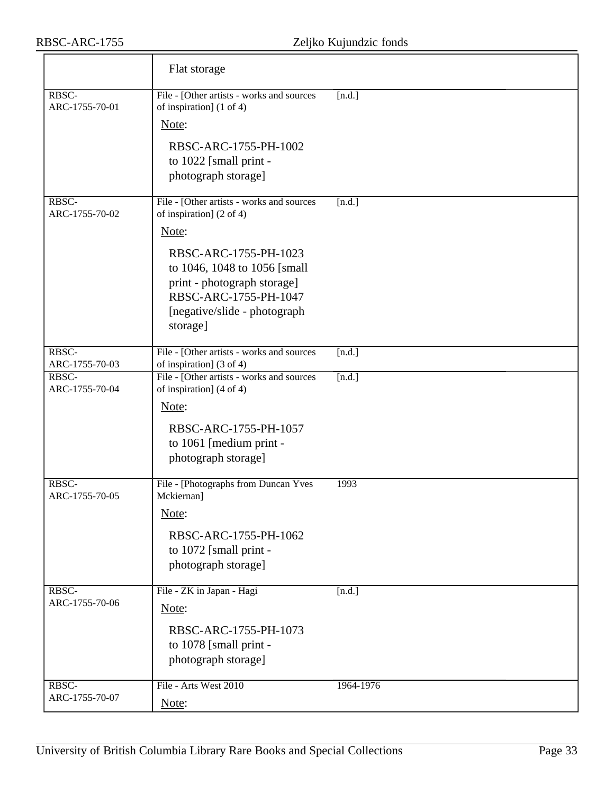|                         | Flat storage                                                                                                                                                                                                                                 |           |
|-------------------------|----------------------------------------------------------------------------------------------------------------------------------------------------------------------------------------------------------------------------------------------|-----------|
| RBSC-<br>ARC-1755-70-01 | File - [Other artists - works and sources<br>of inspiration] (1 of 4)<br>Note:<br>RBSC-ARC-1755-PH-1002<br>to 1022 [small print -<br>photograph storage]                                                                                     | [n.d.]    |
| RBSC-<br>ARC-1755-70-02 | File - [Other artists - works and sources<br>of inspiration] (2 of 4)<br>Note:<br>RBSC-ARC-1755-PH-1023<br>to 1046, 1048 to 1056 [small<br>print - photograph storage]<br>RBSC-ARC-1755-PH-1047<br>[negative/slide - photograph]<br>storage] | [n.d.]    |
| RBSC-<br>ARC-1755-70-03 | File - [Other artists - works and sources<br>of inspiration] (3 of 4)                                                                                                                                                                        | [n.d.]    |
| RBSC-<br>ARC-1755-70-04 | File - [Other artists - works and sources]<br>of inspiration] (4 of 4)<br>Note:<br>RBSC-ARC-1755-PH-1057<br>to 1061 [medium print -<br>photograph storage]                                                                                   | [n.d.]    |
| RBSC-<br>ARC-1755-70-05 | File - [Photographs from Duncan Yves<br>Mckiernan]<br>Note:<br>RBSC-ARC-1755-PH-1062<br>to 1072 [small print -<br>photograph storage]                                                                                                        | 1993      |
| RBSC-<br>ARC-1755-70-06 | File - ZK in Japan - Hagi<br>Note:<br>RBSC-ARC-1755-PH-1073<br>to 1078 [small print -<br>photograph storage]                                                                                                                                 | [n.d.]    |
| RBSC-<br>ARC-1755-70-07 | File - Arts West 2010<br>Note:                                                                                                                                                                                                               | 1964-1976 |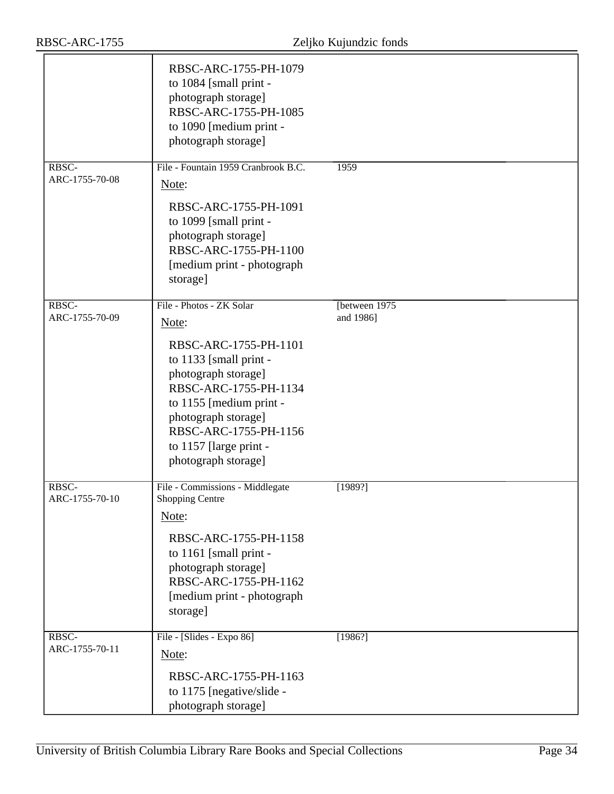|                         | RBSC-ARC-1755-PH-1079<br>to 1084 [small print -<br>photograph storage]<br>RBSC-ARC-1755-PH-1085<br>to 1090 [medium print -<br>photograph storage]                                                                                                                |                             |
|-------------------------|------------------------------------------------------------------------------------------------------------------------------------------------------------------------------------------------------------------------------------------------------------------|-----------------------------|
| RBSC-<br>ARC-1755-70-08 | File - Fountain 1959 Cranbrook B.C.<br>Note:<br>RBSC-ARC-1755-PH-1091<br>to 1099 [small print -<br>photograph storage]<br>RBSC-ARC-1755-PH-1100<br>[medium print - photograph<br>storage]                                                                        | 1959                        |
| RBSC-<br>ARC-1755-70-09 | File - Photos - ZK Solar<br>Note:<br>RBSC-ARC-1755-PH-1101<br>to 1133 [small print -<br>photograph storage]<br>RBSC-ARC-1755-PH-1134<br>to 1155 [medium print -<br>photograph storage]<br>RBSC-ARC-1755-PH-1156<br>to 1157 [large print -<br>photograph storage] | [between 1975]<br>and 1986] |
| RBSC-<br>ARC-1755-70-10 | File - Commissions - Middlegate<br>Shopping Centre<br>Note:<br>RBSC-ARC-1755-PH-1158<br>to 1161 [small print -<br>photograph storage]<br>RBSC-ARC-1755-PH-1162<br>[medium print - photograph<br>storage]                                                         | [1989?]                     |
| RBSC-<br>ARC-1755-70-11 | File - [Slides - Expo 86]<br>Note:<br>RBSC-ARC-1755-PH-1163<br>to 1175 [negative/slide -<br>photograph storage]                                                                                                                                                  | [1986?]                     |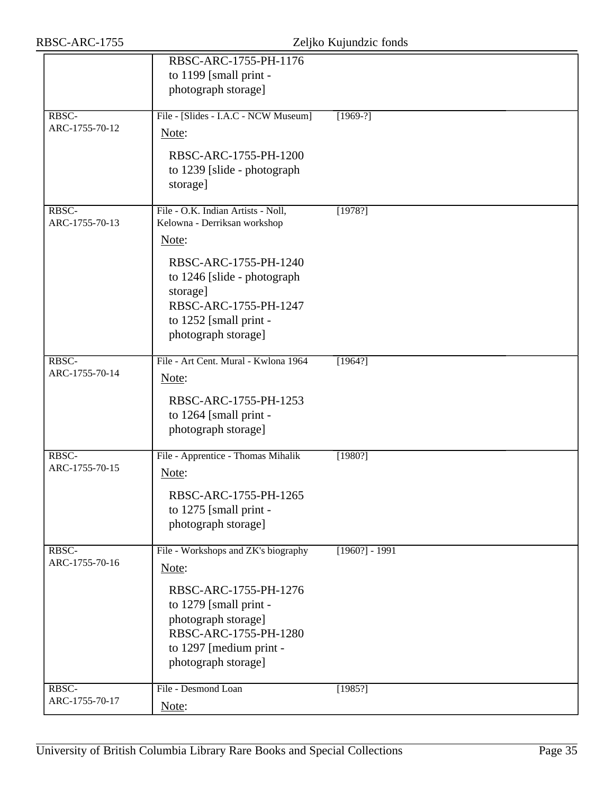| RBSC-ARC-1755           | Zeljko Kujundzic fonds                                                                                                                                                                                                     |                  |
|-------------------------|----------------------------------------------------------------------------------------------------------------------------------------------------------------------------------------------------------------------------|------------------|
|                         | RBSC-ARC-1755-PH-1176<br>to $1199$ [small print -<br>photograph storage]                                                                                                                                                   |                  |
| RBSC-<br>ARC-1755-70-12 | File - [Slides - I.A.C - NCW Museum]<br>Note:<br>RBSC-ARC-1755-PH-1200<br>to 1239 [slide - photograph<br>storage]                                                                                                          | $[1969-?]$       |
| RBSC-<br>ARC-1755-70-13 | File - O.K. Indian Artists - Noll,<br>Kelowna - Derriksan workshop<br>Note:<br>RBSC-ARC-1755-PH-1240<br>to 1246 [slide - photograph]<br>storage]<br>RBSC-ARC-1755-PH-1247<br>to 1252 [small print -<br>photograph storage] | [1978?]          |
| RBSC-<br>ARC-1755-70-14 | File - Art Cent. Mural - Kwlona 1964<br>Note:<br>RBSC-ARC-1755-PH-1253<br>to 1264 [small print -<br>photograph storage]                                                                                                    | $\sqrt{1964?}$   |
| RBSC-<br>ARC-1755-70-15 | File - Apprentice - Thomas Mihalik<br>Note:<br>RBSC-ARC-1755-PH-1265<br>to 1275 [small print -<br>photograph storage]                                                                                                      | [1980?]          |
| RBSC-<br>ARC-1755-70-16 | File - Workshops and ZK's biography<br>Note:<br>RBSC-ARC-1755-PH-1276<br>to 1279 [small print -<br>photograph storage]<br>RBSC-ARC-1755-PH-1280<br>to 1297 [medium print -<br>photograph storage]                          | $[1960?] - 1991$ |
| RBSC-<br>ARC-1755-70-17 | File - Desmond Loan<br>Note:                                                                                                                                                                                               | [1985?]          |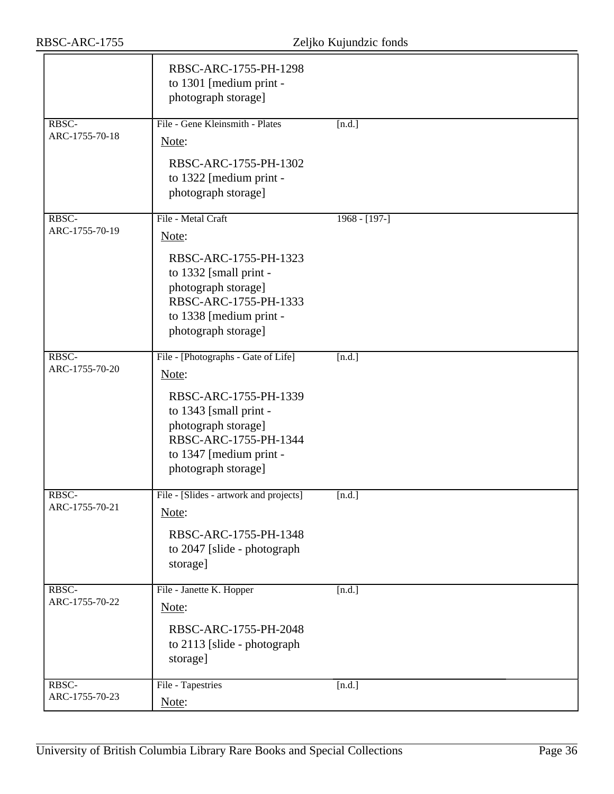|                         | RBSC-ARC-1755-PH-1298<br>to 1301 [medium print -<br>photograph storage]                                                                                                                           |                 |
|-------------------------|---------------------------------------------------------------------------------------------------------------------------------------------------------------------------------------------------|-----------------|
| RBSC-<br>ARC-1755-70-18 | File - Gene Kleinsmith - Plates<br>Note:<br>RBSC-ARC-1755-PH-1302<br>to 1322 [medium print -<br>photograph storage]                                                                               | [n.d.]          |
| RBSC-<br>ARC-1755-70-19 | File - Metal Craft<br>Note:<br>RBSC-ARC-1755-PH-1323<br>to 1332 [small print -<br>photograph storage]<br>RBSC-ARC-1755-PH-1333<br>to 1338 [medium print -<br>photograph storage]                  | $1968 - [197-]$ |
| RBSC-<br>ARC-1755-70-20 | File - [Photographs - Gate of Life]<br>Note:<br>RBSC-ARC-1755-PH-1339<br>to 1343 [small print -<br>photograph storage]<br>RBSC-ARC-1755-PH-1344<br>to 1347 [medium print -<br>photograph storage] | [n.d.]          |
| RBSC-<br>ARC-1755-70-21 | File - [Slides - artwork and projects]<br>Note:<br>RBSC-ARC-1755-PH-1348<br>to 2047 [slide - photograph<br>storage]                                                                               | [n.d.]          |
| RBSC-<br>ARC-1755-70-22 | File - Janette K. Hopper<br>Note:<br>RBSC-ARC-1755-PH-2048<br>to 2113 [slide - photograph]<br>storage]                                                                                            | [n.d.]          |
| RBSC-<br>ARC-1755-70-23 | File - Tapestries<br>Note:                                                                                                                                                                        | [n.d.]          |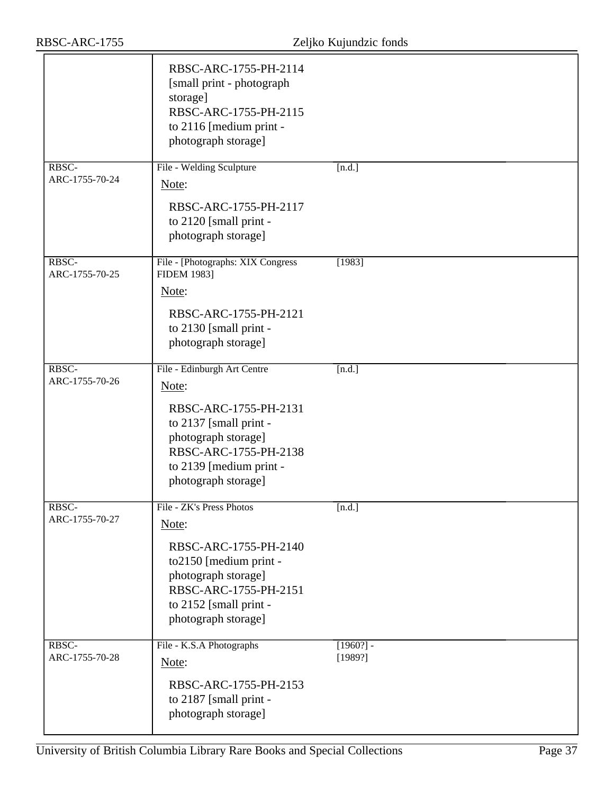|                         | RBSC-ARC-1755-PH-2114<br>[small print - photograph]<br>storage]<br>RBSC-ARC-1755-PH-2115<br>to 2116 [medium print -<br>photograph storage]                                                |                    |
|-------------------------|-------------------------------------------------------------------------------------------------------------------------------------------------------------------------------------------|--------------------|
| RBSC-<br>ARC-1755-70-24 | File - Welding Sculpture<br>Note:<br>RBSC-ARC-1755-PH-2117<br>to 2120 [small print -<br>photograph storage]                                                                               | [n.d.]             |
| RBSC-<br>ARC-1755-70-25 | File - [Photographs: XIX Congress<br><b>FIDEM 1983]</b><br>Note:<br>RBSC-ARC-1755-PH-2121<br>to 2130 [small print -<br>photograph storage]                                                | [1983]             |
| RBSC-<br>ARC-1755-70-26 | File - Edinburgh Art Centre<br>Note:<br>RBSC-ARC-1755-PH-2131<br>to 2137 [small print -<br>photograph storage]<br>RBSC-ARC-1755-PH-2138<br>to 2139 [medium print -<br>photograph storage] | [n.d.]             |
| RBSC-<br>ARC-1755-70-27 | File - ZK's Press Photos<br>Note:<br>RBSC-ARC-1755-PH-2140<br>to2150 [medium print -<br>photograph storage]<br>RBSC-ARC-1755-PH-2151<br>to 2152 [small print -<br>photograph storage]     | [n.d.]             |
| RBSC-<br>ARC-1755-70-28 | File - K.S.A Photographs<br>Note:<br>RBSC-ARC-1755-PH-2153<br>to 2187 [small print -<br>photograph storage]                                                                               | [1960?]<br>[1989?] |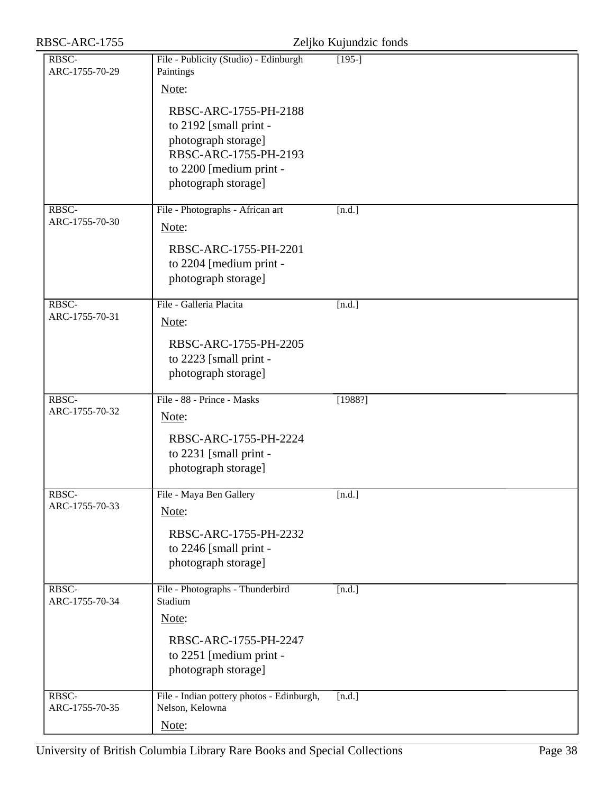| RBSC-ARC-1755           |                                                                                                                                                   | Zeljko Kujundzic fonds |
|-------------------------|---------------------------------------------------------------------------------------------------------------------------------------------------|------------------------|
| RBSC-<br>ARC-1755-70-29 | File - Publicity (Studio) - Edinburgh<br>Paintings<br>Note:                                                                                       | $[195-]$               |
|                         | RBSC-ARC-1755-PH-2188<br>to 2192 [small print -<br>photograph storage]<br>RBSC-ARC-1755-PH-2193<br>to 2200 [medium print -<br>photograph storage] |                        |
| RBSC-<br>ARC-1755-70-30 | File - Photographs - African art<br>Note:<br>RBSC-ARC-1755-PH-2201<br>to 2204 [medium print -<br>photograph storage]                              | [n.d.]                 |
| RBSC-<br>ARC-1755-70-31 | File - Galleria Placita<br>Note:<br>RBSC-ARC-1755-PH-2205<br>to 2223 [small print -<br>photograph storage]                                        | [n.d.]                 |
| RBSC-<br>ARC-1755-70-32 | File - 88 - Prince - Masks<br>Note:<br>RBSC-ARC-1755-PH-2224<br>to 2231 [small print -<br>photograph storage]                                     | [1988?]                |
| RBSC-<br>ARC-1755-70-33 | File - Maya Ben Gallery<br>Note:<br>RBSC-ARC-1755-PH-2232<br>to 2246 [small print -<br>photograph storage]                                        | [n.d.]                 |
| RBSC-<br>ARC-1755-70-34 | File - Photographs - Thunderbird<br>Stadium<br>Note:<br>RBSC-ARC-1755-PH-2247<br>to 2251 [medium print -<br>photograph storage]                   | [n.d.]                 |
| RBSC-<br>ARC-1755-70-35 | File - Indian pottery photos - Edinburgh,<br>Nelson, Kelowna<br>Note:                                                                             | [n.d.]                 |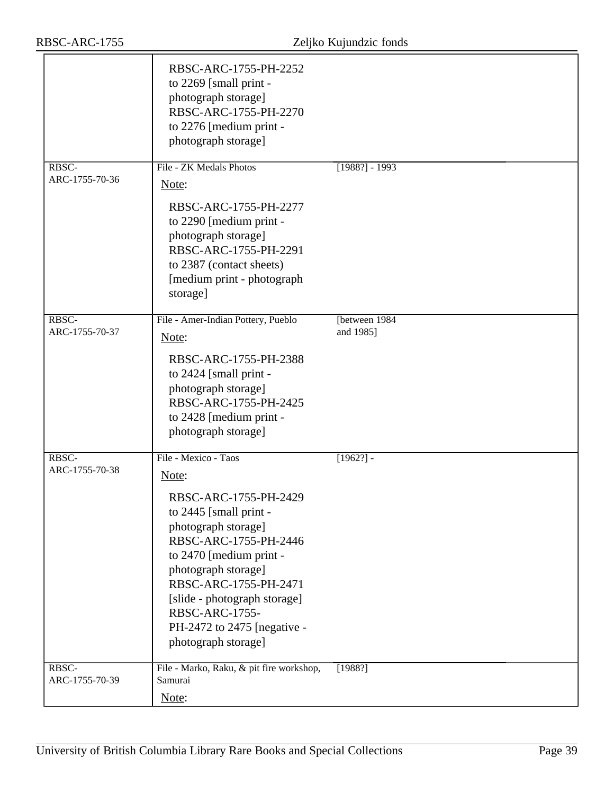|                         | RBSC-ARC-1755-PH-2252<br>to 2269 [small print -<br>photograph storage]<br>RBSC-ARC-1755-PH-2270<br>to 2276 [medium print -<br>photograph storage]                                                                                                                                                                          |                             |
|-------------------------|----------------------------------------------------------------------------------------------------------------------------------------------------------------------------------------------------------------------------------------------------------------------------------------------------------------------------|-----------------------------|
| RBSC-<br>ARC-1755-70-36 | File - ZK Medals Photos<br>Note:<br>RBSC-ARC-1755-PH-2277<br>to 2290 [medium print -<br>photograph storage]<br>RBSC-ARC-1755-PH-2291<br>to 2387 (contact sheets)<br>[medium print - photograph<br>storage]                                                                                                                 | $[1988?] - 1993$            |
| RBSC-<br>ARC-1755-70-37 | File - Amer-Indian Pottery, Pueblo<br>Note:<br>RBSC-ARC-1755-PH-2388<br>to 2424 [small print -<br>photograph storage]<br>RBSC-ARC-1755-PH-2425<br>to 2428 [medium print -<br>photograph storage]                                                                                                                           | [between 1984]<br>and 1985] |
| RBSC-<br>ARC-1755-70-38 | File - Mexico - Taos<br>Note:<br>RBSC-ARC-1755-PH-2429<br>to 2445 [small print -<br>photograph storage]<br>RBSC-ARC-1755-PH-2446<br>to 2470 [medium print -<br>photograph storage]<br>RBSC-ARC-1755-PH-2471<br>[slide - photograph storage]<br><b>RBSC-ARC-1755-</b><br>PH-2472 to 2475 [negative -<br>photograph storage] | [1962?]                     |
| RBSC-<br>ARC-1755-70-39 | File - Marko, Raku, & pit fire workshop,<br>Samurai<br>Note:                                                                                                                                                                                                                                                               | [1988?]                     |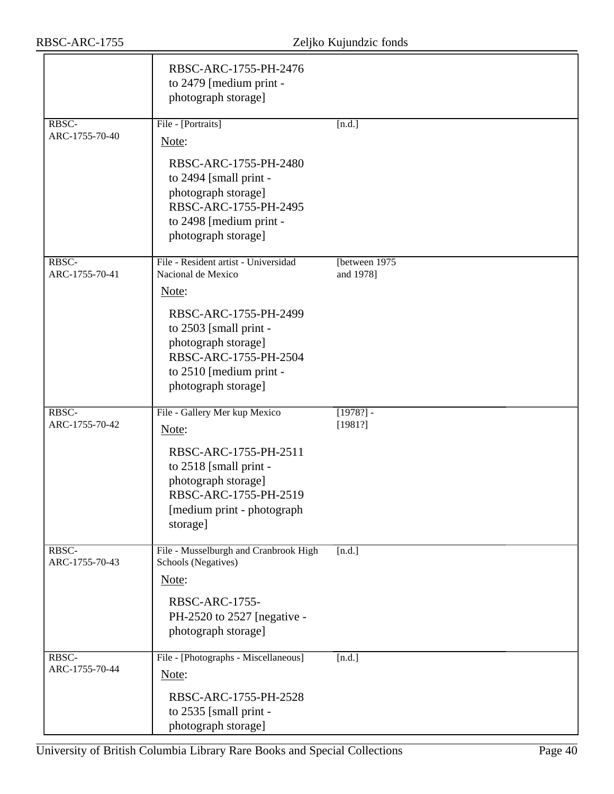| [n.d.]              |                                                                                                                                                                                                                                                                                                                                                                                                                                                                                                                                                                                                                                                                                                                                                                                                                                                                                      |
|---------------------|--------------------------------------------------------------------------------------------------------------------------------------------------------------------------------------------------------------------------------------------------------------------------------------------------------------------------------------------------------------------------------------------------------------------------------------------------------------------------------------------------------------------------------------------------------------------------------------------------------------------------------------------------------------------------------------------------------------------------------------------------------------------------------------------------------------------------------------------------------------------------------------|
|                     |                                                                                                                                                                                                                                                                                                                                                                                                                                                                                                                                                                                                                                                                                                                                                                                                                                                                                      |
| [between 1975]      |                                                                                                                                                                                                                                                                                                                                                                                                                                                                                                                                                                                                                                                                                                                                                                                                                                                                                      |
|                     |                                                                                                                                                                                                                                                                                                                                                                                                                                                                                                                                                                                                                                                                                                                                                                                                                                                                                      |
|                     |                                                                                                                                                                                                                                                                                                                                                                                                                                                                                                                                                                                                                                                                                                                                                                                                                                                                                      |
| $[1978?] -$         |                                                                                                                                                                                                                                                                                                                                                                                                                                                                                                                                                                                                                                                                                                                                                                                                                                                                                      |
|                     |                                                                                                                                                                                                                                                                                                                                                                                                                                                                                                                                                                                                                                                                                                                                                                                                                                                                                      |
| [n.d.]              |                                                                                                                                                                                                                                                                                                                                                                                                                                                                                                                                                                                                                                                                                                                                                                                                                                                                                      |
|                     |                                                                                                                                                                                                                                                                                                                                                                                                                                                                                                                                                                                                                                                                                                                                                                                                                                                                                      |
|                     |                                                                                                                                                                                                                                                                                                                                                                                                                                                                                                                                                                                                                                                                                                                                                                                                                                                                                      |
| [n.d.]              |                                                                                                                                                                                                                                                                                                                                                                                                                                                                                                                                                                                                                                                                                                                                                                                                                                                                                      |
|                     |                                                                                                                                                                                                                                                                                                                                                                                                                                                                                                                                                                                                                                                                                                                                                                                                                                                                                      |
|                     |                                                                                                                                                                                                                                                                                                                                                                                                                                                                                                                                                                                                                                                                                                                                                                                                                                                                                      |
| photograph storage] |                                                                                                                                                                                                                                                                                                                                                                                                                                                                                                                                                                                                                                                                                                                                                                                                                                                                                      |
|                     | RBSC-ARC-1755-PH-2476<br>to 2479 [medium print -<br>photograph storage]<br>RBSC-ARC-1755-PH-2480<br>to 2494 [small print -<br>photograph storage]<br>RBSC-ARC-1755-PH-2495<br>to 2498 [medium print -<br>photograph storage]<br>File - Resident artist - Universidad<br>Nacional de Mexico<br>and 1978]<br>RBSC-ARC-1755-PH-2499<br>to 2503 [small print -<br>photograph storage]<br>RBSC-ARC-1755-PH-2504<br>to 2510 [medium print -<br>photograph storage]<br>File - Gallery Mer kup Mexico<br>[1981?]<br>RBSC-ARC-1755-PH-2511<br>to 2518 [small print -<br>photograph storage]<br>RBSC-ARC-1755-PH-2519<br>[medium print - photograph]<br>File - Musselburgh and Cranbrook High<br>Schools (Negatives)<br><b>RBSC-ARC-1755-</b><br>PH-2520 to 2527 [negative -<br>photograph storage]<br>File - [Photographs - Miscellaneous]<br>RBSC-ARC-1755-PH-2528<br>to 2535 [small print - |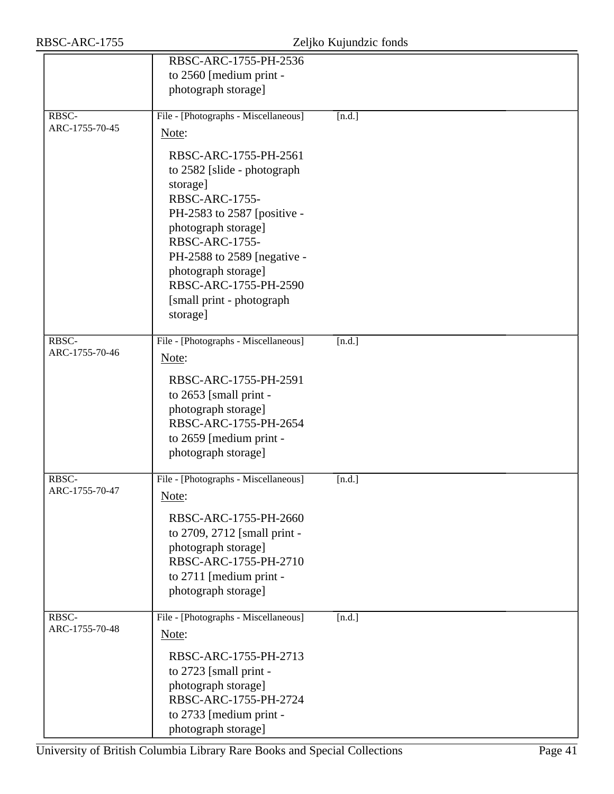| RBSC-ARC-1755           |                                                                                                                                                                                                                                                                                           | Zeljko Kujundzic fonds |
|-------------------------|-------------------------------------------------------------------------------------------------------------------------------------------------------------------------------------------------------------------------------------------------------------------------------------------|------------------------|
|                         | RBSC-ARC-1755-PH-2536<br>to 2560 [medium print -                                                                                                                                                                                                                                          |                        |
|                         | photograph storage]                                                                                                                                                                                                                                                                       |                        |
| RBSC-<br>ARC-1755-70-45 | File - [Photographs - Miscellaneous]<br>Note:                                                                                                                                                                                                                                             | [n.d.]                 |
|                         | RBSC-ARC-1755-PH-2561<br>to 2582 [slide - photograph<br>storage]<br><b>RBSC-ARC-1755-</b><br>PH-2583 to 2587 [positive -<br>photograph storage]<br>RBSC-ARC-1755-<br>PH-2588 to 2589 [negative -<br>photograph storage]<br>RBSC-ARC-1755-PH-2590<br>[small print - photograph<br>storage] |                        |
| RBSC-<br>ARC-1755-70-46 | File - [Photographs - Miscellaneous]<br>Note:<br>RBSC-ARC-1755-PH-2591<br>to 2653 [small print -<br>photograph storage]<br>RBSC-ARC-1755-PH-2654<br>to 2659 [medium print -<br>photograph storage]                                                                                        | [n.d.]                 |
| RBSC-<br>ARC-1755-70-47 | File - [Photographs - Miscellaneous]<br>Note:<br>RBSC-ARC-1755-PH-2660<br>to 2709, 2712 [small print -<br>photograph storage]<br>RBSC-ARC-1755-PH-2710<br>to 2711 [medium print -<br>photograph storage]                                                                                  | [n.d.]                 |
| RBSC-<br>ARC-1755-70-48 | File - [Photographs - Miscellaneous]<br>Note:<br>RBSC-ARC-1755-PH-2713<br>to 2723 [small print -<br>photograph storage]<br>RBSC-ARC-1755-PH-2724<br>to 2733 [medium print -<br>photograph storage]                                                                                        | [n.d.]                 |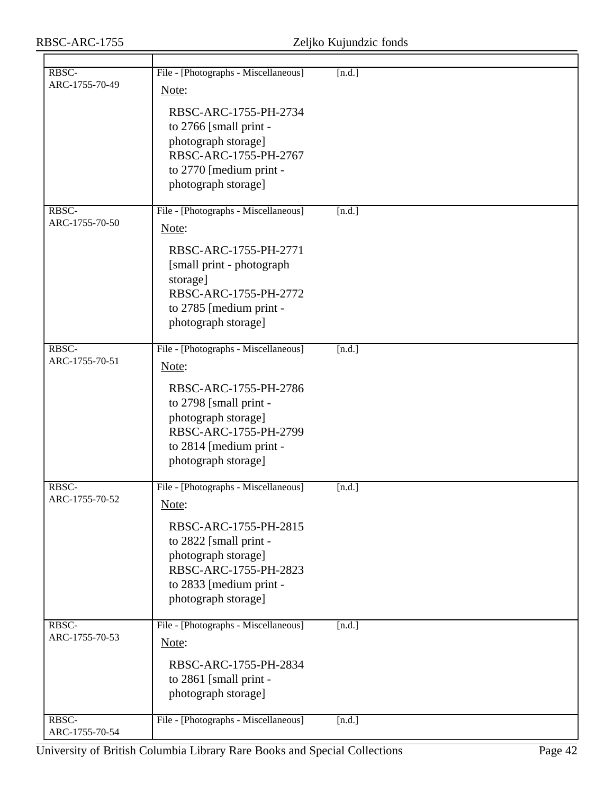| RBSC-<br>ARC-1755-70-49 | File - [Photographs - Miscellaneous]<br>Note:                                                                                                                                                      | [n.d.] |
|-------------------------|----------------------------------------------------------------------------------------------------------------------------------------------------------------------------------------------------|--------|
|                         | RBSC-ARC-1755-PH-2734<br>to 2766 [small print -<br>photograph storage]<br>RBSC-ARC-1755-PH-2767<br>to 2770 [medium print -<br>photograph storage]                                                  |        |
| RBSC-<br>ARC-1755-70-50 | File - [Photographs - Miscellaneous]<br>Note:                                                                                                                                                      | [n.d.] |
|                         | RBSC-ARC-1755-PH-2771<br>[small print - photograph<br>storage]<br>RBSC-ARC-1755-PH-2772<br>to 2785 [medium print -<br>photograph storage]                                                          |        |
| RBSC-<br>ARC-1755-70-51 | File - [Photographs - Miscellaneous]<br>Note:<br>RBSC-ARC-1755-PH-2786<br>to 2798 [small print -<br>photograph storage]<br>RBSC-ARC-1755-PH-2799<br>to 2814 [medium print -<br>photograph storage] | [n.d.] |
| RBSC-<br>ARC-1755-70-52 | File - [Photographs - Miscellaneous]<br>Note:                                                                                                                                                      | [n.d.] |
|                         | RBSC-ARC-1755-PH-2815<br>to 2822 [small print -<br>photograph storage]<br>RBSC-ARC-1755-PH-2823<br>to 2833 [medium print -<br>photograph storage]                                                  |        |
| RBSC-<br>ARC-1755-70-53 | File - [Photographs - Miscellaneous]<br>Note:                                                                                                                                                      | [n.d.] |
|                         | RBSC-ARC-1755-PH-2834<br>to 2861 [small print -<br>photograph storage]                                                                                                                             |        |
| RBSC-<br>ARC-1755-70-54 | File - [Photographs - Miscellaneous]                                                                                                                                                               | [n.d.] |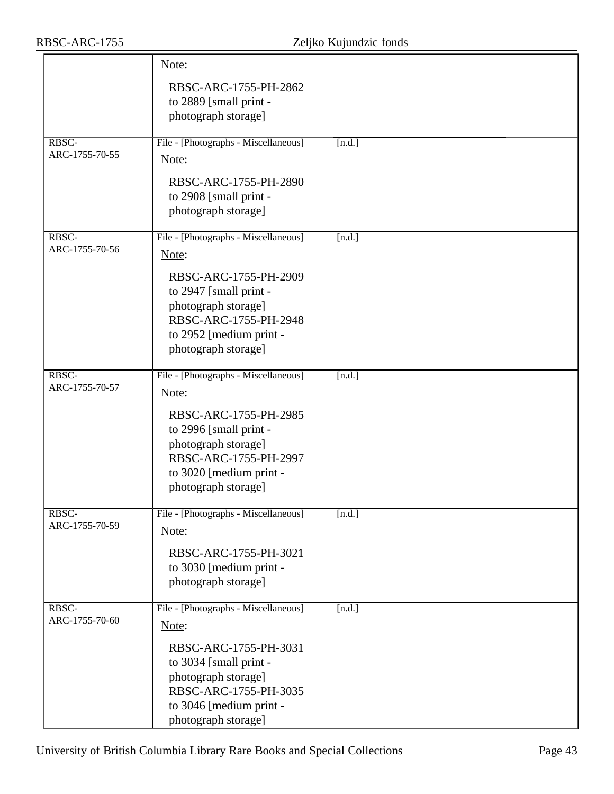|                         | Note:                                                                                                                                                      |        |
|-------------------------|------------------------------------------------------------------------------------------------------------------------------------------------------------|--------|
|                         | RBSC-ARC-1755-PH-2862<br>to 2889 [small print -<br>photograph storage]                                                                                     |        |
| RBSC-<br>ARC-1755-70-55 | File - [Photographs - Miscellaneous]<br>Note:                                                                                                              | [n.d.] |
|                         | RBSC-ARC-1755-PH-2890<br>to 2908 [small print -<br>photograph storage]                                                                                     |        |
| RBSC-<br>ARC-1755-70-56 | File - [Photographs - Miscellaneous]<br>Note:                                                                                                              | [n.d.] |
|                         | RBSC-ARC-1755-PH-2909<br>to 2947 [small print -<br>photograph storage]<br>RBSC-ARC-1755-PH-2948<br>to 2952 [medium print -<br>photograph storage]          |        |
| RBSC-<br>ARC-1755-70-57 | File - [Photographs - Miscellaneous]<br>Note:                                                                                                              | [n.d.] |
|                         | RBSC-ARC-1755-PH-2985<br>to 2996 [small print -<br>photograph storage]<br>RBSC-ARC-1755-PH-2997<br>to 3020 [medium print -<br>photograph storage]          |        |
| RBSC-<br>ARC-1755-70-59 | File - [Photographs - Miscellaneous]<br>Note:                                                                                                              | [n.d.] |
|                         | RBSC-ARC-1755-PH-3021<br>to 3030 [medium print -<br>photograph storage]                                                                                    |        |
| RBSC-<br>ARC-1755-70-60 | File - [Photographs - Miscellaneous]                                                                                                                       | [n.d.] |
|                         | Note:<br>RBSC-ARC-1755-PH-3031<br>to 3034 [small print -<br>photograph storage]<br>RBSC-ARC-1755-PH-3035<br>to 3046 [medium print -<br>photograph storage] |        |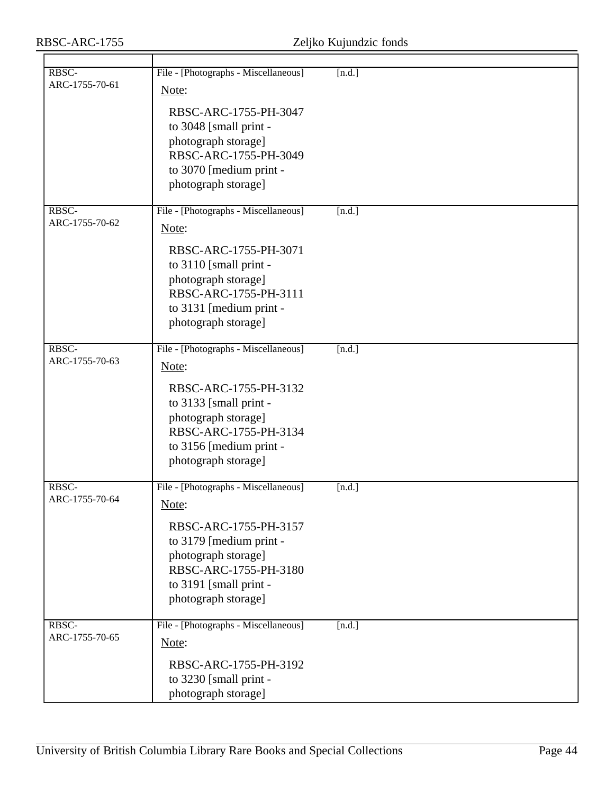| RBSC-<br>ARC-1755-70-61 | File - [Photographs - Miscellaneous]<br>Note:<br>RBSC-ARC-1755-PH-3047                                                                            | [n.d.] |
|-------------------------|---------------------------------------------------------------------------------------------------------------------------------------------------|--------|
|                         | to 3048 [small print -<br>photograph storage]<br>RBSC-ARC-1755-PH-3049<br>to 3070 [medium print -                                                 |        |
|                         | photograph storage]                                                                                                                               |        |
| RBSC-<br>ARC-1755-70-62 | File - [Photographs - Miscellaneous]<br>Note:                                                                                                     | [n.d.] |
|                         | RBSC-ARC-1755-PH-3071<br>to 3110 [small print -<br>photograph storage]<br>RBSC-ARC-1755-PH-3111<br>to 3131 [medium print -                        |        |
|                         | photograph storage]                                                                                                                               |        |
| RBSC-<br>ARC-1755-70-63 | File - [Photographs - Miscellaneous]<br>Note:                                                                                                     | [n.d.] |
|                         | RBSC-ARC-1755-PH-3132<br>to 3133 [small print -<br>photograph storage]<br>RBSC-ARC-1755-PH-3134<br>to 3156 [medium print -<br>photograph storage] |        |
| RBSC-<br>ARC-1755-70-64 | File - [Photographs - Miscellaneous]<br>Note:                                                                                                     | [n.d.] |
|                         | RBSC-ARC-1755-PH-3157<br>to 3179 [medium print -<br>photograph storage]<br>RBSC-ARC-1755-PH-3180<br>to 3191 [small print -<br>photograph storage] |        |
| RBSC-<br>ARC-1755-70-65 | File - [Photographs - Miscellaneous]<br>Note:                                                                                                     | [n.d.] |
|                         | RBSC-ARC-1755-PH-3192<br>to 3230 [small print -<br>photograph storage]                                                                            |        |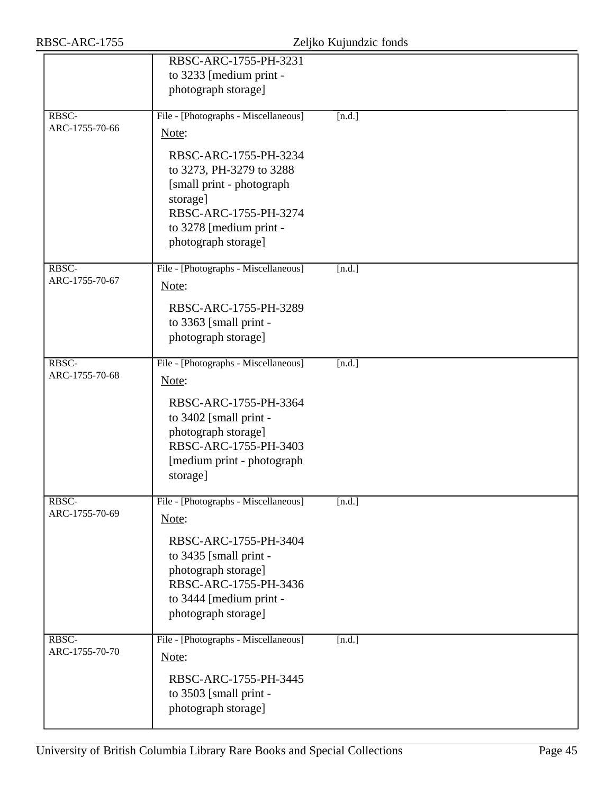| RBSC-ARC-1755           | Zeljko Kujundzic fonds                                                                                                                                                                                                  |        |  |
|-------------------------|-------------------------------------------------------------------------------------------------------------------------------------------------------------------------------------------------------------------------|--------|--|
|                         | RBSC-ARC-1755-PH-3231<br>to 3233 [medium print -<br>photograph storage]                                                                                                                                                 |        |  |
| RBSC-<br>ARC-1755-70-66 | File - [Photographs - Miscellaneous]<br>Note:<br>RBSC-ARC-1755-PH-3234<br>to 3273, PH-3279 to 3288<br>[small print - photograph]<br>storage]<br>RBSC-ARC-1755-PH-3274<br>to 3278 [medium print -<br>photograph storage] | [n.d.] |  |
| RBSC-<br>ARC-1755-70-67 | File - [Photographs - Miscellaneous]<br>Note:<br>RBSC-ARC-1755-PH-3289<br>to 3363 [small print -<br>photograph storage]                                                                                                 | [n.d.] |  |
| RBSC-<br>ARC-1755-70-68 | File - [Photographs - Miscellaneous]<br>Note:<br>RBSC-ARC-1755-PH-3364<br>to 3402 [small print -<br>photograph storage]<br>RBSC-ARC-1755-PH-3403<br>[medium print - photograph]<br>storage]                             | [n.d.] |  |
| RBSC-<br>ARC-1755-70-69 | File - [Photographs - Miscellaneous]<br>Note:<br>RBSC-ARC-1755-PH-3404<br>to 3435 [small print -<br>photograph storage]<br>RBSC-ARC-1755-PH-3436<br>to 3444 [medium print -<br>photograph storage]                      | [n.d.] |  |
| RBSC-<br>ARC-1755-70-70 | File - [Photographs - Miscellaneous]<br>Note:<br>RBSC-ARC-1755-PH-3445<br>to 3503 [small print -<br>photograph storage]                                                                                                 | [n.d.] |  |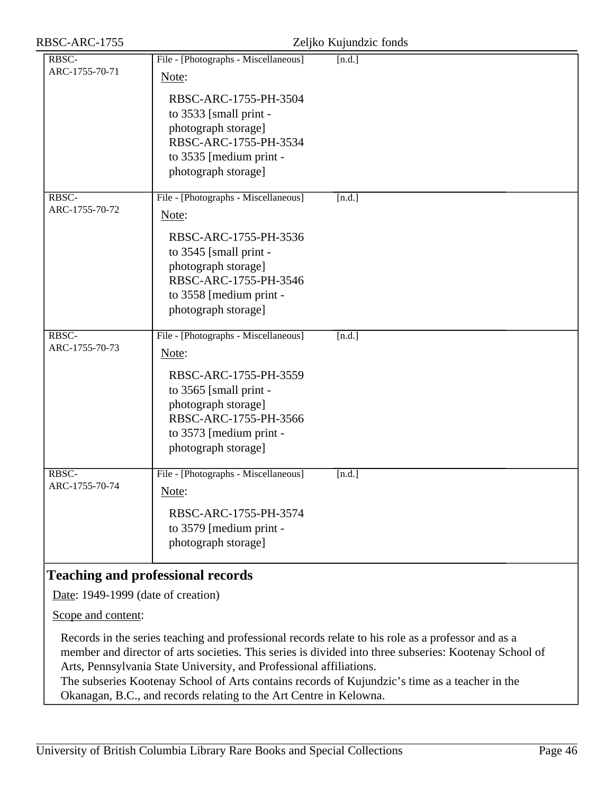| RBSC-ARC-1755                        |                                                                                                                                                   | Zeljko Kujundzic fonds                                                                                                                                                                                       |
|--------------------------------------|---------------------------------------------------------------------------------------------------------------------------------------------------|--------------------------------------------------------------------------------------------------------------------------------------------------------------------------------------------------------------|
| RBSC-<br>ARC-1755-70-71              | File - [Photographs - Miscellaneous]<br>Note:                                                                                                     | [n.d.]                                                                                                                                                                                                       |
|                                      | RBSC-ARC-1755-PH-3504<br>to 3533 [small print -<br>photograph storage]<br>RBSC-ARC-1755-PH-3534<br>to 3535 [medium print -<br>photograph storage] |                                                                                                                                                                                                              |
| RBSC-<br>ARC-1755-70-72              | File - [Photographs - Miscellaneous]<br>Note:                                                                                                     | [n.d.]                                                                                                                                                                                                       |
|                                      | RBSC-ARC-1755-PH-3536<br>to 3545 [small print -<br>photograph storage]<br>RBSC-ARC-1755-PH-3546<br>to 3558 [medium print -<br>photograph storage] |                                                                                                                                                                                                              |
| RBSC-<br>ARC-1755-70-73              | File - [Photographs - Miscellaneous]<br>Note:                                                                                                     | [n.d.]                                                                                                                                                                                                       |
|                                      | RBSC-ARC-1755-PH-3559<br>to 3565 [small print -<br>photograph storage]<br>RBSC-ARC-1755-PH-3566<br>to 3573 [medium print -<br>photograph storage] |                                                                                                                                                                                                              |
| RBSC-<br>ARC-1755-70-74              | File - [Photographs - Miscellaneous]<br>Note:                                                                                                     | [n.d.]                                                                                                                                                                                                       |
|                                      | RBSC-ARC-1755-PH-3574<br>to 3579 [medium print -<br>photograph storage]                                                                           |                                                                                                                                                                                                              |
|                                      | <b>Teaching and professional records</b>                                                                                                          |                                                                                                                                                                                                              |
| Date: $1949-1999$ (date of creation) |                                                                                                                                                   |                                                                                                                                                                                                              |
| Scope and content:                   |                                                                                                                                                   |                                                                                                                                                                                                              |
|                                      | Arts, Pennsylvania State University, and Professional affiliations.                                                                               | Records in the series teaching and professional records relate to his role as a professor and as a<br>member and director of arts societies. This series is divided into three subseries: Kootenay School of |

<span id="page-45-0"></span>The subseries Kootenay School of Arts contains records of Kujundzic's time as a teacher in the Okanagan, B.C., and records relating to the Art Centre in Kelowna.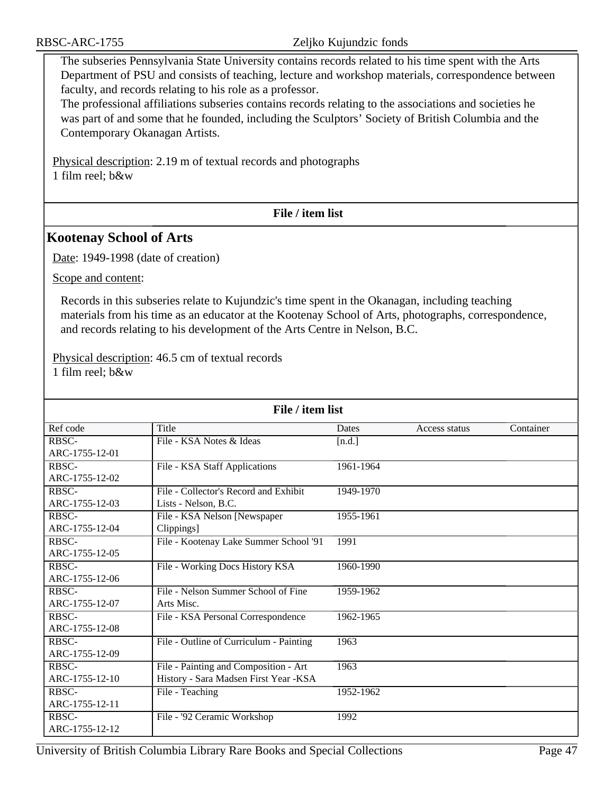The subseries Pennsylvania State University contains records related to his time spent with the Arts Department of PSU and consists of teaching, lecture and workshop materials, correspondence between faculty, and records relating to his role as a professor.

The professional affiliations subseries contains records relating to the associations and societies he was part of and some that he founded, including the Sculptors' Society of British Columbia and the Contemporary Okanagan Artists.

Physical description: 2.19 m of textual records and photographs 1 film reel; b&w

### **File / item list**

## <span id="page-46-0"></span>**Kootenay School of Arts**

Date: 1949-1998 (date of creation)

Scope and content:

Records in this subseries relate to Kujundzic's time spent in the Okanagan, including teaching materials from his time as an educator at the Kootenay School of Arts, photographs, correspondence, and records relating to his development of the Arts Centre in Nelson, B.C.

Physical description: 46.5 cm of textual records 1 film reel; b&w

| File / item list |                                         |           |               |           |
|------------------|-----------------------------------------|-----------|---------------|-----------|
| Ref code         | Title                                   | Dates     | Access status | Container |
| RBSC-            | File - KSA Notes & Ideas                | [n.d.]    |               |           |
| ARC-1755-12-01   |                                         |           |               |           |
| RBSC-            | File - KSA Staff Applications           | 1961-1964 |               |           |
| ARC-1755-12-02   |                                         |           |               |           |
| RBSC-            | File - Collector's Record and Exhibit   | 1949-1970 |               |           |
| ARC-1755-12-03   | Lists - Nelson, B.C.                    |           |               |           |
| RBSC-            | File - KSA Nelson [Newspaper            | 1955-1961 |               |           |
| ARC-1755-12-04   | Clippings]                              |           |               |           |
| RBSC-            | File - Kootenay Lake Summer School '91  | 1991      |               |           |
| ARC-1755-12-05   |                                         |           |               |           |
| RBSC-            | File - Working Docs History KSA         | 1960-1990 |               |           |
| ARC-1755-12-06   |                                         |           |               |           |
| RBSC-            | File - Nelson Summer School of Fine     | 1959-1962 |               |           |
| ARC-1755-12-07   | Arts Misc.                              |           |               |           |
| RBSC-            | File - KSA Personal Correspondence      | 1962-1965 |               |           |
| ARC-1755-12-08   |                                         |           |               |           |
| RBSC-            | File - Outline of Curriculum - Painting | 1963      |               |           |
| ARC-1755-12-09   |                                         |           |               |           |
| RBSC-            | File - Painting and Composition - Art   | 1963      |               |           |
| ARC-1755-12-10   | History - Sara Madsen First Year -KSA   |           |               |           |
| RBSC-            | File - Teaching                         | 1952-1962 |               |           |
| ARC-1755-12-11   |                                         |           |               |           |
| RBSC-            | File - '92 Ceramic Workshop             | 1992      |               |           |
| ARC-1755-12-12   |                                         |           |               |           |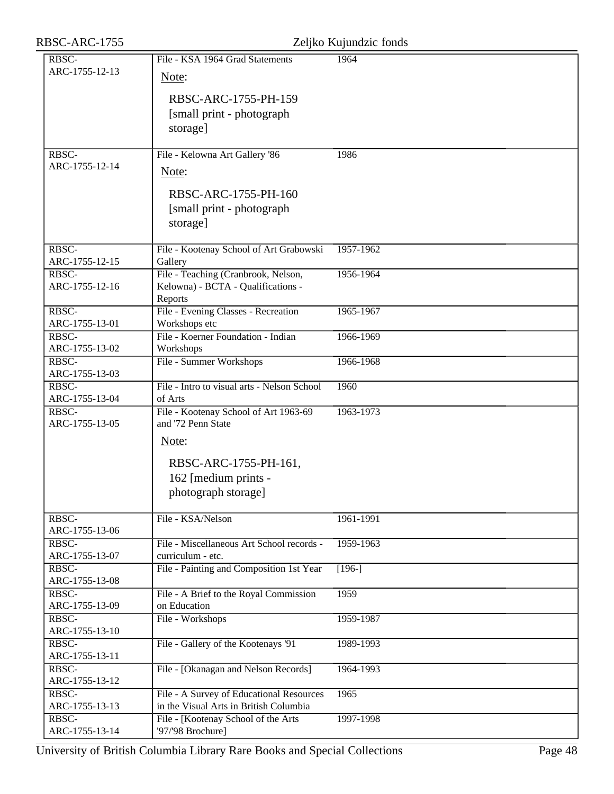| RBSC-ARC-1755                     | Zeljko Kujundzic fonds                                 |           |  |
|-----------------------------------|--------------------------------------------------------|-----------|--|
| RBSC-                             | File - KSA 1964 Grad Statements                        | 1964      |  |
| ARC-1755-12-13                    | Note:                                                  |           |  |
|                                   |                                                        |           |  |
|                                   | RBSC-ARC-1755-PH-159                                   |           |  |
|                                   | [small print - photograph]                             |           |  |
|                                   | storage]                                               |           |  |
|                                   |                                                        |           |  |
| RBSC-                             | File - Kelowna Art Gallery '86                         | 1986      |  |
| ARC-1755-12-14                    |                                                        |           |  |
|                                   | Note:                                                  |           |  |
|                                   | RBSC-ARC-1755-PH-160                                   |           |  |
|                                   | [small print - photograph]                             |           |  |
|                                   | storage]                                               |           |  |
|                                   |                                                        |           |  |
| RBSC-                             | File - Kootenay School of Art Grabowski                | 1957-1962 |  |
| ARC-1755-12-15                    | Gallery                                                |           |  |
| RBSC-                             | File - Teaching (Cranbrook, Nelson,                    | 1956-1964 |  |
| ARC-1755-12-16                    | Kelowna) - BCTA - Qualifications -                     |           |  |
|                                   | Reports                                                |           |  |
| RBSC-                             | File - Evening Classes - Recreation                    | 1965-1967 |  |
| ARC-1755-13-01                    | Workshops etc                                          |           |  |
| RBSC-                             | File - Koerner Foundation - Indian                     | 1966-1969 |  |
| ARC-1755-13-02                    | Workshops                                              |           |  |
| RBSC-<br>ARC-1755-13-03           | File - Summer Workshops                                | 1966-1968 |  |
| RBSC-                             | File - Intro to visual arts - Nelson School            | 1960      |  |
| ARC-1755-13-04                    | of Arts                                                |           |  |
| RBSC-                             | File - Kootenay School of Art 1963-69                  | 1963-1973 |  |
| ARC-1755-13-05                    | and '72 Penn State                                     |           |  |
|                                   | Note:                                                  |           |  |
|                                   |                                                        |           |  |
|                                   | RBSC-ARC-1755-PH-161,                                  |           |  |
|                                   | 162 [medium prints -                                   |           |  |
|                                   | photograph storage]                                    |           |  |
|                                   |                                                        |           |  |
| RBSC-                             | File - KSA/Nelson                                      | 1961-1991 |  |
| ARC-1755-13-06                    |                                                        |           |  |
| RBSC-                             | File - Miscellaneous Art School records -              | 1959-1963 |  |
| ARC-1755-13-07                    | curriculum - etc.                                      |           |  |
| RBSC-                             | File - Painting and Composition 1st Year               | $[196-]$  |  |
| ARC-1755-13-08                    |                                                        |           |  |
| RBSC-<br>ARC-1755-13-09           | File - A Brief to the Royal Commission<br>on Education | 1959      |  |
| RBSC-                             | File - Workshops                                       | 1959-1987 |  |
| ARC-1755-13-10                    |                                                        |           |  |
| RBSC-                             | File - Gallery of the Kootenays '91                    | 1989-1993 |  |
| ARC-1755-13-11                    |                                                        |           |  |
| RBSC-                             | File - [Okanagan and Nelson Records]                   | 1964-1993 |  |
| ARC-1755-13-12                    |                                                        |           |  |
| $R\overline{B}$ <sub>SC</sub> $-$ | File - A Survey of Educational Resources               | 1965      |  |
| ARC-1755-13-13                    | in the Visual Arts in British Columbia                 |           |  |
| RBSC-                             | File - [Kootenay School of the Arts                    | 1997-1998 |  |
| ARC-1755-13-14                    | '97/'98 Brochure]                                      |           |  |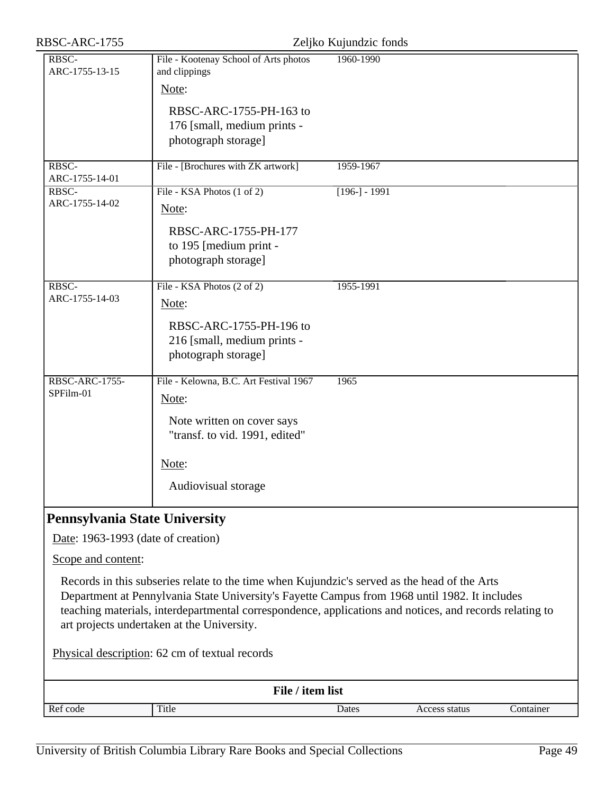<span id="page-48-0"></span>

| RBSC-ARC-1755                      |                                                                                                                                                                                                                                                                                                                                                        | Zeljko Kujundzic fonds |               |           |
|------------------------------------|--------------------------------------------------------------------------------------------------------------------------------------------------------------------------------------------------------------------------------------------------------------------------------------------------------------------------------------------------------|------------------------|---------------|-----------|
| RBSC-<br>ARC-1755-13-15            | File - Kootenay School of Arts photos<br>and clippings<br>Note:                                                                                                                                                                                                                                                                                        | 1960-1990              |               |           |
|                                    | RBSC-ARC-1755-PH-163 to<br>176 [small, medium prints -<br>photograph storage]                                                                                                                                                                                                                                                                          |                        |               |           |
| RBSC-<br>ARC-1755-14-01            | File - [Brochures with ZK artwork]                                                                                                                                                                                                                                                                                                                     | 1959-1967              |               |           |
| RBSC-<br>ARC-1755-14-02            | File - KSA Photos (1 of 2)<br>Note:                                                                                                                                                                                                                                                                                                                    | $[196-] - 1991$        |               |           |
|                                    | RBSC-ARC-1755-PH-177<br>to 195 [medium print -<br>photograph storage]                                                                                                                                                                                                                                                                                  |                        |               |           |
| RBSC-<br>ARC-1755-14-03            | File - KSA Photos (2 of 2)                                                                                                                                                                                                                                                                                                                             | 1955-1991              |               |           |
|                                    | Note:<br>RBSC-ARC-1755-PH-196 to<br>216 [small, medium prints -<br>photograph storage]                                                                                                                                                                                                                                                                 |                        |               |           |
| <b>RBSC-ARC-1755-</b><br>SPFilm-01 | File - Kelowna, B.C. Art Festival 1967                                                                                                                                                                                                                                                                                                                 | 1965                   |               |           |
|                                    | Note:<br>Note written on cover says<br>"transf. to vid. 1991, edited"                                                                                                                                                                                                                                                                                  |                        |               |           |
|                                    | Note:                                                                                                                                                                                                                                                                                                                                                  |                        |               |           |
|                                    | Audiovisual storage                                                                                                                                                                                                                                                                                                                                    |                        |               |           |
| Pennsylvania State University      |                                                                                                                                                                                                                                                                                                                                                        |                        |               |           |
| Date: 1963-1993 (date of creation) |                                                                                                                                                                                                                                                                                                                                                        |                        |               |           |
| Scope and content:                 |                                                                                                                                                                                                                                                                                                                                                        |                        |               |           |
|                                    | Records in this subseries relate to the time when Kujundzic's served as the head of the Arts<br>Department at Pennylvania State University's Fayette Campus from 1968 until 1982. It includes<br>teaching materials, interdepartmental correspondence, applications and notices, and records relating to<br>art projects undertaken at the University. |                        |               |           |
|                                    | Physical description: 62 cm of textual records                                                                                                                                                                                                                                                                                                         |                        |               |           |
|                                    | File / item list                                                                                                                                                                                                                                                                                                                                       |                        |               |           |
| Ref code                           | Title                                                                                                                                                                                                                                                                                                                                                  | Dates                  | Access status | Container |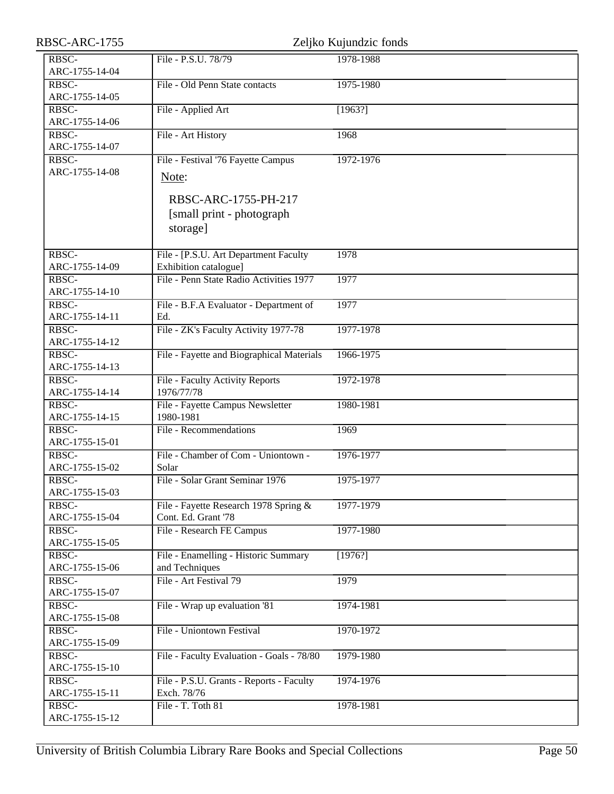| RBSC-ARC-1755              | Zeljko Kujundzic fonds                                         |           |  |
|----------------------------|----------------------------------------------------------------|-----------|--|
| RBSC-                      | File - P.S.U. 78/79                                            | 1978-1988 |  |
| ARC-1755-14-04             |                                                                |           |  |
| RBSC-                      | File - Old Penn State contacts                                 | 1975-1980 |  |
| ARC-1755-14-05             |                                                                |           |  |
| RBSC-                      | File - Applied Art                                             | [1963?]   |  |
| ARC-1755-14-06             |                                                                |           |  |
| RBSC-                      | File - Art History                                             | 1968      |  |
| ARC-1755-14-07<br>RBSC-    |                                                                | 1972-1976 |  |
| ARC-1755-14-08             | File - Festival '76 Fayette Campus                             |           |  |
|                            | Note:                                                          |           |  |
|                            | RBSC-ARC-1755-PH-217                                           |           |  |
|                            |                                                                |           |  |
|                            | [small print - photograph]                                     |           |  |
|                            | storage]                                                       |           |  |
| RBSC-                      |                                                                | 1978      |  |
| ARC-1755-14-09             | File - [P.S.U. Art Department Faculty<br>Exhibition catalogue] |           |  |
| RBSC-                      | File - Penn State Radio Activities 1977                        | 1977      |  |
| ARC-1755-14-10             |                                                                |           |  |
| RBSC-                      | File - B.F.A Evaluator - Department of                         | 1977      |  |
| ARC-1755-14-11             | Ed.                                                            |           |  |
| RBSC-                      | File - ZK's Faculty Activity 1977-78                           | 1977-1978 |  |
| ARC-1755-14-12             |                                                                |           |  |
| RBSC-                      | File - Fayette and Biographical Materials                      | 1966-1975 |  |
| ARC-1755-14-13             |                                                                |           |  |
| RBSC-                      | File - Faculty Activity Reports                                | 1972-1978 |  |
| ARC-1755-14-14             | 1976/77/78                                                     |           |  |
| RBSC-                      | File - Fayette Campus Newsletter<br>1980-1981                  | 1980-1981 |  |
| ARC-1755-14-15<br>RBSC-    | File - Recommendations                                         | 1969      |  |
| ARC-1755-15-01             |                                                                |           |  |
| RBSC-                      | File - Chamber of Com - Uniontown -                            | 1976-1977 |  |
| ARC-1755-15-02             | Solar                                                          |           |  |
| RBSC-                      | File - Solar Grant Seminar 1976                                | 1975-1977 |  |
| ARC-1755-15-03             |                                                                |           |  |
| $R\overline{\mathrm{BSC}}$ | File - Fayette Research 1978 Spring &                          | 1977-1979 |  |
| ARC-1755-15-04             | Cont. Ed. Grant '78                                            |           |  |
| RBSC-                      | File - Research FE Campus                                      | 1977-1980 |  |
| ARC-1755-15-05             |                                                                |           |  |
| RBSC-                      | File - Enamelling - Historic Summary                           | [1976?]   |  |
| ARC-1755-15-06<br>RBSC-    | and Techniques<br>File - Art Festival 79                       | 1979      |  |
| ARC-1755-15-07             |                                                                |           |  |
| RBSC-                      | File - Wrap up evaluation '81                                  | 1974-1981 |  |
| ARC-1755-15-08             |                                                                |           |  |
| RBSC-                      | File - Uniontown Festival                                      | 1970-1972 |  |
| ARC-1755-15-09             |                                                                |           |  |
| RBSC-                      | File - Faculty Evaluation - Goals - 78/80                      | 1979-1980 |  |
| ARC-1755-15-10             |                                                                |           |  |
| RBSC-                      | File - P.S.U. Grants - Reports - Faculty                       | 1974-1976 |  |
| ARC-1755-15-11             | Exch. 78/76                                                    |           |  |
| RBSC-                      | File - T. Toth 81                                              | 1978-1981 |  |
| ARC-1755-15-12             |                                                                |           |  |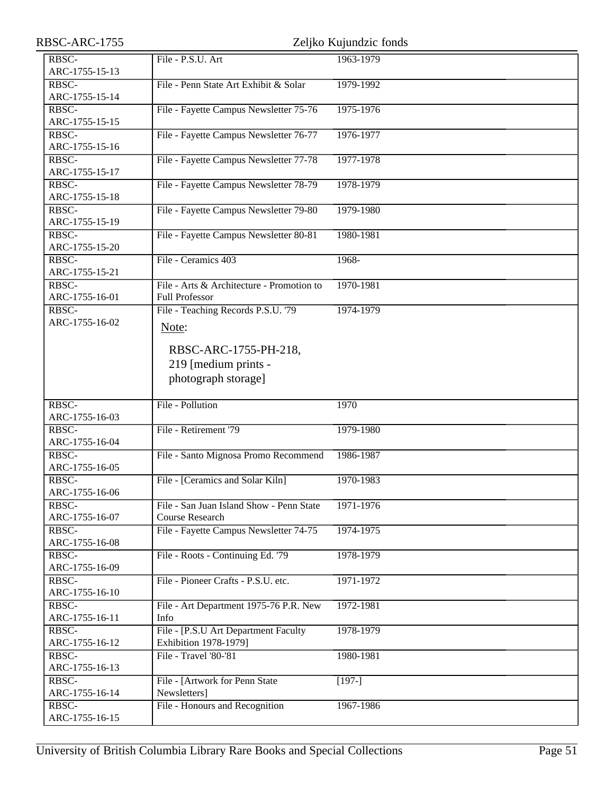| RBSC-ARC-1755           | Zeljko Kujundzic fonds                         |           |  |
|-------------------------|------------------------------------------------|-----------|--|
| RBSC-                   | File - P.S.U. Art                              | 1963-1979 |  |
| ARC-1755-15-13          |                                                |           |  |
| RBSC-                   | File - Penn State Art Exhibit & Solar          | 1979-1992 |  |
| ARC-1755-15-14          |                                                |           |  |
| RBSC-                   | File - Fayette Campus Newsletter 75-76         | 1975-1976 |  |
| ARC-1755-15-15          |                                                |           |  |
| RBSC-                   | File - Fayette Campus Newsletter 76-77         | 1976-1977 |  |
| ARC-1755-15-16          |                                                |           |  |
| RBSC-<br>ARC-1755-15-17 | File - Fayette Campus Newsletter 77-78         | 1977-1978 |  |
| RBSC-                   | File - Fayette Campus Newsletter 78-79         | 1978-1979 |  |
| ARC-1755-15-18          |                                                |           |  |
| RBSC-                   | File - Fayette Campus Newsletter 79-80         | 1979-1980 |  |
| ARC-1755-15-19          |                                                |           |  |
| RBSC-                   | File - Fayette Campus Newsletter 80-81         | 1980-1981 |  |
| ARC-1755-15-20          |                                                |           |  |
| RBSC-                   | File - Ceramics 403                            | 1968-     |  |
| ARC-1755-15-21          |                                                |           |  |
| RBSC-                   | File - Arts & Architecture - Promotion to      | 1970-1981 |  |
| ARC-1755-16-01          | <b>Full Professor</b>                          |           |  |
| RBSC-                   | File - Teaching Records P.S.U. '79             | 1974-1979 |  |
| ARC-1755-16-02          | Note:                                          |           |  |
|                         |                                                |           |  |
|                         | RBSC-ARC-1755-PH-218,                          |           |  |
|                         | 219 [medium prints -                           |           |  |
|                         | photograph storage]                            |           |  |
|                         |                                                |           |  |
| RBSC-                   | File - Pollution                               | 1970      |  |
| ARC-1755-16-03<br>RBSC- | File - Retirement '79                          | 1979-1980 |  |
| ARC-1755-16-04          |                                                |           |  |
| RBSC-                   | File - Santo Mignosa Promo Recommend           | 1986-1987 |  |
| ARC-1755-16-05          |                                                |           |  |
| RBSC-                   | File - [Ceramics and Solar Kiln]               | 1970-1983 |  |
| ARC-1755-16-06          |                                                |           |  |
| RBSC-                   | File - San Juan Island Show - Penn State       | 1971-1976 |  |
| ARC-1755-16-07          | <b>Course Research</b>                         |           |  |
| RBSC-                   | File - Fayette Campus Newsletter 74-75         | 1974-1975 |  |
| ARC-1755-16-08          |                                                |           |  |
| RBSC-                   | File - Roots - Continuing Ed. '79              | 1978-1979 |  |
| ARC-1755-16-09          |                                                |           |  |
| RBSC-                   | File - Pioneer Crafts - P.S.U. etc.            | 1971-1972 |  |
| ARC-1755-16-10          |                                                | 1972-1981 |  |
| RBSC-<br>ARC-1755-16-11 | File - Art Department 1975-76 P.R. New<br>Info |           |  |
| RBSC-                   | File - [P.S.U Art Department Faculty           | 1978-1979 |  |
| ARC-1755-16-12          | Exhibition 1978-1979]                          |           |  |
| RBSC-                   | File - Travel '80-'81                          | 1980-1981 |  |
| ARC-1755-16-13          |                                                |           |  |
| RBSC-                   | File - [Artwork for Penn State                 | $[197-]$  |  |
| ARC-1755-16-14          | Newsletters]                                   |           |  |
| RBSC-                   |                                                |           |  |
|                         | File - Honours and Recognition                 | 1967-1986 |  |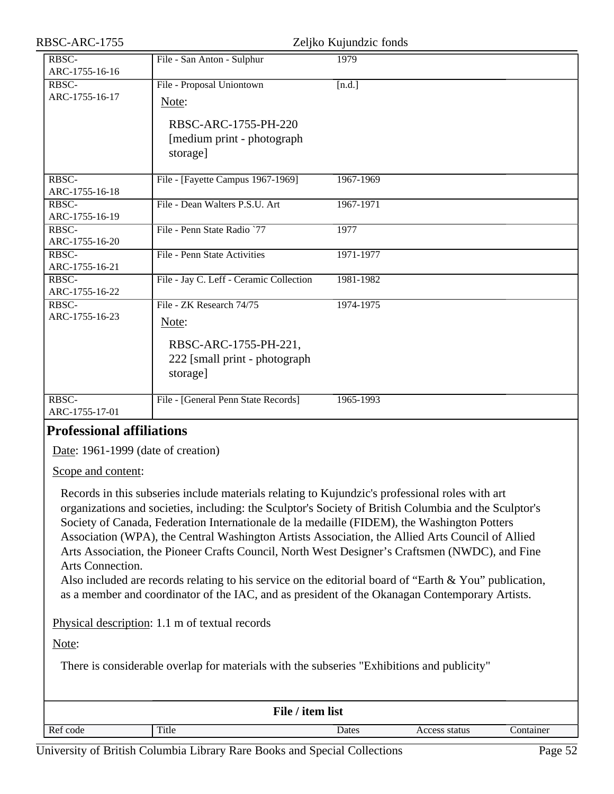| RBSC-ARC-1755                      |                                                                                            | Zeljko Kujundzic fonds                                                                                                                                                                                                                                                                                                                                                                                                                                                                                                                                                                                                  |
|------------------------------------|--------------------------------------------------------------------------------------------|-------------------------------------------------------------------------------------------------------------------------------------------------------------------------------------------------------------------------------------------------------------------------------------------------------------------------------------------------------------------------------------------------------------------------------------------------------------------------------------------------------------------------------------------------------------------------------------------------------------------------|
| RBSC-<br>ARC-1755-16-16            | File - San Anton - Sulphur                                                                 | 1979                                                                                                                                                                                                                                                                                                                                                                                                                                                                                                                                                                                                                    |
| RBSC-<br>ARC-1755-16-17            | File - Proposal Uniontown<br>Note:                                                         | [n.d.]                                                                                                                                                                                                                                                                                                                                                                                                                                                                                                                                                                                                                  |
|                                    | RBSC-ARC-1755-PH-220<br>[medium print - photograph]<br>storage]                            |                                                                                                                                                                                                                                                                                                                                                                                                                                                                                                                                                                                                                         |
| RBSC-<br>ARC-1755-16-18            | File - [Fayette Campus 1967-1969]                                                          | 1967-1969                                                                                                                                                                                                                                                                                                                                                                                                                                                                                                                                                                                                               |
| RBSC-<br>ARC-1755-16-19            | File - Dean Walters P.S.U. Art                                                             | 1967-1971                                                                                                                                                                                                                                                                                                                                                                                                                                                                                                                                                                                                               |
| RBSC-<br>ARC-1755-16-20            | File - Penn State Radio `77                                                                | 1977                                                                                                                                                                                                                                                                                                                                                                                                                                                                                                                                                                                                                    |
| RBSC-<br>ARC-1755-16-21            | File - Penn State Activities                                                               | 1971-1977                                                                                                                                                                                                                                                                                                                                                                                                                                                                                                                                                                                                               |
| RBSC-<br>ARC-1755-16-22            | File - Jay C. Leff - Ceramic Collection                                                    | 1981-1982                                                                                                                                                                                                                                                                                                                                                                                                                                                                                                                                                                                                               |
| RBSC-<br>ARC-1755-16-23            | File - ZK Research 74/75<br>Note:                                                          | 1974-1975                                                                                                                                                                                                                                                                                                                                                                                                                                                                                                                                                                                                               |
|                                    | RBSC-ARC-1755-PH-221,<br>222 [small print - photograph<br>storage]                         |                                                                                                                                                                                                                                                                                                                                                                                                                                                                                                                                                                                                                         |
| RBSC-<br>ARC-1755-17-01            | File - [General Penn State Records]                                                        | 1965-1993                                                                                                                                                                                                                                                                                                                                                                                                                                                                                                                                                                                                               |
| <b>Professional affiliations</b>   |                                                                                            |                                                                                                                                                                                                                                                                                                                                                                                                                                                                                                                                                                                                                         |
| Date: 1961-1999 (date of creation) |                                                                                            |                                                                                                                                                                                                                                                                                                                                                                                                                                                                                                                                                                                                                         |
| Scope and content:                 |                                                                                            |                                                                                                                                                                                                                                                                                                                                                                                                                                                                                                                                                                                                                         |
| Arts Connection.                   |                                                                                            | Records in this subseries include materials relating to Kujundzic's professional roles with art<br>organizations and societies, including: the Sculptor's Society of British Columbia and the Sculptor's<br>Society of Canada, Federation Internationale de la medaille (FIDEM), the Washington Potters<br>Association (WPA), the Central Washington Artists Association, the Allied Arts Council of Allied<br>Arts Association, the Pioneer Crafts Council, North West Designer's Craftsmen (NWDC), and Fine<br>Also included are records relating to his service on the editorial board of "Earth & You" publication, |
|                                    |                                                                                            | as a member and coordinator of the IAC, and as president of the Okanagan Contemporary Artists.                                                                                                                                                                                                                                                                                                                                                                                                                                                                                                                          |
|                                    | Physical description: 1.1 m of textual records                                             |                                                                                                                                                                                                                                                                                                                                                                                                                                                                                                                                                                                                                         |
| Note:                              |                                                                                            |                                                                                                                                                                                                                                                                                                                                                                                                                                                                                                                                                                                                                         |
|                                    | There is considerable overlap for materials with the subseries "Exhibitions and publicity" |                                                                                                                                                                                                                                                                                                                                                                                                                                                                                                                                                                                                                         |

<span id="page-51-0"></span>

| File / item list                                         |  |  |  |  |
|----------------------------------------------------------|--|--|--|--|
| Title<br>Ref code<br>Dates<br>Access status<br>Container |  |  |  |  |

University of British Columbia Library Rare Books and Special Collections Page 52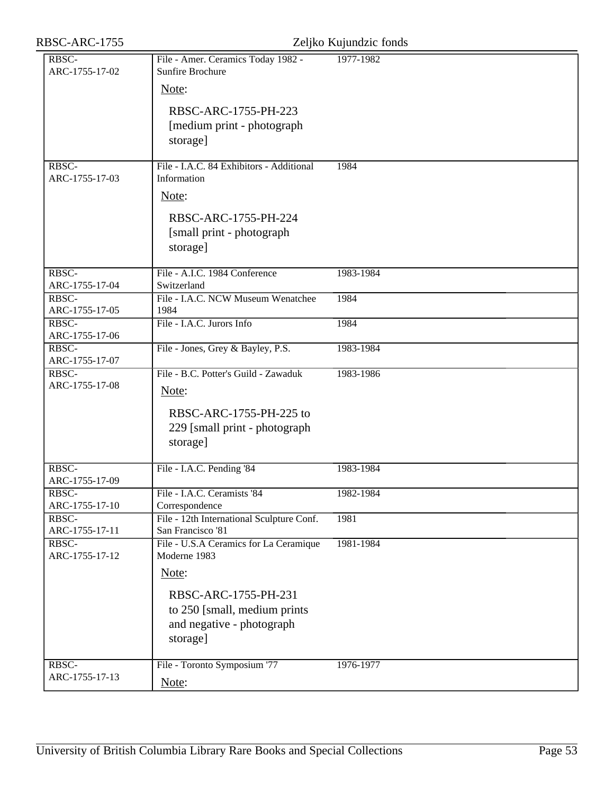| RBSC-ARC-1755                                |                                                             | Zeljko Kujundzic fonds |
|----------------------------------------------|-------------------------------------------------------------|------------------------|
| RBSC-<br>ARC-1755-17-02                      | File - Amer. Ceramics Today 1982 -<br>Sunfire Brochure      | 1977-1982              |
|                                              | Note:                                                       |                        |
|                                              | RBSC-ARC-1755-PH-223<br>[medium print - photograph]         |                        |
|                                              | storage]                                                    |                        |
| RBSC-<br>ARC-1755-17-03                      | File - I.A.C. 84 Exhibitors - Additional<br>Information     | 1984                   |
|                                              | Note:                                                       |                        |
|                                              | RBSC-ARC-1755-PH-224                                        |                        |
|                                              | [small print - photograph<br>storage]                       |                        |
|                                              |                                                             |                        |
| RBSC-<br>ARC-1755-17-04                      | File - A.I.C. 1984 Conference<br>Switzerland                | 1983-1984              |
| RBSC-<br>ARC-1755-17-05                      | File - I.A.C. NCW Museum Wenatchee<br>1984                  | 1984                   |
| RBSC-<br>ARC-1755-17-06                      | File - I.A.C. Jurors Info                                   | 1984                   |
| RBSC-<br>ARC-1755-17-07                      | File - Jones, Grey & Bayley, P.S.                           | 1983-1984              |
| $R\overline{\mathrm{BSC}}$<br>ARC-1755-17-08 | File - B.C. Potter's Guild - Zawaduk                        | 1983-1986              |
|                                              | Note:                                                       |                        |
|                                              | RBSC-ARC-1755-PH-225 to<br>229 [small print - photograph    |                        |
|                                              | storage]                                                    |                        |
| RBSC-<br>ARC-1755-17-09                      | File - I.A.C. Pending '84                                   | 1983-1984              |
| RBSC-                                        | File - I.A.C. Ceramists '84                                 | 1982-1984              |
| ARC-1755-17-10<br>RBSC-                      | Correspondence<br>File - 12th International Sculpture Conf. | 1981                   |
| ARC-1755-17-11<br>RBSC-                      | San Francisco '81<br>File - U.S.A Ceramics for La Ceramique | 1981-1984              |
| ARC-1755-17-12                               | Moderne 1983<br>Note:                                       |                        |
|                                              | RBSC-ARC-1755-PH-231                                        |                        |
|                                              | to 250 [small, medium prints                                |                        |
|                                              | and negative - photograph<br>storage]                       |                        |
| RBSC-                                        | File - Toronto Symposium '77                                | 1976-1977              |
| ARC-1755-17-13                               | Note:                                                       |                        |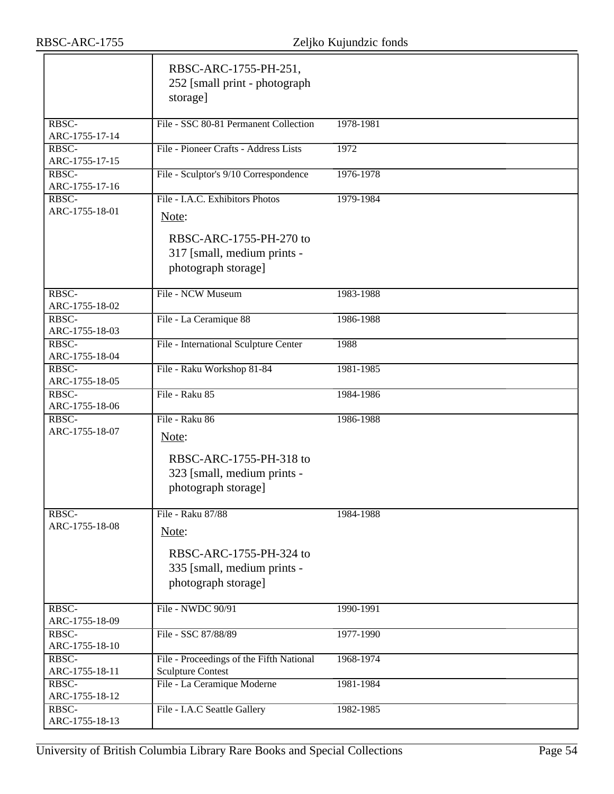|                         | RBSC-ARC-1755-PH-251,<br>252 [small print - photograph<br>storage]                                          |           |
|-------------------------|-------------------------------------------------------------------------------------------------------------|-----------|
| RBSC-<br>ARC-1755-17-14 | File - SSC 80-81 Permanent Collection                                                                       | 1978-1981 |
| RBSC-<br>ARC-1755-17-15 | File - Pioneer Crafts - Address Lists                                                                       | 1972      |
| RBSC-<br>ARC-1755-17-16 | File - Sculptor's 9/10 Correspondence                                                                       | 1976-1978 |
| RBSC-<br>ARC-1755-18-01 | File - I.A.C. Exhibitors Photos<br>Note:                                                                    | 1979-1984 |
|                         | RBSC-ARC-1755-PH-270 to<br>317 [small, medium prints -<br>photograph storage]                               |           |
| RBSC-<br>ARC-1755-18-02 | File - NCW Museum                                                                                           | 1983-1988 |
| RBSC-<br>ARC-1755-18-03 | File - La Ceramique 88                                                                                      | 1986-1988 |
| RBSC-<br>ARC-1755-18-04 | File - International Sculpture Center                                                                       | 1988      |
| RBSC-<br>ARC-1755-18-05 | File - Raku Workshop 81-84                                                                                  | 1981-1985 |
| RBSC-<br>ARC-1755-18-06 | File - Raku 85                                                                                              | 1984-1986 |
| RBSC-<br>ARC-1755-18-07 | File - Raku 86<br>Note:<br>RBSC-ARC-1755-PH-318 to<br>323 [small, medium prints -<br>photograph storage]    | 1986-1988 |
| RBSC-<br>ARC-1755-18-08 | File - Raku 87/88<br>Note:<br>RBSC-ARC-1755-PH-324 to<br>335 [small, medium prints -<br>photograph storage] | 1984-1988 |
| RBSC-<br>ARC-1755-18-09 | File - NWDC 90/91                                                                                           | 1990-1991 |
| RBSC-<br>ARC-1755-18-10 | File - SSC 87/88/89                                                                                         | 1977-1990 |
| RBSC-<br>ARC-1755-18-11 | File - Proceedings of the Fifth National<br><b>Sculpture Contest</b>                                        | 1968-1974 |
| RBSC-<br>ARC-1755-18-12 | File - La Ceramique Moderne                                                                                 | 1981-1984 |
| RBSC-<br>ARC-1755-18-13 | File - I.A.C Seattle Gallery                                                                                | 1982-1985 |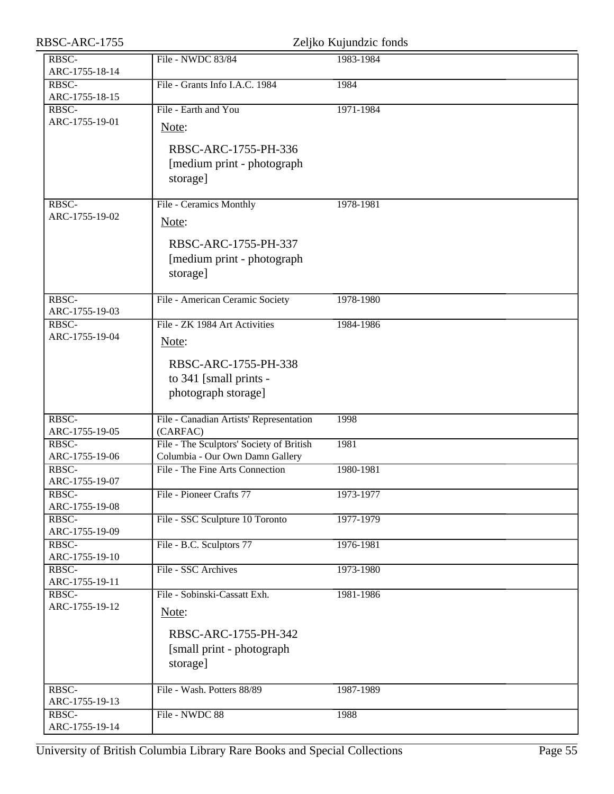| RBSC-ARC-1755           |                                                                                                         | Zeljko Kujundzic fonds |
|-------------------------|---------------------------------------------------------------------------------------------------------|------------------------|
| RBSC-<br>ARC-1755-18-14 | File - NWDC 83/84                                                                                       | 1983-1984              |
| RBSC-<br>ARC-1755-18-15 | File - Grants Info I.A.C. 1984                                                                          | 1984                   |
| RBSC-<br>ARC-1755-19-01 | File - Earth and You<br>Note:                                                                           | 1971-1984              |
|                         | RBSC-ARC-1755-PH-336<br>[medium print - photograph]<br>storage]                                         |                        |
| RBSC-<br>ARC-1755-19-02 | File - Ceramics Monthly<br>Note:                                                                        | 1978-1981              |
|                         | RBSC-ARC-1755-PH-337<br>[medium print - photograph]<br>storage]                                         |                        |
| RBSC-<br>ARC-1755-19-03 | File - American Ceramic Society                                                                         | 1978-1980              |
| RBSC-<br>ARC-1755-19-04 | File - ZK 1984 Art Activities<br>Note:                                                                  | 1984-1986              |
|                         | RBSC-ARC-1755-PH-338<br>to 341 [small prints -<br>photograph storage]                                   |                        |
| RBSC-<br>ARC-1755-19-05 | File - Canadian Artists' Representation<br>(CARFAC)                                                     | 1998                   |
| RBSC-<br>ARC-1755-19-06 | File - The Sculptors' Society of British<br>Columbia - Our Own Damn Gallery                             | 1981                   |
| RBSC-<br>ARC-1755-19-07 | File - The Fine Arts Connection                                                                         | 1980-1981              |
| RBSC-<br>ARC-1755-19-08 | File - Pioneer Crafts 77                                                                                | 1973-1977              |
| RBSC-<br>ARC-1755-19-09 | File - SSC Sculpture 10 Toronto                                                                         | 1977-1979              |
| RBSC-<br>ARC-1755-19-10 | File - B.C. Sculptors 77                                                                                | 1976-1981              |
| RBSC-<br>ARC-1755-19-11 | File - SSC Archives                                                                                     | 1973-1980              |
| RBSC-<br>ARC-1755-19-12 | File - Sobinski-Cassatt Exh.<br>Note:<br>RBSC-ARC-1755-PH-342<br>[small print - photograph]<br>storage] | 1981-1986              |
| RBSC-<br>ARC-1755-19-13 | File - Wash. Potters 88/89                                                                              | 1987-1989              |
| RBSC-<br>ARC-1755-19-14 | File - NWDC 88                                                                                          | 1988                   |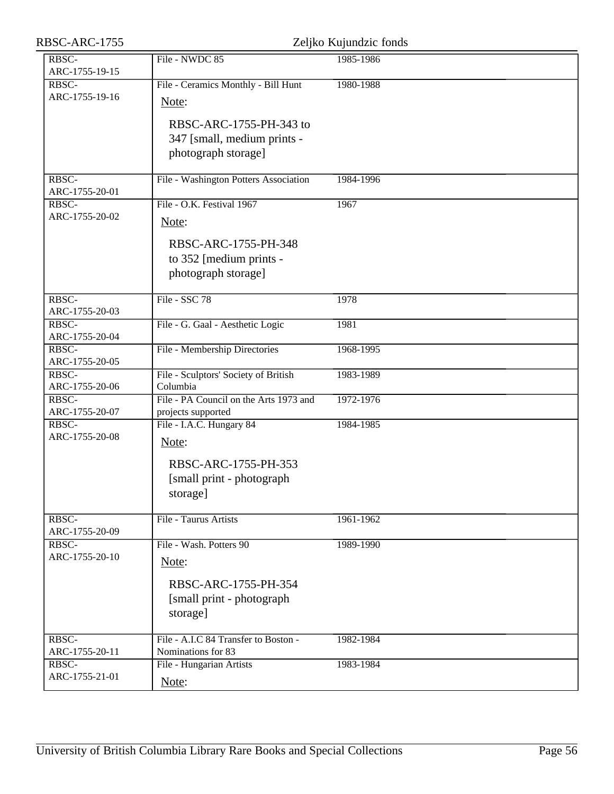| RBSC-ARC-1755           |                                                                                                                               | Zeljko Kujundzic fonds |
|-------------------------|-------------------------------------------------------------------------------------------------------------------------------|------------------------|
| RBSC-<br>ARC-1755-19-15 | File - NWDC 85                                                                                                                | 1985-1986              |
| RBSC-<br>ARC-1755-19-16 | File - Ceramics Monthly - Bill Hunt<br>Note:<br>RBSC-ARC-1755-PH-343 to<br>347 [small, medium prints -<br>photograph storage] | 1980-1988              |
| RBSC-<br>ARC-1755-20-01 | File - Washington Potters Association                                                                                         | 1984-1996              |
| RBSC-<br>ARC-1755-20-02 | File - O.K. Festival 1967<br>Note:<br>RBSC-ARC-1755-PH-348<br>to 352 [medium prints -<br>photograph storage]                  | 1967                   |
| RBSC-<br>ARC-1755-20-03 | File - SSC 78                                                                                                                 | 1978                   |
| RBSC-<br>ARC-1755-20-04 | File - G. Gaal - Aesthetic Logic                                                                                              | 1981                   |
| RBSC-<br>ARC-1755-20-05 | File - Membership Directories                                                                                                 | 1968-1995              |
| RBSC-<br>ARC-1755-20-06 | File - Sculptors' Society of British<br>Columbia                                                                              | 1983-1989              |
| RBSC-<br>ARC-1755-20-07 | File - PA Council on the Arts 1973 and<br>projects supported                                                                  | 1972-1976              |
| RBSC-<br>ARC-1755-20-08 | File - I.A.C. Hungary 84<br>Note:<br>RBSC-ARC-1755-PH-353<br>[small print - photograph]<br>storage]                           | 1984-1985              |
| RBSC-<br>ARC-1755-20-09 | File - Taurus Artists                                                                                                         | 1961-1962              |
| RBSC-<br>ARC-1755-20-10 | File - Wash. Potters 90<br>Note:<br>RBSC-ARC-1755-PH-354<br>[small print - photograph<br>storage]                             | 1989-1990              |
| RBSC-<br>ARC-1755-20-11 | File - A.I.C 84 Transfer to Boston -<br>Nominations for 83                                                                    | 1982-1984              |
| RBSC-<br>ARC-1755-21-01 | File - Hungarian Artists<br>Note:                                                                                             | 1983-1984              |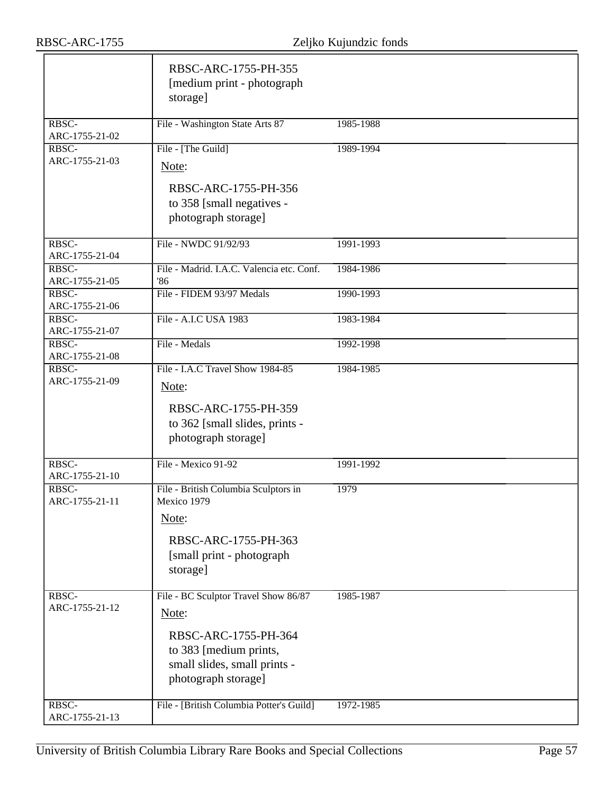|                         | RBSC-ARC-1755-PH-355<br>[medium print - photograph]<br>storage]                                                                                        |           |
|-------------------------|--------------------------------------------------------------------------------------------------------------------------------------------------------|-----------|
| RBSC-<br>ARC-1755-21-02 | File - Washington State Arts 87                                                                                                                        | 1985-1988 |
| RBSC-<br>ARC-1755-21-03 | File - [The Guild]<br>Note:<br>RBSC-ARC-1755-PH-356<br>to 358 [small negatives -<br>photograph storage]                                                | 1989-1994 |
| RBSC-<br>ARC-1755-21-04 | File - NWDC 91/92/93                                                                                                                                   | 1991-1993 |
| RBSC-<br>ARC-1755-21-05 | File - Madrid. I.A.C. Valencia etc. Conf.<br>'86                                                                                                       | 1984-1986 |
| RBSC-<br>ARC-1755-21-06 | File - FIDEM 93/97 Medals                                                                                                                              | 1990-1993 |
| RBSC-<br>ARC-1755-21-07 | File - A.I.C USA 1983                                                                                                                                  | 1983-1984 |
| RBSC-<br>ARC-1755-21-08 | File - Medals                                                                                                                                          | 1992-1998 |
| RBSC-<br>ARC-1755-21-09 | File - I.A.C Travel Show 1984-85<br>Note:<br>RBSC-ARC-1755-PH-359<br>to 362 [small slides, prints -<br>photograph storage]                             | 1984-1985 |
| RBSC-<br>ARC-1755-21-10 | File - Mexico 91-92                                                                                                                                    | 1991-1992 |
| RBSC-<br>ARC-1755-21-11 | File - British Columbia Sculptors in<br>Mexico 1979<br>Note:<br>RBSC-ARC-1755-PH-363<br>[small print - photograph<br>storage]                          | 1979      |
| RBSC-<br>ARC-1755-21-12 | File - BC Sculptor Travel Show 86/87<br>Note:<br>RBSC-ARC-1755-PH-364<br>to 383 [medium prints,<br>small slides, small prints -<br>photograph storage] | 1985-1987 |
| RBSC-<br>ARC-1755-21-13 | File - [British Columbia Potter's Guild]                                                                                                               | 1972-1985 |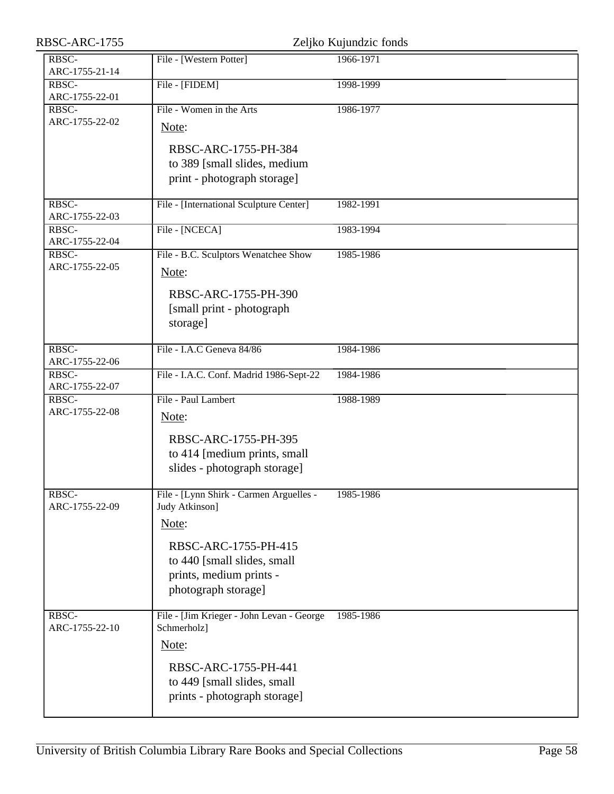| RBSC-ARC-1755                                | Zeljko Kujundzic fonds                                                                                                                                                      |           |  |
|----------------------------------------------|-----------------------------------------------------------------------------------------------------------------------------------------------------------------------------|-----------|--|
| RBSC-<br>ARC-1755-21-14                      | File - [Western Potter]                                                                                                                                                     | 1966-1971 |  |
| RBSC-<br>ARC-1755-22-01                      | File - [FIDEM]                                                                                                                                                              | 1998-1999 |  |
| RBSC-<br>ARC-1755-22-02                      | File - Women in the Arts<br>Note:                                                                                                                                           | 1986-1977 |  |
|                                              | RBSC-ARC-1755-PH-384<br>to 389 [small slides, medium<br>print - photograph storage]                                                                                         |           |  |
| RBSC-<br>ARC-1755-22-03                      | File - [International Sculpture Center]                                                                                                                                     | 1982-1991 |  |
| $R\overline{\mathrm{BSC}}$<br>ARC-1755-22-04 | File - [NCECA]                                                                                                                                                              | 1983-1994 |  |
| RBSC-<br>ARC-1755-22-05                      | File - B.C. Sculptors Wenatchee Show<br>Note:<br>RBSC-ARC-1755-PH-390<br>[small print - photograph<br>storage]                                                              | 1985-1986 |  |
| RBSC-<br>ARC-1755-22-06                      | File - I.A.C Geneva 84/86                                                                                                                                                   | 1984-1986 |  |
| RBSC-<br>ARC-1755-22-07                      | File - I.A.C. Conf. Madrid 1986-Sept-22                                                                                                                                     | 1984-1986 |  |
| RBSC-<br>ARC-1755-22-08                      | File - Paul Lambert<br>Note:<br>RBSC-ARC-1755-PH-395<br>to 414 [medium prints, small<br>slides - photograph storage]                                                        | 1988-1989 |  |
| RBSC-<br>ARC-1755-22-09                      | File - [Lynn Shirk - Carmen Arguelles -<br>Judy Atkinson]<br>Note:<br>RBSC-ARC-1755-PH-415<br>to 440 [small slides, small<br>prints, medium prints -<br>photograph storage] | 1985-1986 |  |
| RBSC-<br>ARC-1755-22-10                      | File - [Jim Krieger - John Levan - George<br>Schmerholz]<br>Note:<br>RBSC-ARC-1755-PH-441<br>to 449 [small slides, small<br>prints - photograph storage]                    | 1985-1986 |  |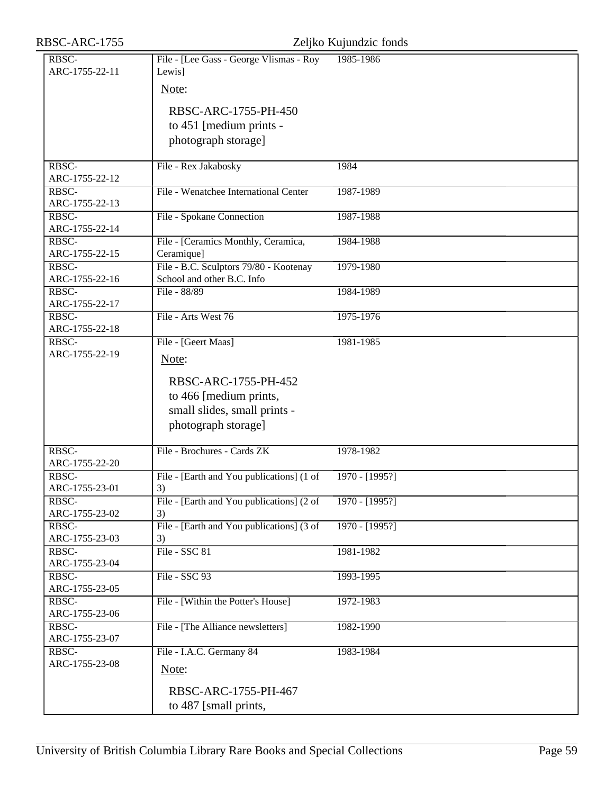| RBSC-ARC-1755           |                                                                        | Zeljko Kujundzic fonds |
|-------------------------|------------------------------------------------------------------------|------------------------|
| RBSC-<br>ARC-1755-22-11 | File - [Lee Gass - George Vlismas - Roy<br>Lewis]<br>Note:             | 1985-1986              |
|                         | RBSC-ARC-1755-PH-450<br>to 451 [medium prints -<br>photograph storage] |                        |
|                         |                                                                        |                        |
| RBSC-<br>ARC-1755-22-12 | File - Rex Jakabosky                                                   | 1984                   |
| RBSC-<br>ARC-1755-22-13 | File - Wenatchee International Center                                  | 1987-1989              |
| RBSC-<br>ARC-1755-22-14 | File - Spokane Connection                                              | 1987-1988              |
| RBSC-<br>ARC-1755-22-15 | File - [Ceramics Monthly, Ceramica,<br>Ceramique]                      | 1984-1988              |
| RBSC-<br>ARC-1755-22-16 | File - B.C. Sculptors 79/80 - Kootenay<br>School and other B.C. Info   | 1979-1980              |
| RBSC-<br>ARC-1755-22-17 | File - 88/89                                                           | 1984-1989              |
| RBSC-<br>ARC-1755-22-18 | File - Arts West 76                                                    | 1975-1976              |
| RBSC-<br>ARC-1755-22-19 | File - [Geert Maas]                                                    | 1981-1985              |
|                         | Note:                                                                  |                        |
|                         | RBSC-ARC-1755-PH-452                                                   |                        |
|                         | to 466 [medium prints,                                                 |                        |
|                         | small slides, small prints -<br>photograph storage]                    |                        |
| RBSC-<br>ARC-1755-22-20 | File - Brochures - Cards ZK                                            | 1978-1982              |
| RBSC-<br>ARC-1755-23-01 | File - [Earth and You publications] (1 of<br>3)                        | 1970 - [1995?]         |
| RBSC-<br>ARC-1755-23-02 | File - [Earth and You publications] (2 of<br>3)                        | 1970 - [1995?]         |
| RBSC-<br>ARC-1755-23-03 | File - [Earth and You publications] (3 of<br>3)                        | $1970 - [1995?]$       |
| RBSC-<br>ARC-1755-23-04 | File - SSC 81                                                          | 1981-1982              |
| RBSC-<br>ARC-1755-23-05 | File - SSC 93                                                          | 1993-1995              |
| RBSC-<br>ARC-1755-23-06 | File - [Within the Potter's House]                                     | 1972-1983              |
| RBSC-<br>ARC-1755-23-07 | File - [The Alliance newsletters]                                      | 1982-1990              |
| RBSC-                   | File - I.A.C. Germany 84                                               | 1983-1984              |
| ARC-1755-23-08          | Note:                                                                  |                        |
|                         | RBSC-ARC-1755-PH-467                                                   |                        |
|                         | to 487 [small prints,                                                  |                        |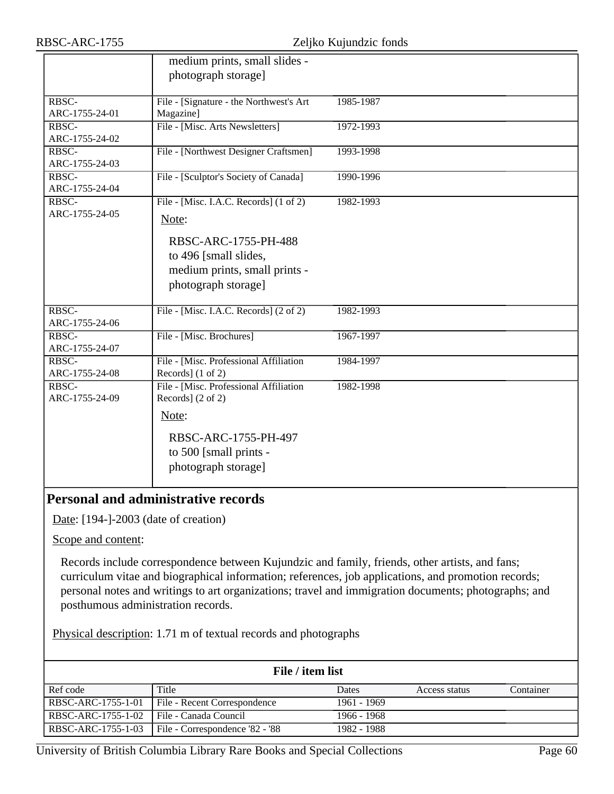| RBSC-ARC-1755                            |                                                                                                                                                                                                                                                                                                               | Zeljko Kujundzic fonds |               |           |
|------------------------------------------|---------------------------------------------------------------------------------------------------------------------------------------------------------------------------------------------------------------------------------------------------------------------------------------------------------------|------------------------|---------------|-----------|
|                                          | medium prints, small slides -<br>photograph storage]                                                                                                                                                                                                                                                          |                        |               |           |
| RBSC-<br>ARC-1755-24-01                  | File - [Signature - the Northwest's Art<br>Magazine]                                                                                                                                                                                                                                                          | 1985-1987              |               |           |
| RBSC-<br>ARC-1755-24-02                  | File - [Misc. Arts Newsletters]                                                                                                                                                                                                                                                                               | 1972-1993              |               |           |
| RBSC-<br>ARC-1755-24-03                  | File - [Northwest Designer Craftsmen]                                                                                                                                                                                                                                                                         | 1993-1998              |               |           |
| RBSC-<br>ARC-1755-24-04                  | File - [Sculptor's Society of Canada]                                                                                                                                                                                                                                                                         | 1990-1996              |               |           |
| RBSC-<br>ARC-1755-24-05                  | File - [Misc. I.A.C. Records] (1 of 2)<br>Note:                                                                                                                                                                                                                                                               | 1982-1993              |               |           |
|                                          | RBSC-ARC-1755-PH-488<br>to 496 [small slides,<br>medium prints, small prints -<br>photograph storage]                                                                                                                                                                                                         |                        |               |           |
| RBSC-<br>ARC-1755-24-06                  | File - [Misc. I.A.C. Records] (2 of 2)                                                                                                                                                                                                                                                                        | 1982-1993              |               |           |
| RBSC-<br>ARC-1755-24-07                  | File - [Misc. Brochures]                                                                                                                                                                                                                                                                                      | 1967-1997              |               |           |
| RBSC-<br>ARC-1755-24-08                  | File - [Misc. Professional Affiliation<br>Records] (1 of 2)                                                                                                                                                                                                                                                   | 1984-1997              |               |           |
| RBSC-<br>ARC-1755-24-09                  | File - [Misc. Professional Affiliation<br>Records] $(2 \text{ of } 2)$                                                                                                                                                                                                                                        | 1982-1998              |               |           |
|                                          | Note:<br>RBSC-ARC-1755-PH-497<br>to 500 [small prints -<br>photograph storage]                                                                                                                                                                                                                                |                        |               |           |
|                                          | <b>Personal and administrative records</b>                                                                                                                                                                                                                                                                    |                        |               |           |
| Date: $[194 - -2003]$ (date of creation) |                                                                                                                                                                                                                                                                                                               |                        |               |           |
| Scope and content:                       |                                                                                                                                                                                                                                                                                                               |                        |               |           |
| posthumous administration records.       | Records include correspondence between Kujundzic and family, friends, other artists, and fans;<br>curriculum vitae and biographical information; references, job applications, and promotion records;<br>personal notes and writings to art organizations; travel and immigration documents; photographs; and |                        |               |           |
|                                          | Physical description: 1.71 m of textual records and photographs                                                                                                                                                                                                                                               |                        |               |           |
|                                          | File / item list                                                                                                                                                                                                                                                                                              |                        |               |           |
| Ref code                                 | Title                                                                                                                                                                                                                                                                                                         | Dates                  | Access status | Container |
| RBSC-ARC-1755-1-01                       | File - Recent Correspondence                                                                                                                                                                                                                                                                                  | 1961 - 1969            |               |           |
| RBSC-ARC-1755-1-02                       | File - Canada Council                                                                                                                                                                                                                                                                                         | 1966 - 1968            |               |           |
| RBSC-ARC-1755-1-03                       | File - Correspondence '82 - '88                                                                                                                                                                                                                                                                               | 1982 - 1988            |               |           |

<span id="page-59-0"></span>University of British Columbia Library Rare Books and Special Collections Page 60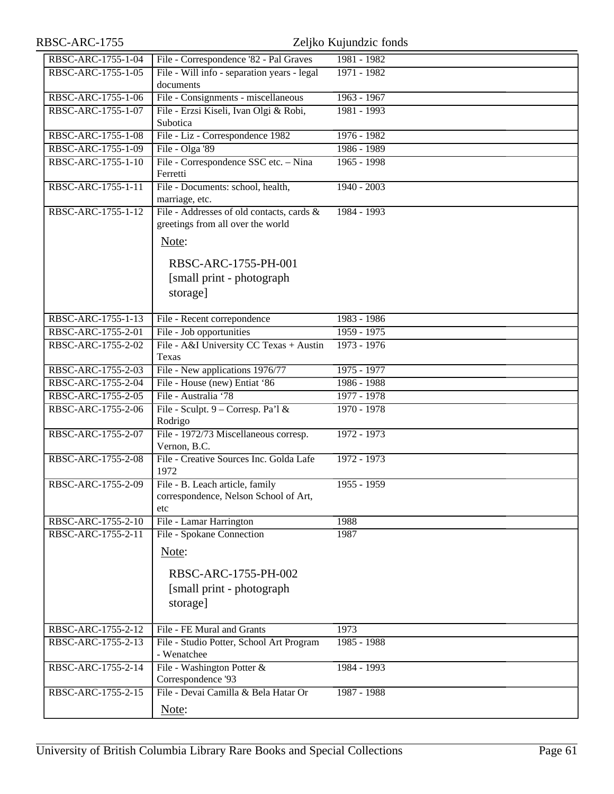| RBSC-ARC-1755      |                                                                                                      | Zeljko Kujundzic fonds |
|--------------------|------------------------------------------------------------------------------------------------------|------------------------|
| RBSC-ARC-1755-1-04 | File - Correspondence '82 - Pal Graves                                                               | 1981 - 1982            |
| RBSC-ARC-1755-1-05 | File - Will info - separation years - legal<br>documents                                             | 1971 - 1982            |
| RBSC-ARC-1755-1-06 | File - Consignments - miscellaneous                                                                  | 1963 - 1967            |
| RBSC-ARC-1755-1-07 | File - Erzsi Kiseli, Ivan Olgi & Robi,<br>Subotica                                                   | 1981 - 1993            |
| RBSC-ARC-1755-1-08 | File - Liz - Correspondence 1982                                                                     | 1976 - 1982            |
| RBSC-ARC-1755-1-09 | File - Olga '89                                                                                      | 1986 - 1989            |
| RBSC-ARC-1755-1-10 | File - Correspondence SSC etc. - Nina<br>Ferretti                                                    | 1965 - 1998            |
| RBSC-ARC-1755-1-11 | File - Documents: school, health,<br>marriage, etc.                                                  | $1940 - 2003$          |
| RBSC-ARC-1755-1-12 | File - Addresses of old contacts, cards &<br>greetings from all over the world<br>Note:              | 1984 - 1993            |
|                    | RBSC-ARC-1755-PH-001<br>[small print - photograph]<br>storage]                                       |                        |
| RBSC-ARC-1755-1-13 | File - Recent correpondence                                                                          | 1983 - 1986            |
| RBSC-ARC-1755-2-01 | File - Job opportunities                                                                             | $1959 - 1975$          |
| RBSC-ARC-1755-2-02 | File - A&I University CC Texas + Austin                                                              | $1973 - 1976$          |
|                    | Texas                                                                                                |                        |
| RBSC-ARC-1755-2-03 | File - New applications 1976/77                                                                      | 1975 - 1977            |
| RBSC-ARC-1755-2-04 | File - House (new) Entiat '86                                                                        | 1986 - 1988            |
| RBSC-ARC-1755-2-05 | File - Australia '78                                                                                 | 1977 - 1978            |
| RBSC-ARC-1755-2-06 | File - Sculpt. $9 -$ Corresp. Pa'l &<br>Rodrigo                                                      | 1970 - 1978            |
| RBSC-ARC-1755-2-07 | File - 1972/73 Miscellaneous corresp.<br>Vernon, B.C.                                                | 1972 - 1973            |
| RBSC-ARC-1755-2-08 | File - Creative Sources Inc. Golda Lafe<br>1972                                                      | 1972 - 1973            |
| RBSC-ARC-1755-2-09 | File - B. Leach article, family<br>correspondence, Nelson School of Art,<br>etc                      | 1955 - 1959            |
| RBSC-ARC-1755-2-10 | File - Lamar Harrington                                                                              | 1988                   |
| RBSC-ARC-1755-2-11 | File - Spokane Connection<br>Note:<br>RBSC-ARC-1755-PH-002<br>[small print - photograph]<br>storage] | 1987                   |
| RBSC-ARC-1755-2-12 | File - FE Mural and Grants                                                                           | 1973                   |
| RBSC-ARC-1755-2-13 | File - Studio Potter, School Art Program<br>- Wenatchee                                              | 1985 - 1988            |
| RBSC-ARC-1755-2-14 | File - Washington Potter &<br>Correspondence '93                                                     | 1984 - 1993            |
| RBSC-ARC-1755-2-15 | File - Devai Camilla & Bela Hatar Or<br>Note:                                                        | 1987 - 1988            |
|                    |                                                                                                      |                        |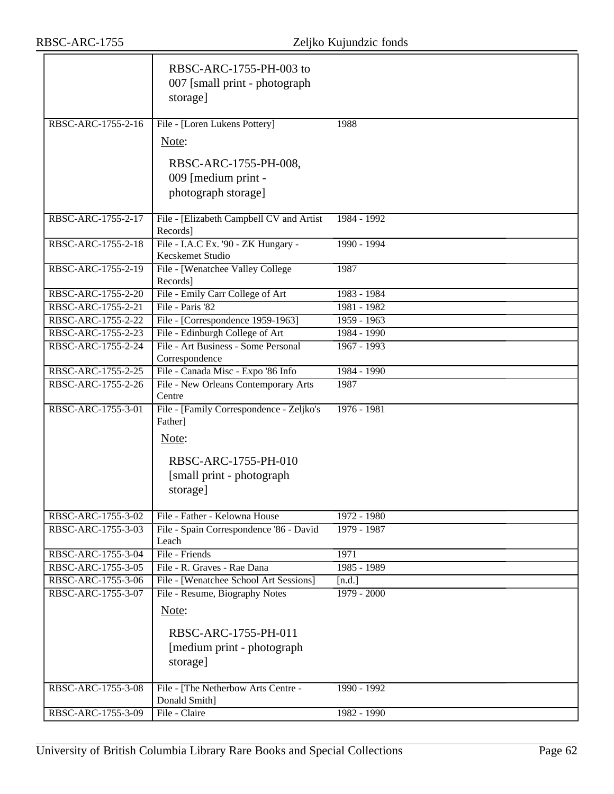|                    | RBSC-ARC-1755-PH-003 to<br>007 [small print - photograph<br>storage] |               |
|--------------------|----------------------------------------------------------------------|---------------|
| RBSC-ARC-1755-2-16 | File - [Loren Lukens Pottery]                                        | 1988          |
|                    | Note:                                                                |               |
|                    | RBSC-ARC-1755-PH-008,                                                |               |
|                    | 009 [medium print -                                                  |               |
|                    | photograph storage]                                                  |               |
|                    |                                                                      |               |
| RBSC-ARC-1755-2-17 | File - [Elizabeth Campbell CV and Artist<br>Records]                 | 1984 - 1992   |
| RBSC-ARC-1755-2-18 | File - I.A.C Ex. '90 - ZK Hungary -                                  | $1990 - 1994$ |
|                    | Kecskemet Studio                                                     |               |
| RBSC-ARC-1755-2-19 | File - [Wenatchee Valley College<br>Records]                         | 1987          |
| RBSC-ARC-1755-2-20 | File - Emily Carr College of Art                                     | 1983 - 1984   |
| RBSC-ARC-1755-2-21 | File - Paris '82                                                     | 1981 - 1982   |
| RBSC-ARC-1755-2-22 | File - [Correspondence 1959-1963]                                    | 1959 - 1963   |
| RBSC-ARC-1755-2-23 | File - Edinburgh College of Art                                      | 1984 - 1990   |
| RBSC-ARC-1755-2-24 | File - Art Business - Some Personal<br>Correspondence                | 1967 - 1993   |
| RBSC-ARC-1755-2-25 | File - Canada Misc - Expo '86 Info                                   | 1984 - 1990   |
| RBSC-ARC-1755-2-26 | File - New Orleans Contemporary Arts<br>Centre                       | 1987          |
| RBSC-ARC-1755-3-01 | File - [Family Correspondence - Zeljko's                             | $1976 - 1981$ |
|                    | Father]                                                              |               |
|                    | Note:                                                                |               |
|                    | RBSC-ARC-1755-PH-010                                                 |               |
|                    |                                                                      |               |
|                    | [small print - photograph]                                           |               |
|                    | storage]                                                             |               |
| RBSC-ARC-1755-3-02 | File - Father - Kelowna House                                        | 1972 - 1980   |
| RBSC-ARC-1755-3-03 | File - Spain Correspondence '86 - David                              | 1979 - 1987   |
| RBSC-ARC-1755-3-04 | Leach<br>File - Friends                                              | 1971          |
| RBSC-ARC-1755-3-05 | File - R. Graves - Rae Dana                                          | 1985 - 1989   |
| RBSC-ARC-1755-3-06 | File - [Wenatchee School Art Sessions]                               | [n.d.]        |
| RBSC-ARC-1755-3-07 | File - Resume, Biography Notes                                       | $1979 - 2000$ |
|                    | Note:                                                                |               |
|                    | RBSC-ARC-1755-PH-011                                                 |               |
|                    | [medium print - photograph]                                          |               |
|                    | storage]                                                             |               |
|                    |                                                                      |               |
| RBSC-ARC-1755-3-08 | File - [The Netherbow Arts Centre -                                  | 1990 - 1992   |
|                    | Donald Smith]                                                        |               |
| RBSC-ARC-1755-3-09 | File - Claire                                                        | 1982 - 1990   |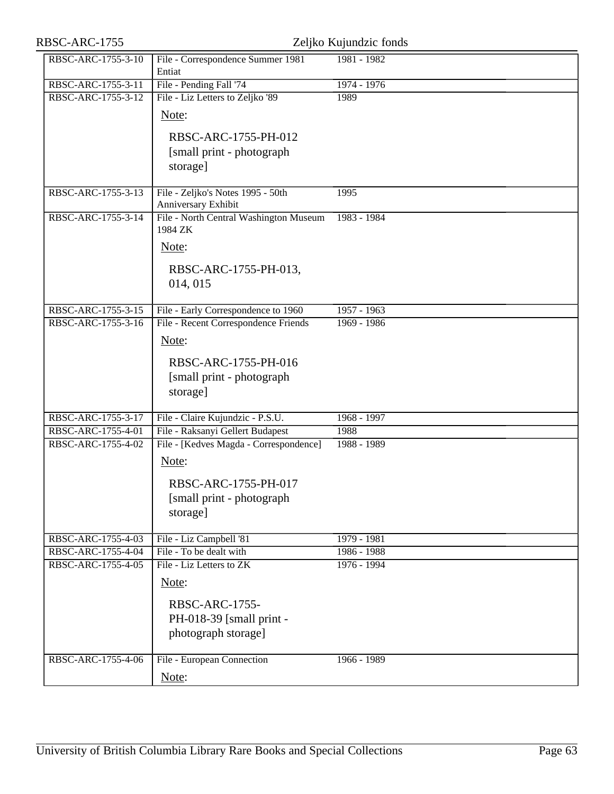| RBSC-ARC-1755                            |                                                                                                                   | Zeljko Kujundzic fonds     |
|------------------------------------------|-------------------------------------------------------------------------------------------------------------------|----------------------------|
| RBSC-ARC-1755-3-10                       | File - Correspondence Summer 1981<br>Entiat                                                                       | 1981 - 1982                |
| RBSC-ARC-1755-3-11                       | File - Pending Fall '74                                                                                           | 1974 - 1976                |
| RBSC-ARC-1755-3-12                       | File - Liz Letters to Zeljko '89<br>Note:<br>RBSC-ARC-1755-PH-012<br>[small print - photograph]<br>storage]       | 1989                       |
| RBSC-ARC-1755-3-13                       | File - Zeljko's Notes 1995 - 50th<br>Anniversary Exhibit                                                          | 1995                       |
| RBSC-ARC-1755-3-14                       | File - North Central Washington Museum<br>1984 ZK<br>Note:<br>RBSC-ARC-1755-PH-013,<br>014, 015                   | 1983 - 1984                |
| RBSC-ARC-1755-3-15                       | File - Early Correspondence to 1960                                                                               | $1957 - 1963$              |
| RBSC-ARC-1755-3-16                       | File - Recent Correspondence Friends<br>Note:<br>RBSC-ARC-1755-PH-016<br>[small print - photograph]<br>storage]   | $1969 - 1986$              |
| RBSC-ARC-1755-3-17                       | File - Claire Kujundzic - P.S.U.                                                                                  | $1968 - 1997$              |
| RBSC-ARC-1755-4-01                       | File - Raksanyi Gellert Budapest                                                                                  | 1988                       |
| RBSC-ARC-1755-4-02                       | File - [Kedves Magda - Correspondence]<br>Note:<br>RBSC-ARC-1755-PH-017<br>[small print - photograph]<br>storage] | 1988 - 1989                |
| RBSC-ARC-1755-4-03                       | File - Liz Campbell '81                                                                                           | 1979 - 1981                |
| RBSC-ARC-1755-4-04<br>RBSC-ARC-1755-4-05 | File - To be dealt with<br>File - Liz Letters to ZK                                                               | 1986 - 1988<br>1976 - 1994 |
|                                          | Note:<br>RBSC-ARC-1755-<br>PH-018-39 [small print -<br>photograph storage]                                        |                            |
| RBSC-ARC-1755-4-06                       | File - European Connection<br>Note:                                                                               | 1966 - 1989                |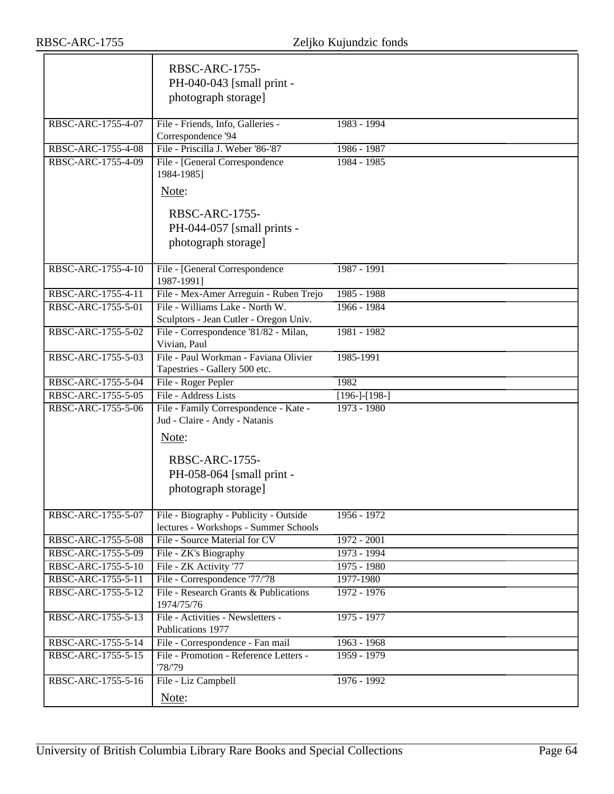|                    | <b>RBSC-ARC-1755-</b><br>PH-040-043 [small print -<br>photograph storage]       |                 |
|--------------------|---------------------------------------------------------------------------------|-----------------|
| RBSC-ARC-1755-4-07 | File - Friends, Info, Galleries -<br>Correspondence '94                         | 1983 - 1994     |
| RBSC-ARC-1755-4-08 | File - Priscilla J. Weber '86-'87                                               | 1986 - 1987     |
| RBSC-ARC-1755-4-09 | File - [General Correspondence<br>1984-1985]                                    | 1984 - 1985     |
|                    | Note:                                                                           |                 |
|                    | <b>RBSC-ARC-1755-</b>                                                           |                 |
|                    | PH-044-057 [small prints -                                                      |                 |
|                    | photograph storage]                                                             |                 |
| RBSC-ARC-1755-4-10 | File - [General Correspondence<br>1987-1991]                                    | 1987 - 1991     |
| RBSC-ARC-1755-4-11 | File - Mex-Amer Arreguin - Ruben Trejo                                          | 1985 - 1988     |
| RBSC-ARC-1755-5-01 | File - Williams Lake - North W.                                                 | $1966 - 1984$   |
|                    | Sculptors - Jean Cutler - Oregon Univ.                                          |                 |
| RBSC-ARC-1755-5-02 | File - Correspondence '81/82 - Milan,<br>Vivian, Paul                           | 1981 - 1982     |
| RBSC-ARC-1755-5-03 | File - Paul Workman - Faviana Olivier<br>Tapestries - Gallery 500 etc.          | 1985-1991       |
| RBSC-ARC-1755-5-04 | File - Roger Pepler                                                             | 1982            |
| RBSC-ARC-1755-5-05 | File - Address Lists                                                            | $[196-]-[198-]$ |
| RBSC-ARC-1755-5-06 | File - Family Correspondence - Kate -<br>Jud - Claire - Andy - Natanis          | $1973 - 1980$   |
|                    | Note:                                                                           |                 |
|                    | <b>RBSC-ARC-1755-</b>                                                           |                 |
|                    | PH-058-064 [small print -                                                       |                 |
|                    | photograph storage]                                                             |                 |
| RBSC-ARC-1755-5-07 | File - Biography - Publicity - Outside<br>lectures - Workshops - Summer Schools | $1956 - 1972$   |
| RBSC-ARC-1755-5-08 | File - Source Material for CV                                                   | $1972 - 2001$   |
| RBSC-ARC-1755-5-09 | File - ZK's Biography                                                           | 1973 - 1994     |
| RBSC-ARC-1755-5-10 | File - ZK Activity '77                                                          | 1975 - 1980     |
| RBSC-ARC-1755-5-11 | File - Correspondence '77/'78                                                   | 1977-1980       |
| RBSC-ARC-1755-5-12 | File - Research Grants & Publications<br>1974/75/76                             | 1972 - 1976     |
| RBSC-ARC-1755-5-13 | File - Activities - Newsletters -<br>Publications 1977                          | 1975 - 1977     |
| RBSC-ARC-1755-5-14 | File - Correspondence - Fan mail                                                | $1963 - 1968$   |
| RBSC-ARC-1755-5-15 | File - Promotion - Reference Letters -<br>'78/'79                               | 1959 - 1979     |
| RBSC-ARC-1755-5-16 | File - Liz Campbell                                                             | $1976 - 1992$   |
|                    | Note:                                                                           |                 |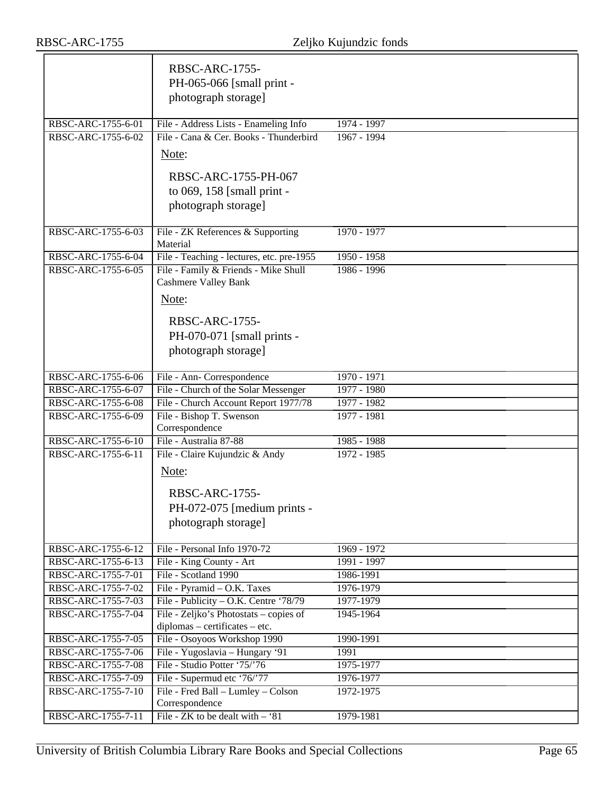|                                          | <b>RBSC-ARC-1755-</b><br>PH-065-066 [small print -                              |                            |
|------------------------------------------|---------------------------------------------------------------------------------|----------------------------|
|                                          | photograph storage]                                                             |                            |
| RBSC-ARC-1755-6-01                       | File - Address Lists - Enameling Info                                           | 1974 - 1997                |
| RBSC-ARC-1755-6-02                       | File - Cana & Cer. Books - Thunderbird                                          | 1967 - 1994                |
|                                          | Note:                                                                           |                            |
|                                          |                                                                                 |                            |
|                                          | RBSC-ARC-1755-PH-067                                                            |                            |
|                                          | to 069, 158 [small print -                                                      |                            |
|                                          | photograph storage]                                                             |                            |
|                                          |                                                                                 |                            |
| RBSC-ARC-1755-6-03                       | File - ZK References & Supporting<br>Material                                   | 1970 - 1977                |
| RBSC-ARC-1755-6-04                       | File - Teaching - lectures, etc. pre-1955                                       | $1950 - 1958$              |
| RBSC-ARC-1755-6-05                       | File - Family & Friends - Mike Shull<br><b>Cashmere Valley Bank</b>             | 1986 - 1996                |
|                                          | Note:                                                                           |                            |
|                                          | RBSC-ARC-1755-                                                                  |                            |
|                                          | PH-070-071 [small prints -                                                      |                            |
|                                          | photograph storage]                                                             |                            |
| RBSC-ARC-1755-6-06                       | File - Ann- Correspondence                                                      | $1970 - 1971$              |
| RBSC-ARC-1755-6-07                       | File - Church of the Solar Messenger                                            | 1977 - 1980                |
| RBSC-ARC-1755-6-08                       | File - Church Account Report 1977/78                                            | 1977 - 1982                |
| RBSC-ARC-1755-6-09                       | File - Bishop T. Swenson                                                        | $1977 - 1981$              |
|                                          | Correspondence                                                                  |                            |
| RBSC-ARC-1755-6-10<br>RBSC-ARC-1755-6-11 | File - Australia 87-88<br>File - Claire Kujundzic & Andy                        | 1985 - 1988<br>1972 - 1985 |
|                                          | Note:                                                                           |                            |
|                                          | <b>RBSC-ARC-1755-</b>                                                           |                            |
|                                          | PH-072-075 [medium prints -                                                     |                            |
|                                          | photograph storage]                                                             |                            |
|                                          |                                                                                 |                            |
| RBSC-ARC-1755-6-12                       | File - Personal Info 1970-72                                                    | 1969 - 1972                |
| RBSC-ARC-1755-6-13                       | File - King County - Art                                                        | 1991 - 1997                |
| RBSC-ARC-1755-7-01                       | File - Scotland 1990                                                            | 1986-1991                  |
| RBSC-ARC-1755-7-02                       | File - Pyramid - O.K. Taxes                                                     | 1976-1979                  |
| RBSC-ARC-1755-7-03<br>RBSC-ARC-1755-7-04 | File - Publicity – O.K. Centre '78/79<br>File - Zeljko's Photostats - copies of | 1977-1979<br>1945-1964     |
|                                          | diplomas - certificates - etc.                                                  |                            |
| RBSC-ARC-1755-7-05                       | File - Osoyoos Workshop 1990                                                    | 1990-1991                  |
| RBSC-ARC-1755-7-06                       | File - Yugoslavia - Hungary '91                                                 | 1991                       |
| RBSC-ARC-1755-7-08                       | File - Studio Potter '75/'76                                                    | 1975-1977                  |
| RBSC-ARC-1755-7-09                       | File - Supermud etc '76/'77                                                     | 1976-1977                  |
| RBSC-ARC-1755-7-10                       | File - Fred Ball - Lumley - Colson                                              | 1972-1975                  |
|                                          | Correspondence                                                                  |                            |
| RBSC-ARC-1755-7-11                       | File - $ZK$ to be dealt with $-$ '81                                            | 1979-1981                  |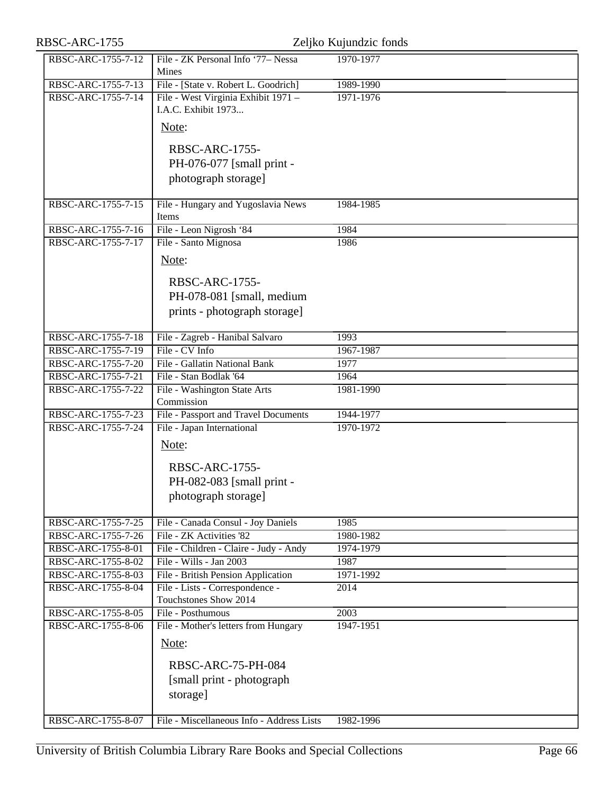| RBSC-ARC-1755      |                                                            | Zeljko Kujundzic fonds |
|--------------------|------------------------------------------------------------|------------------------|
| RBSC-ARC-1755-7-12 | File - ZK Personal Info '77- Nessa<br>Mines                | 1970-1977              |
| RBSC-ARC-1755-7-13 | File - [State v. Robert L. Goodrich]                       | 1989-1990              |
| RBSC-ARC-1755-7-14 | File - West Virginia Exhibit 1971 -<br>I.A.C. Exhibit 1973 | 1971-1976              |
|                    | Note:                                                      |                        |
|                    | <b>RBSC-ARC-1755-</b>                                      |                        |
|                    | PH-076-077 [small print -                                  |                        |
|                    | photograph storage]                                        |                        |
| RBSC-ARC-1755-7-15 | File - Hungary and Yugoslavia News<br>Items                | 1984-1985              |
| RBSC-ARC-1755-7-16 | File - Leon Nigrosh '84                                    | 1984                   |
| RBSC-ARC-1755-7-17 | File - Santo Mignosa                                       | 1986                   |
|                    | Note:                                                      |                        |
|                    | <b>RBSC-ARC-1755-</b>                                      |                        |
|                    |                                                            |                        |
|                    | PH-078-081 [small, medium                                  |                        |
|                    | prints - photograph storage]                               |                        |
| RBSC-ARC-1755-7-18 | File - Zagreb - Hanibal Salvaro                            | 1993                   |
| RBSC-ARC-1755-7-19 | File - CV Info                                             | 1967-1987              |
| RBSC-ARC-1755-7-20 | File - Gallatin National Bank                              | 1977                   |
| RBSC-ARC-1755-7-21 | File - Stan Bodlak '64                                     | 1964                   |
| RBSC-ARC-1755-7-22 | File - Washington State Arts<br>Commission                 | 1981-1990              |
| RBSC-ARC-1755-7-23 | File - Passport and Travel Documents                       | 1944-1977              |
| RBSC-ARC-1755-7-24 | File - Japan International                                 | 1970-1972              |
|                    | Note:                                                      |                        |
|                    | <b>RBSC-ARC-1755-</b>                                      |                        |
|                    | PH-082-083 [small print -                                  |                        |
|                    | photograph storage]                                        |                        |
| RBSC-ARC-1755-7-25 | File - Canada Consul - Joy Daniels                         | 1985                   |
| RBSC-ARC-1755-7-26 | File - ZK Activities '82                                   | 1980-1982              |
| RBSC-ARC-1755-8-01 | File - Children - Claire - Judy - Andy                     | 1974-1979              |
| RBSC-ARC-1755-8-02 | File - Wills - Jan 2003                                    | 1987                   |
| RBSC-ARC-1755-8-03 | File - British Pension Application                         | 1971-1992              |
| RBSC-ARC-1755-8-04 | File - Lists - Correspondence -<br>Touchstones Show 2014   | $\overline{2014}$      |
| RBSC-ARC-1755-8-05 | File - Posthumous                                          | 2003                   |
| RBSC-ARC-1755-8-06 | File - Mother's letters from Hungary                       | 1947-1951              |
|                    | Note:                                                      |                        |
|                    | RBSC-ARC-75-PH-084                                         |                        |
|                    |                                                            |                        |
|                    | [small print - photograph]                                 |                        |
|                    | storage]                                                   |                        |
| RBSC-ARC-1755-8-07 | File - Miscellaneous Info - Address Lists                  | 1982-1996              |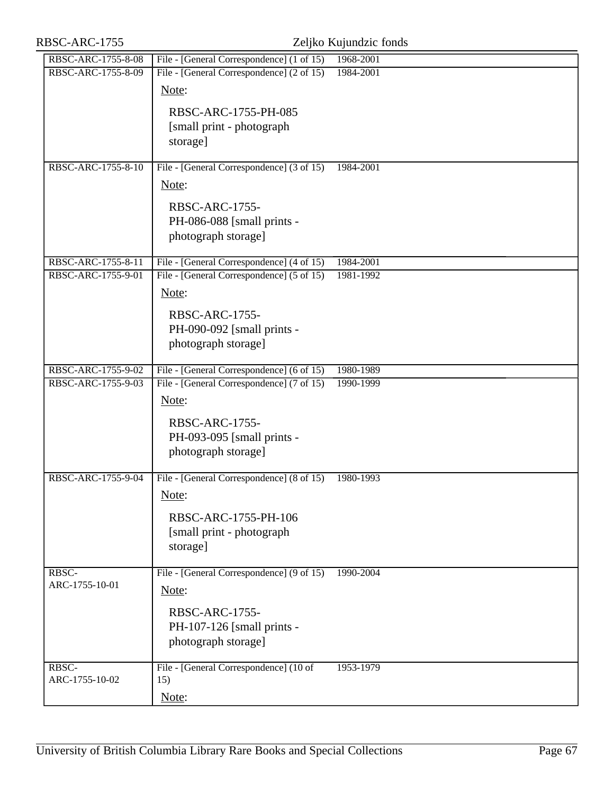| RBSC-ARC-1755           |                                                                                                                                  | Zeljko Kujundzic fonds |
|-------------------------|----------------------------------------------------------------------------------------------------------------------------------|------------------------|
| RBSC-ARC-1755-8-08      | File - [General Correspondence] (1 of 15)                                                                                        | 1968-2001              |
| RBSC-ARC-1755-8-09      | File - [General Correspondence] (2 of 15)<br>Note:<br>RBSC-ARC-1755-PH-085<br>[small print - photograph]<br>storage]             | 1984-2001              |
| RBSC-ARC-1755-8-10      | File - [General Correspondence] (3 of 15)                                                                                        | 1984-2001              |
|                         | Note:<br><b>RBSC-ARC-1755-</b><br>PH-086-088 [small prints -<br>photograph storage]                                              |                        |
| RBSC-ARC-1755-8-11      | File - [General Correspondence] (4 of 15)                                                                                        | 1984-2001              |
| RBSC-ARC-1755-9-01      | File - [General Correspondence] (5 of 15)<br>Note:<br><b>RBSC-ARC-1755-</b><br>PH-090-092 [small prints -<br>photograph storage] | 1981-1992              |
| RBSC-ARC-1755-9-02      | File - [General Correspondence] (6 of 15)                                                                                        | 1980-1989              |
| RBSC-ARC-1755-9-03      | File - [General Correspondence] (7 of 15)<br>Note:<br><b>RBSC-ARC-1755-</b><br>PH-093-095 [small prints -<br>photograph storage] | 1990-1999              |
| RBSC-ARC-1755-9-04      | File - [General Correspondence] (8 of 15)<br>Note:<br>RBSC-ARC-1755-PH-106<br>[small print - photograph<br>storage]              | 1980-1993              |
| RBSC-<br>ARC-1755-10-01 | File - [General Correspondence] (9 of 15)<br>Note:<br><b>RBSC-ARC-1755-</b><br>PH-107-126 [small prints -<br>photograph storage] | 1990-2004              |
| RBSC-<br>ARC-1755-10-02 | File - [General Correspondence] (10 of<br>15)<br>Note:                                                                           | 1953-1979              |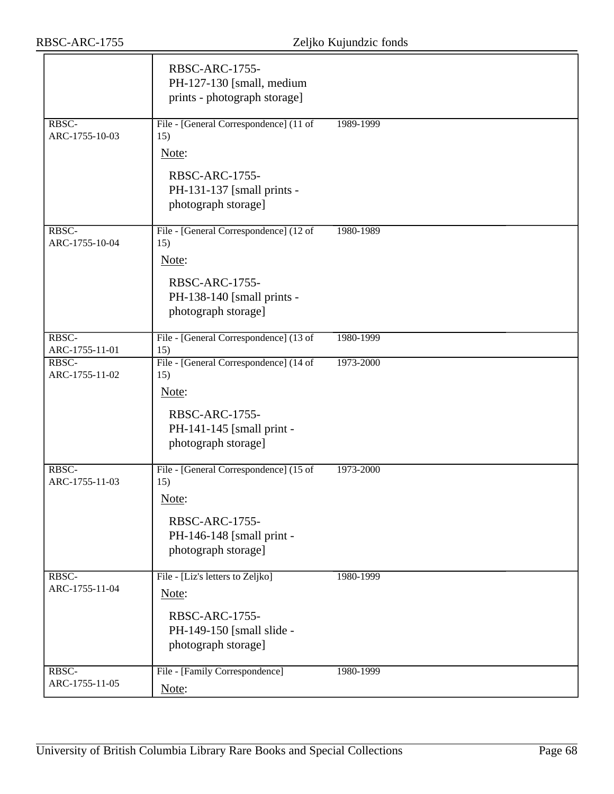|                         | <b>RBSC-ARC-1755-</b><br>PH-127-130 [small, medium<br>prints - photograph storage]                                                   |           |
|-------------------------|--------------------------------------------------------------------------------------------------------------------------------------|-----------|
| RBSC-<br>ARC-1755-10-03 | File - [General Correspondence] (11 of<br>15)<br>Note:<br><b>RBSC-ARC-1755-</b><br>PH-131-137 [small prints -<br>photograph storage] | 1989-1999 |
| RBSC-<br>ARC-1755-10-04 | File - [General Correspondence] (12 of<br>15)<br>Note:<br><b>RBSC-ARC-1755-</b><br>PH-138-140 [small prints -<br>photograph storage] | 1980-1989 |
| RBSC-<br>ARC-1755-11-01 | File - [General Correspondence] (13 of<br>15)                                                                                        | 1980-1999 |
| RBSC-<br>ARC-1755-11-02 | File - [General Correspondence] (14 of<br>15)<br>Note:<br>RBSC-ARC-1755-<br>PH-141-145 [small print -<br>photograph storage]         | 1973-2000 |
| RBSC-<br>ARC-1755-11-03 | File - [General Correspondence] (15 of<br>15)<br>Note:<br><b>RBSC-ARC-1755-</b><br>PH-146-148 [small print -<br>photograph storage]  | 1973-2000 |
| RBSC-<br>ARC-1755-11-04 | File - [Liz's letters to Zeljko]<br>Note:<br><b>RBSC-ARC-1755-</b><br>PH-149-150 [small slide -<br>photograph storage]               | 1980-1999 |
| RBSC-<br>ARC-1755-11-05 | File - [Family Correspondence]<br>Note:                                                                                              | 1980-1999 |